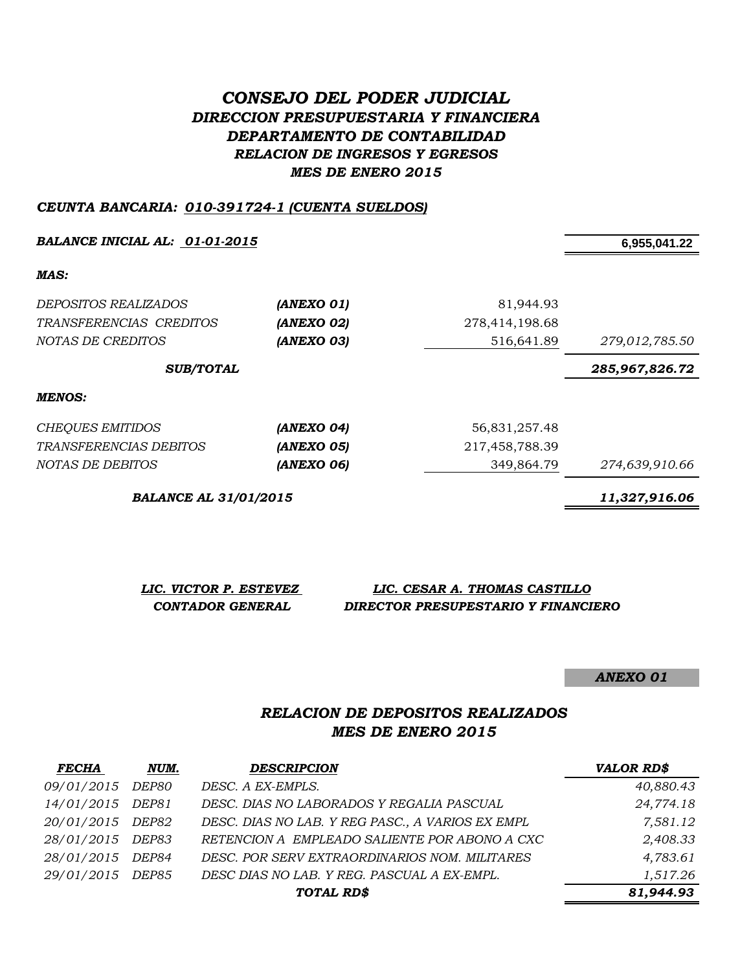# *CONSEJO DEL PODER JUDICIAL DIRECCION PRESUPUESTARIA Y FINANCIERA DEPARTAMENTO DE CONTABILIDAD RELACION DE INGRESOS Y EGRESOS MES DE ENERO 2015*

### *CEUNTA BANCARIA: 010-391724-1 (CUENTA SUELDOS)*

*BALANCE INICIAL AL: 01-01-2015* **6,955,041.22**

*MAS:*

| DEPOSITOS REALIZADOS<br>TRANSFERENCIAS CREDITOS<br>NOTAS DE CREDITOS | (ANEXO 01)<br>(ANEXO 02)<br>(ANEXO 03) | 81,944.93<br>278,414,198.68<br>516,641.89 | 279,012,785.50 |
|----------------------------------------------------------------------|----------------------------------------|-------------------------------------------|----------------|
| <b>SUB/TOTAL</b>                                                     |                                        |                                           | 285,967,826.72 |
| <b>MENOS:</b>                                                        |                                        |                                           |                |
| <b>CHEQUES EMITIDOS</b>                                              | (ANEXO 04)                             | 56,831,257.48                             |                |
| <i>TRANSFERENCIAS DEBITOS</i>                                        | (ANEXO 05)                             | 217,458,788.39                            |                |
| NOTAS DE DEBITOS                                                     | (ANEXO 06)                             | 349,864.79                                | 274,639,910.66 |

*BALANCE AL 31/01/2015 11,327,916.06*

| LIC. VICTOR P. ESTEVEZ | LIC. CESAR A. THOMAS CASTILLO       |
|------------------------|-------------------------------------|
| CONTADOR GENERAL       | DIRECTOR PRESUPESTARIO Y FINANCIERO |

*ANEXO 01*

## *RELACION DE DEPOSITOS REALIZADOS MES DE ENERO 2015*

| <b>FECHA</b>     | NUM.  | <b>DESCRIPCION</b>                               | <b>VALOR RD\$</b> |
|------------------|-------|--------------------------------------------------|-------------------|
| 09/01/2015 DEP80 |       | DESC. A EX-EMPLS.                                | 40,880.43         |
| 14/01/2015 DEP81 |       | DESC. DIAS NO LABORADOS Y REGALIA PASCUAL        | 24,774.18         |
| 20/01/2015 DEP82 |       | DESC. DIAS NO LAB. Y REG PASC., A VARIOS EX EMPL | 7,581.12          |
| 28/01/2015 DEP83 |       | RETENCION A EMPLEADO SALIENTE POR ABONO A CXC    | 2,408.33          |
| 28/01/2015       | DEP84 | DESC. POR SERV EXTRAORDINARIOS NOM. MILITARES    | 4,783.61          |
| 29/01/2015 DEP85 |       | DESC DIAS NO LAB. Y REG. PASCUAL A EX-EMPL.      | 1,517.26          |
|                  |       | TOTAL RD\$                                       | 81,944.93         |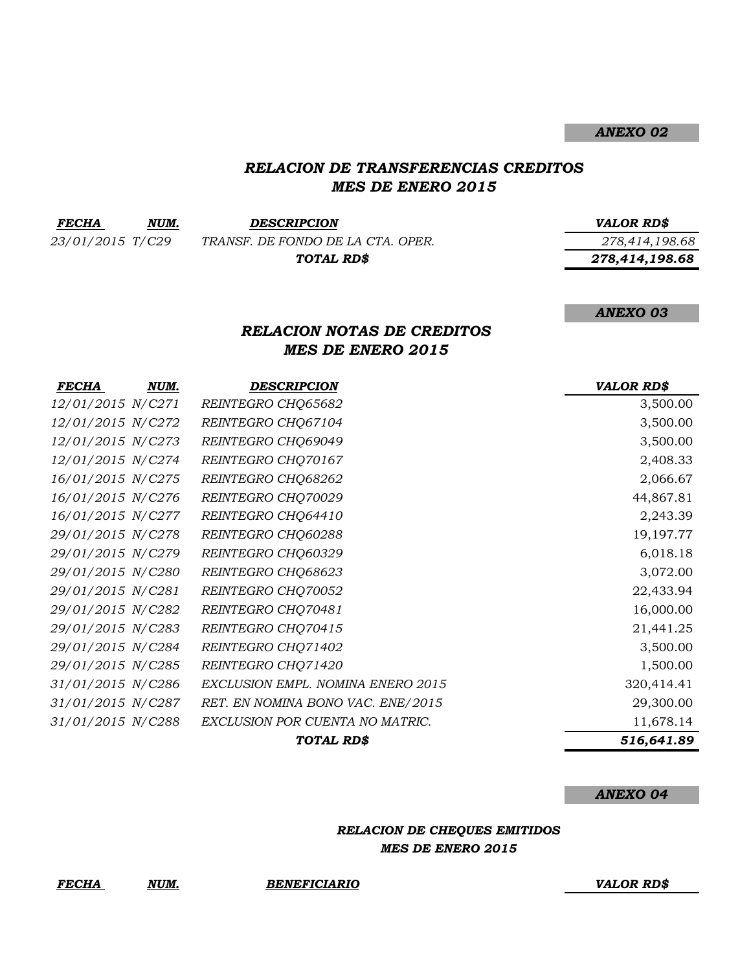*ANEXO 02*

### *RELACION DE TRANSFERENCIAS CREDITOS MES DE ENERO 2015*

| <b>FECHA</b>     | NUM. | <b>DESCRIPCION</b>                | <b>VALOR RDS</b> |
|------------------|------|-----------------------------------|------------------|
| 23/01/2015 T/C29 |      | TRANSF. DE FONDO DE LA CTA. OPER. | 278,414,198.68   |
|                  |      | TOTAL RD\$                        | 278,414,198.68   |
|                  |      |                                   |                  |

*ANEXO 03*

### *RELACION NOTAS DE CREDITOS MES DE ENERO 2015*

| FECHA             | NUM. | <b>DESCRIPCION</b>                | <b>VALOR RD\$</b> |
|-------------------|------|-----------------------------------|-------------------|
| 12/01/2015 N/C271 |      | REINTEGRO CHQ65682                | 3,500.00          |
| 12/01/2015 N/C272 |      | REINTEGRO CHQ67104                | 3,500.00          |
| 12/01/2015 N/C273 |      | REINTEGRO CHQ69049                | 3,500.00          |
| 12/01/2015 N/C274 |      | REINTEGRO CHQ70167                | 2,408.33          |
| 16/01/2015 N/C275 |      | REINTEGRO CHQ68262                | 2,066.67          |
| 16/01/2015 N/C276 |      | REINTEGRO CHQ70029                | 44,867.81         |
| 16/01/2015 N/C277 |      | REINTEGRO CHQ64410                | 2,243.39          |
| 29/01/2015 N/C278 |      | REINTEGRO CHQ60288                | 19, 197. 77       |
| 29/01/2015 N/C279 |      | REINTEGRO CHQ60329                | 6,018.18          |
| 29/01/2015 N/C280 |      | REINTEGRO CHQ68623                | 3,072.00          |
| 29/01/2015 N/C281 |      | REINTEGRO CHQ70052                | 22,433.94         |
| 29/01/2015 N/C282 |      | REINTEGRO CHQ70481                | 16,000.00         |
| 29/01/2015 N/C283 |      | REINTEGRO CHQ70415                | 21,441.25         |
| 29/01/2015 N/C284 |      | REINTEGRO CHQ71402                | 3,500.00          |
| 29/01/2015 N/C285 |      | REINTEGRO CHQ71420                | 1,500.00          |
| 31/01/2015 N/C286 |      | EXCLUSION EMPL. NOMINA ENERO 2015 | 320,414.41        |
| 31/01/2015 N/C287 |      | RET. EN NOMINA BONO VAC. ENE/2015 | 29,300.00         |
| 31/01/2015 N/C288 |      | EXCLUSION POR CUENTA NO MATRIC.   | 11,678.14         |
|                   |      | TOTAL RD\$                        | 516,641.89        |

#### *ANEXO 04*

*RELACION DE CHEQUES EMITIDOS MES DE ENERO 2015*

*FECHA NUM. BENEFICIARIO VALOR RD\$*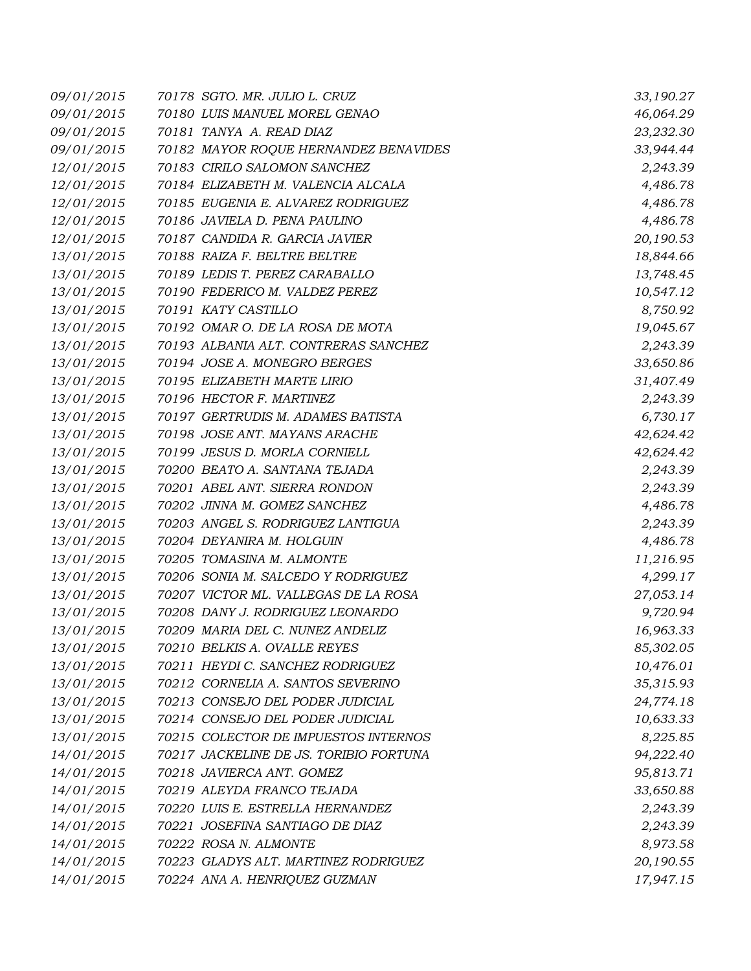| 09/01/2015 | 70178 SGTO. MR. JULIO L. CRUZ          | 33,190.27 |
|------------|----------------------------------------|-----------|
| 09/01/2015 | 70180 LUIS MANUEL MOREL GENAO          | 46,064.29 |
| 09/01/2015 | 70181 TANYA A. READ DIAZ               | 23,232.30 |
| 09/01/2015 | 70182 MAYOR ROQUE HERNANDEZ BENAVIDES  | 33,944.44 |
| 12/01/2015 | 70183 CIRILO SALOMON SANCHEZ           | 2,243.39  |
| 12/01/2015 | 70184 ELIZABETH M. VALENCIA ALCALA     | 4,486.78  |
| 12/01/2015 | 70185 EUGENIA E. ALVAREZ RODRIGUEZ     | 4,486.78  |
| 12/01/2015 | 70186 JAVIELA D. PENA PAULINO          | 4,486.78  |
| 12/01/2015 | 70187 CANDIDA R. GARCIA JAVIER         | 20,190.53 |
| 13/01/2015 | 70188 RAIZA F. BELTRE BELTRE           | 18,844.66 |
| 13/01/2015 | 70189 LEDIS T. PEREZ CARABALLO         | 13,748.45 |
| 13/01/2015 | 70190 FEDERICO M. VALDEZ PEREZ         | 10,547.12 |
| 13/01/2015 | 70191 KATY CASTILLO                    | 8,750.92  |
| 13/01/2015 | 70192 OMAR O. DE LA ROSA DE MOTA       | 19,045.67 |
| 13/01/2015 | 70193 ALBANIA ALT. CONTRERAS SANCHEZ   | 2,243.39  |
| 13/01/2015 | 70194 JOSE A. MONEGRO BERGES           | 33,650.86 |
| 13/01/2015 | 70195 ELIZABETH MARTE LIRIO            | 31,407.49 |
| 13/01/2015 | 70196 HECTOR F. MARTINEZ               | 2,243.39  |
| 13/01/2015 | 70197 GERTRUDIS M. ADAMES BATISTA      | 6,730.17  |
| 13/01/2015 | 70198 JOSE ANT. MAYANS ARACHE          | 42,624.42 |
| 13/01/2015 | 70199 JESUS D. MORLA CORNIELL          | 42,624.42 |
| 13/01/2015 | 70200 BEATO A. SANTANA TEJADA          | 2,243.39  |
| 13/01/2015 | 70201 ABEL ANT. SIERRA RONDON          | 2,243.39  |
| 13/01/2015 | 70202 JINNA M. GOMEZ SANCHEZ           | 4,486.78  |
| 13/01/2015 | 70203 ANGEL S. RODRIGUEZ LANTIGUA      | 2,243.39  |
| 13/01/2015 | 70204 DEYANIRA M. HOLGUIN              | 4,486.78  |
| 13/01/2015 | 70205 TOMASINA M. ALMONTE              | 11,216.95 |
| 13/01/2015 | 70206 SONIA M. SALCEDO Y RODRIGUEZ     | 4,299.17  |
| 13/01/2015 | 70207 VICTOR ML. VALLEGAS DE LA ROSA   | 27,053.14 |
| 13/01/2015 | 70208 DANY J. RODRIGUEZ LEONARDO       | 9,720.94  |
| 13/01/2015 | 70209 MARIA DEL C. NUNEZ ANDELIZ       | 16,963.33 |
| 13/01/2015 | 70210 BELKIS A. OVALLE REYES           | 85,302.05 |
| 13/01/2015 | 70211 HEYDI C. SANCHEZ RODRIGUEZ       | 10,476.01 |
| 13/01/2015 | 70212 CORNELIA A. SANTOS SEVERINO      | 35,315.93 |
| 13/01/2015 | 70213 CONSEJO DEL PODER JUDICIAL       | 24,774.18 |
| 13/01/2015 | 70214 CONSEJO DEL PODER JUDICIAL       | 10,633.33 |
| 13/01/2015 | 70215 COLECTOR DE IMPUESTOS INTERNOS   | 8,225.85  |
| 14/01/2015 | 70217 JACKELINE DE JS. TORIBIO FORTUNA | 94,222.40 |
| 14/01/2015 | 70218 JAVIERCA ANT. GOMEZ              | 95,813.71 |
| 14/01/2015 | 70219 ALEYDA FRANCO TEJADA             | 33,650.88 |
| 14/01/2015 | 70220 LUIS E. ESTRELLA HERNANDEZ       | 2,243.39  |
| 14/01/2015 | 70221 JOSEFINA SANTIAGO DE DIAZ        | 2,243.39  |
| 14/01/2015 | 70222 ROSA N. ALMONTE                  | 8,973.58  |
| 14/01/2015 | 70223 GLADYS ALT. MARTINEZ RODRIGUEZ   | 20,190.55 |
| 14/01/2015 | 70224 ANA A. HENRIQUEZ GUZMAN          | 17,947.15 |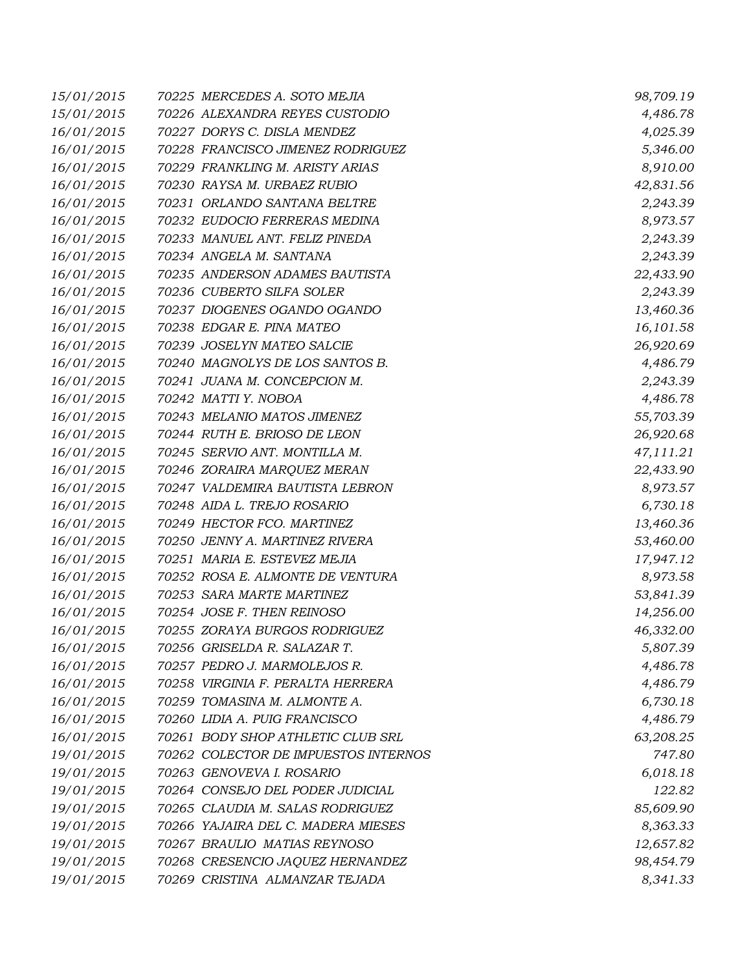| 15/01/2015 | 70225 MERCEDES A. SOTO MEJIA         | 98,709.19 |
|------------|--------------------------------------|-----------|
| 15/01/2015 | 70226 ALEXANDRA REYES CUSTODIO       | 4,486.78  |
| 16/01/2015 | 70227 DORYS C. DISLA MENDEZ          | 4,025.39  |
| 16/01/2015 | 70228 FRANCISCO JIMENEZ RODRIGUEZ    | 5,346.00  |
| 16/01/2015 | 70229 FRANKLING M. ARISTY ARIAS      | 8,910.00  |
| 16/01/2015 | 70230 RAYSA M. URBAEZ RUBIO          | 42,831.56 |
| 16/01/2015 | 70231 ORLANDO SANTANA BELTRE         | 2,243.39  |
| 16/01/2015 | 70232 EUDOCIO FERRERAS MEDINA        | 8,973.57  |
| 16/01/2015 | 70233 MANUEL ANT. FELIZ PINEDA       | 2,243.39  |
| 16/01/2015 | 70234 ANGELA M. SANTANA              | 2,243.39  |
| 16/01/2015 | 70235 ANDERSON ADAMES BAUTISTA       | 22,433.90 |
| 16/01/2015 | 70236 CUBERTO SILFA SOLER            | 2,243.39  |
| 16/01/2015 | 70237 DIOGENES OGANDO OGANDO         | 13,460.36 |
| 16/01/2015 | 70238 EDGAR E. PINA MATEO            | 16,101.58 |
| 16/01/2015 | 70239 JOSELYN MATEO SALCIE           | 26,920.69 |
| 16/01/2015 | 70240 MAGNOLYS DE LOS SANTOS B.      | 4,486.79  |
| 16/01/2015 | 70241 JUANA M. CONCEPCION M.         | 2,243.39  |
| 16/01/2015 | 70242 MATTI Y. NOBOA                 | 4,486.78  |
| 16/01/2015 | 70243 MELANIO MATOS JIMENEZ          | 55,703.39 |
| 16/01/2015 | 70244 RUTH E. BRIOSO DE LEON         | 26,920.68 |
| 16/01/2015 | 70245 SERVIO ANT. MONTILLA M.        | 47,111.21 |
| 16/01/2015 | 70246 ZORAIRA MARQUEZ MERAN          | 22,433.90 |
| 16/01/2015 | 70247 VALDEMIRA BAUTISTA LEBRON      | 8,973.57  |
| 16/01/2015 | 70248 AIDA L. TREJO ROSARIO          | 6,730.18  |
| 16/01/2015 | 70249 HECTOR FCO. MARTINEZ           | 13,460.36 |
| 16/01/2015 | 70250 JENNY A. MARTINEZ RIVERA       | 53,460.00 |
| 16/01/2015 | 70251 MARIA E. ESTEVEZ MEJIA         | 17,947.12 |
| 16/01/2015 | 70252 ROSA E. ALMONTE DE VENTURA     | 8,973.58  |
| 16/01/2015 | 70253 SARA MARTE MARTINEZ            | 53,841.39 |
| 16/01/2015 | 70254 JOSE F. THEN REINOSO           | 14,256.00 |
| 16/01/2015 | 70255 ZORAYA BURGOS RODRIGUEZ        | 46,332.00 |
| 16/01/2015 | 70256 GRISELDA R. SALAZAR T.         | 5,807.39  |
| 16/01/2015 | 70257 PEDRO J. MARMOLEJOS R.         | 4,486.78  |
| 16/01/2015 | 70258 VIRGINIA F. PERALTA HERRERA    | 4,486.79  |
| 16/01/2015 | 70259 TOMASINA M. ALMONTE A.         | 6,730.18  |
| 16/01/2015 | 70260 LIDIA A. PUIG FRANCISCO        | 4,486.79  |
| 16/01/2015 | 70261 BODY SHOP ATHLETIC CLUB SRL    | 63,208.25 |
| 19/01/2015 | 70262 COLECTOR DE IMPUESTOS INTERNOS | 747.80    |
| 19/01/2015 | 70263 GENOVEVA I. ROSARIO            | 6,018.18  |
| 19/01/2015 | 70264 CONSEJO DEL PODER JUDICIAL     | 122.82    |
| 19/01/2015 | 70265 CLAUDIA M. SALAS RODRIGUEZ     | 85,609.90 |
| 19/01/2015 | 70266 YAJAIRA DEL C. MADERA MIESES   | 8,363.33  |
| 19/01/2015 | 70267 BRAULIO MATIAS REYNOSO         | 12,657.82 |
| 19/01/2015 | 70268 CRESENCIO JAQUEZ HERNANDEZ     | 98,454.79 |
| 19/01/2015 | 70269 CRISTINA ALMANZAR TEJADA       | 8,341.33  |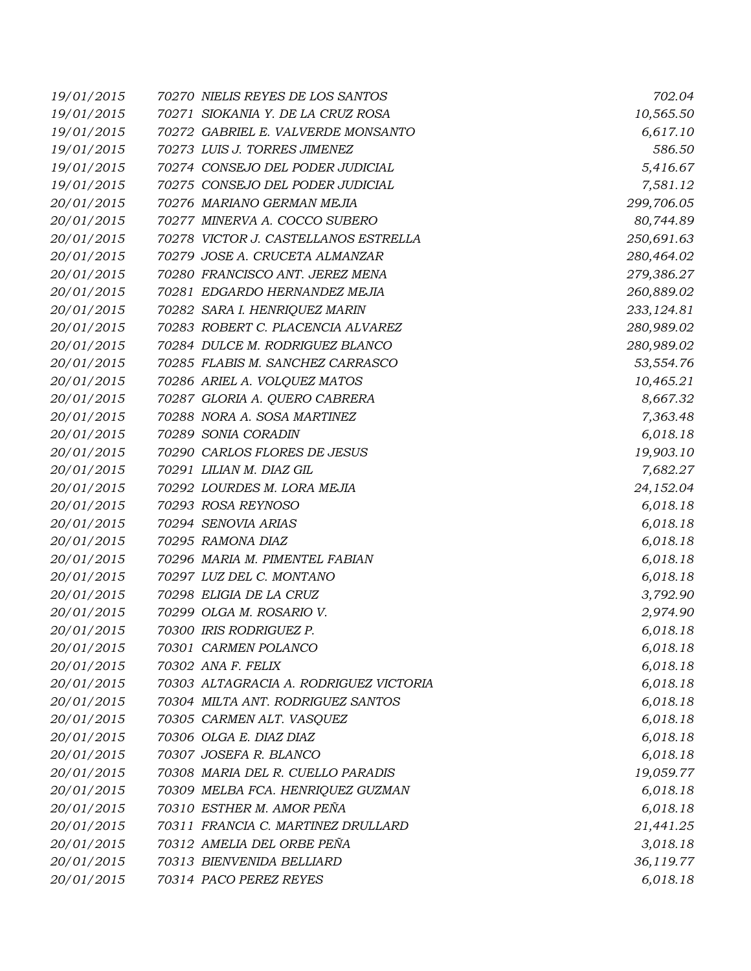| 19/01/2015 | 70270 NIELIS REYES DE LOS SANTOS       | 702.04     |
|------------|----------------------------------------|------------|
| 19/01/2015 | 70271 SIOKANIA Y. DE LA CRUZ ROSA      | 10,565.50  |
| 19/01/2015 | 70272 GABRIEL E. VALVERDE MONSANTO     | 6,617.10   |
| 19/01/2015 | 70273 LUIS J. TORRES JIMENEZ           | 586.50     |
| 19/01/2015 | 70274 CONSEJO DEL PODER JUDICIAL       | 5,416.67   |
| 19/01/2015 | 70275 CONSEJO DEL PODER JUDICIAL       | 7,581.12   |
| 20/01/2015 | 70276 MARIANO GERMAN MEJIA             | 299,706.05 |
| 20/01/2015 | 70277 MINERVA A. COCCO SUBERO          | 80,744.89  |
| 20/01/2015 | 70278 VICTOR J. CASTELLANOS ESTRELLA   | 250,691.63 |
| 20/01/2015 | 70279 JOSE A. CRUCETA ALMANZAR         | 280,464.02 |
| 20/01/2015 | 70280 FRANCISCO ANT. JEREZ MENA        | 279,386.27 |
| 20/01/2015 | 70281 EDGARDO HERNANDEZ MEJIA          | 260,889.02 |
| 20/01/2015 | 70282 SARA I. HENRIQUEZ MARIN          | 233,124.81 |
| 20/01/2015 | 70283 ROBERT C. PLACENCIA ALVAREZ      | 280,989.02 |
| 20/01/2015 | 70284 DULCE M. RODRIGUEZ BLANCO        | 280,989.02 |
| 20/01/2015 | 70285 FLABIS M. SANCHEZ CARRASCO       | 53,554.76  |
| 20/01/2015 | 70286 ARIEL A. VOLQUEZ MATOS           | 10,465.21  |
| 20/01/2015 | 70287 GLORIA A. QUERO CABRERA          | 8,667.32   |
| 20/01/2015 | 70288 NORA A. SOSA MARTINEZ            | 7,363.48   |
| 20/01/2015 | 70289 SONIA CORADIN                    | 6,018.18   |
| 20/01/2015 | 70290 CARLOS FLORES DE JESUS           | 19,903.10  |
| 20/01/2015 | 70291 LILIAN M. DIAZ GIL               | 7,682.27   |
| 20/01/2015 | 70292 LOURDES M. LORA MEJIA            | 24,152.04  |
| 20/01/2015 | 70293 ROSA REYNOSO                     | 6,018.18   |
| 20/01/2015 | 70294 SENOVIA ARIAS                    | 6,018.18   |
| 20/01/2015 | 70295 RAMONA DIAZ                      | 6,018.18   |
| 20/01/2015 | 70296 MARIA M. PIMENTEL FABIAN         | 6,018.18   |
| 20/01/2015 | 70297 LUZ DEL C. MONTANO               | 6,018.18   |
| 20/01/2015 | 70298 ELIGIA DE LA CRUZ                | 3,792.90   |
| 20/01/2015 | 70299 OLGA M. ROSARIO V.               | 2,974.90   |
| 20/01/2015 | 70300 IRIS RODRIGUEZ P.                | 6,018.18   |
| 20/01/2015 | 70301 CARMEN POLANCO                   | 6,018.18   |
| 20/01/2015 | 70302 ANA F. FELIX                     | 6,018.18   |
| 20/01/2015 | 70303 ALTAGRACIA A. RODRIGUEZ VICTORIA | 6,018.18   |
| 20/01/2015 | 70304 MILTA ANT. RODRIGUEZ SANTOS      | 6,018.18   |
| 20/01/2015 | 70305 CARMEN ALT. VASQUEZ              | 6,018.18   |
| 20/01/2015 | 70306 OLGA E. DIAZ DIAZ                | 6,018.18   |
| 20/01/2015 | 70307 JOSEFA R. BLANCO                 | 6,018.18   |
| 20/01/2015 | 70308 MARIA DEL R. CUELLO PARADIS      | 19,059.77  |
| 20/01/2015 | 70309 MELBA FCA. HENRIQUEZ GUZMAN      | 6,018.18   |
| 20/01/2015 | 70310 ESTHER M. AMOR PEÑA              | 6,018.18   |
| 20/01/2015 | 70311 FRANCIA C. MARTINEZ DRULLARD     | 21,441.25  |
| 20/01/2015 | 70312 AMELIA DEL ORBE PEÑA             | 3,018.18   |
| 20/01/2015 | 70313 BIENVENIDA BELLIARD              | 36,119.77  |
| 20/01/2015 | 70314 PACO PEREZ REYES                 | 6,018.18   |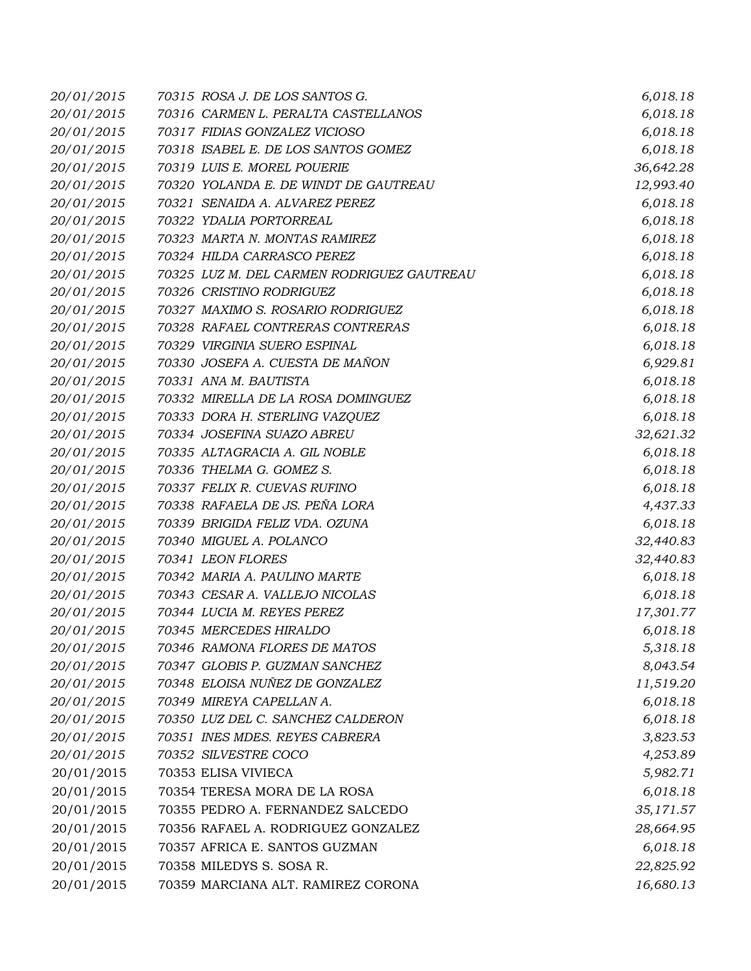| 20/01/2015 | 70315 ROSA J. DE LOS SANTOS G.             | 6,018.18  |
|------------|--------------------------------------------|-----------|
| 20/01/2015 | 70316 CARMEN L. PERALTA CASTELLANOS        | 6,018.18  |
| 20/01/2015 | 70317 FIDIAS GONZALEZ VICIOSO              | 6,018.18  |
| 20/01/2015 | 70318 ISABEL E. DE LOS SANTOS GOMEZ        | 6,018.18  |
| 20/01/2015 | 70319 LUIS E. MOREL POUERIE                | 36,642.28 |
| 20/01/2015 | 70320 YOLANDA E. DE WINDT DE GAUTREAU      | 12,993.40 |
| 20/01/2015 | 70321 SENAIDA A. ALVAREZ PEREZ             | 6,018.18  |
| 20/01/2015 | 70322 YDALIA PORTORREAL                    | 6,018.18  |
| 20/01/2015 | 70323 MARTA N. MONTAS RAMIREZ              | 6,018.18  |
| 20/01/2015 | 70324 HILDA CARRASCO PEREZ                 | 6,018.18  |
| 20/01/2015 | 70325 LUZ M. DEL CARMEN RODRIGUEZ GAUTREAU | 6,018.18  |
| 20/01/2015 | 70326 CRISTINO RODRIGUEZ                   | 6,018.18  |
| 20/01/2015 | 70327 MAXIMO S. ROSARIO RODRIGUEZ          | 6,018.18  |
| 20/01/2015 | 70328 RAFAEL CONTRERAS CONTRERAS           | 6,018.18  |
| 20/01/2015 | 70329 VIRGINIA SUERO ESPINAL               | 6,018.18  |
| 20/01/2015 | 70330 JOSEFA A. CUESTA DE MAÑON            | 6,929.81  |
| 20/01/2015 | 70331 ANA M. BAUTISTA                      | 6,018.18  |
| 20/01/2015 | 70332 MIRELLA DE LA ROSA DOMINGUEZ         | 6,018.18  |
| 20/01/2015 | 70333 DORA H. STERLING VAZQUEZ             | 6,018.18  |
| 20/01/2015 | 70334 JOSEFINA SUAZO ABREU                 | 32,621.32 |
| 20/01/2015 | 70335 ALTAGRACIA A. GIL NOBLE              | 6,018.18  |
| 20/01/2015 | 70336 THELMA G. GOMEZ S.                   | 6,018.18  |
| 20/01/2015 | 70337 FELIX R. CUEVAS RUFINO               | 6,018.18  |
| 20/01/2015 | 70338 RAFAELA DE JS. PEÑA LORA             | 4,437.33  |
| 20/01/2015 | 70339 BRIGIDA FELIZ VDA. OZUNA             | 6,018.18  |
| 20/01/2015 | 70340 MIGUEL A. POLANCO                    | 32,440.83 |
| 20/01/2015 | 70341 LEON FLORES                          | 32,440.83 |
| 20/01/2015 | 70342 MARIA A. PAULINO MARTE               | 6,018.18  |
| 20/01/2015 | 70343 CESAR A. VALLEJO NICOLAS             | 6,018.18  |
| 20/01/2015 | 70344 LUCIA M. REYES PEREZ                 | 17,301.77 |
| 20/01/2015 | 70345 MERCEDES HIRALDO                     | 6,018.18  |
| 20/01/2015 | 70346 RAMONA FLORES DE MATOS               | 5,318.18  |
| 20/01/2015 | 70347 GLOBIS P. GUZMAN SANCHEZ             | 8,043.54  |
| 20/01/2015 | 70348 ELOISA NUÑEZ DE GONZALEZ             | 11,519.20 |
| 20/01/2015 | 70349 MIREYA CAPELLAN A.                   | 6,018.18  |
| 20/01/2015 | 70350 LUZ DEL C. SANCHEZ CALDERON          | 6,018.18  |
| 20/01/2015 | 70351 INES MDES. REYES CABRERA             | 3,823.53  |
| 20/01/2015 | 70352 SILVESTRE COCO                       | 4,253.89  |
| 20/01/2015 | 70353 ELISA VIVIECA                        | 5,982.71  |
| 20/01/2015 | 70354 TERESA MORA DE LA ROSA               | 6,018.18  |
| 20/01/2015 | 70355 PEDRO A. FERNANDEZ SALCEDO           | 35,171.57 |
| 20/01/2015 | 70356 RAFAEL A. RODRIGUEZ GONZALEZ         | 28,664.95 |
| 20/01/2015 | 70357 AFRICA E. SANTOS GUZMAN              | 6,018.18  |
| 20/01/2015 | 70358 MILEDYS S. SOSA R.                   | 22,825.92 |
| 20/01/2015 | 70359 MARCIANA ALT. RAMIREZ CORONA         | 16,680.13 |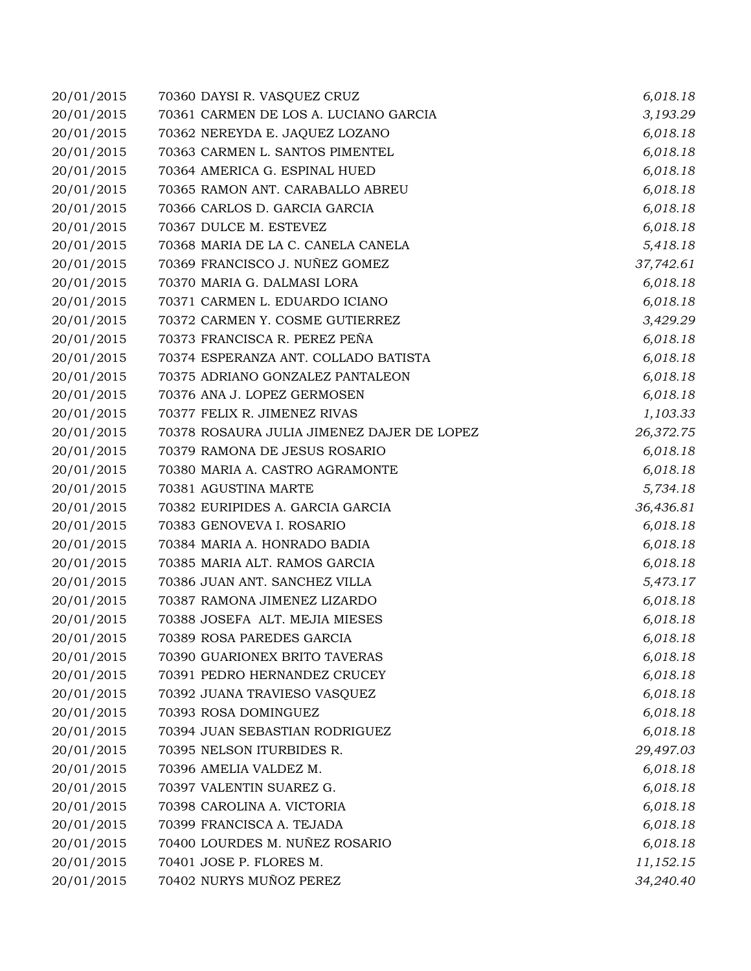| 20/01/2015 | 70360 DAYSI R. VASQUEZ CRUZ                | 6,018.18  |
|------------|--------------------------------------------|-----------|
| 20/01/2015 | 70361 CARMEN DE LOS A. LUCIANO GARCIA      | 3,193.29  |
| 20/01/2015 | 70362 NEREYDA E. JAQUEZ LOZANO             | 6,018.18  |
| 20/01/2015 | 70363 CARMEN L. SANTOS PIMENTEL            | 6,018.18  |
| 20/01/2015 | 70364 AMERICA G. ESPINAL HUED              | 6,018.18  |
| 20/01/2015 | 70365 RAMON ANT. CARABALLO ABREU           | 6,018.18  |
| 20/01/2015 | 70366 CARLOS D. GARCIA GARCIA              | 6,018.18  |
| 20/01/2015 | 70367 DULCE M. ESTEVEZ                     | 6,018.18  |
| 20/01/2015 | 70368 MARIA DE LA C. CANELA CANELA         | 5,418.18  |
| 20/01/2015 | 70369 FRANCISCO J. NUÑEZ GOMEZ             | 37,742.61 |
| 20/01/2015 | 70370 MARIA G. DALMASI LORA                | 6,018.18  |
| 20/01/2015 | 70371 CARMEN L. EDUARDO ICIANO             | 6,018.18  |
| 20/01/2015 | 70372 CARMEN Y. COSME GUTIERREZ            | 3,429.29  |
| 20/01/2015 | 70373 FRANCISCA R. PEREZ PEÑA              | 6,018.18  |
| 20/01/2015 | 70374 ESPERANZA ANT. COLLADO BATISTA       | 6,018.18  |
| 20/01/2015 | 70375 ADRIANO GONZALEZ PANTALEON           | 6,018.18  |
| 20/01/2015 | 70376 ANA J. LOPEZ GERMOSEN                | 6,018.18  |
| 20/01/2015 | 70377 FELIX R. JIMENEZ RIVAS               | 1,103.33  |
| 20/01/2015 | 70378 ROSAURA JULIA JIMENEZ DAJER DE LOPEZ | 26,372.75 |
| 20/01/2015 | 70379 RAMONA DE JESUS ROSARIO              | 6,018.18  |
| 20/01/2015 | 70380 MARIA A. CASTRO AGRAMONTE            | 6,018.18  |
| 20/01/2015 | 70381 AGUSTINA MARTE                       | 5,734.18  |
| 20/01/2015 | 70382 EURIPIDES A. GARCIA GARCIA           | 36,436.81 |
| 20/01/2015 | 70383 GENOVEVA I. ROSARIO                  | 6,018.18  |
| 20/01/2015 | 70384 MARIA A. HONRADO BADIA               | 6,018.18  |
| 20/01/2015 | 70385 MARIA ALT. RAMOS GARCIA              | 6,018.18  |
| 20/01/2015 | 70386 JUAN ANT. SANCHEZ VILLA              | 5,473.17  |
| 20/01/2015 | 70387 RAMONA JIMENEZ LIZARDO               | 6,018.18  |
| 20/01/2015 | 70388 JOSEFA ALT. MEJIA MIESES             | 6,018.18  |
| 20/01/2015 | 70389 ROSA PAREDES GARCIA                  | 6,018.18  |
| 20/01/2015 | 70390 GUARIONEX BRITO TAVERAS              | 6,018.18  |
| 20/01/2015 | 70391 PEDRO HERNANDEZ CRUCEY               | 6,018.18  |
| 20/01/2015 | 70392 JUANA TRAVIESO VASQUEZ               | 6,018.18  |
| 20/01/2015 | 70393 ROSA DOMINGUEZ                       | 6,018.18  |
| 20/01/2015 | 70394 JUAN SEBASTIAN RODRIGUEZ             | 6,018.18  |
| 20/01/2015 | 70395 NELSON ITURBIDES R.                  | 29,497.03 |
| 20/01/2015 | 70396 AMELIA VALDEZ M.                     | 6,018.18  |
| 20/01/2015 | 70397 VALENTIN SUAREZ G.                   | 6,018.18  |
| 20/01/2015 | 70398 CAROLINA A. VICTORIA                 | 6,018.18  |
| 20/01/2015 | 70399 FRANCISCA A. TEJADA                  | 6,018.18  |
| 20/01/2015 | 70400 LOURDES M. NUÑEZ ROSARIO             | 6,018.18  |
| 20/01/2015 | 70401 JOSE P. FLORES M.                    | 11,152.15 |
| 20/01/2015 | 70402 NURYS MUÑOZ PEREZ                    | 34,240.40 |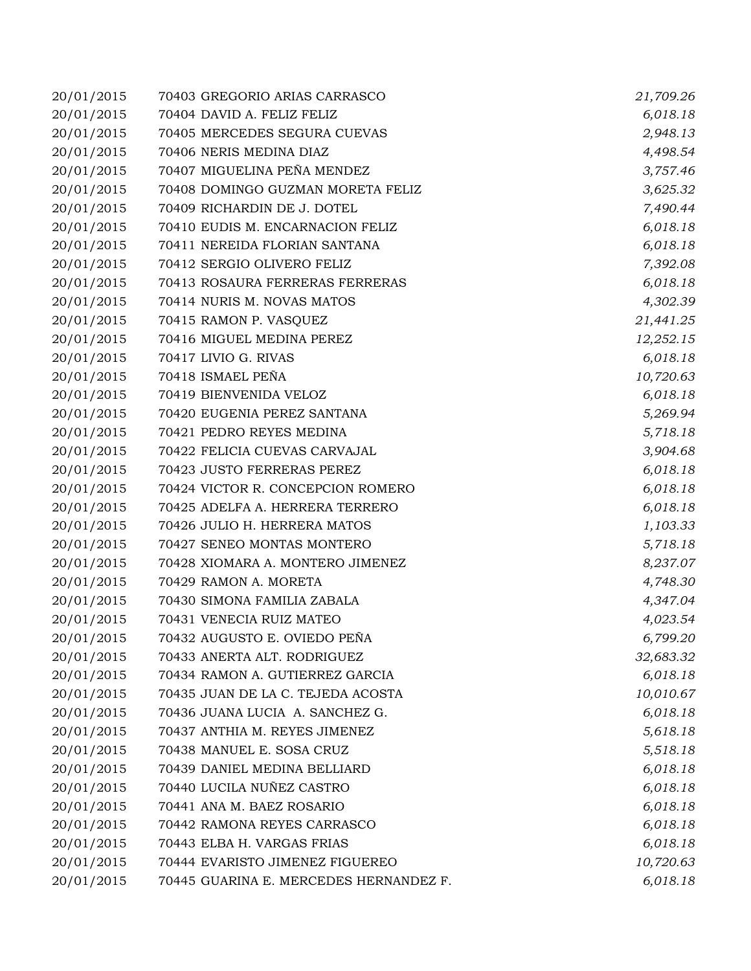| 20/01/2015 | 70403 GREGORIO ARIAS CARRASCO          | 21,709.26 |
|------------|----------------------------------------|-----------|
| 20/01/2015 | 70404 DAVID A. FELIZ FELIZ             | 6,018.18  |
| 20/01/2015 | 70405 MERCEDES SEGURA CUEVAS           | 2,948.13  |
| 20/01/2015 | 70406 NERIS MEDINA DIAZ                | 4,498.54  |
| 20/01/2015 | 70407 MIGUELINA PEÑA MENDEZ            | 3,757.46  |
| 20/01/2015 | 70408 DOMINGO GUZMAN MORETA FELIZ      | 3,625.32  |
| 20/01/2015 | 70409 RICHARDIN DE J. DOTEL            | 7,490.44  |
| 20/01/2015 | 70410 EUDIS M. ENCARNACION FELIZ       | 6,018.18  |
| 20/01/2015 | 70411 NEREIDA FLORIAN SANTANA          | 6,018.18  |
| 20/01/2015 | 70412 SERGIO OLIVERO FELIZ             | 7,392.08  |
| 20/01/2015 | 70413 ROSAURA FERRERAS FERRERAS        | 6,018.18  |
| 20/01/2015 | 70414 NURIS M. NOVAS MATOS             | 4,302.39  |
| 20/01/2015 | 70415 RAMON P. VASQUEZ                 | 21,441.25 |
| 20/01/2015 | 70416 MIGUEL MEDINA PEREZ              | 12,252.15 |
| 20/01/2015 | 70417 LIVIO G. RIVAS                   | 6,018.18  |
| 20/01/2015 | 70418 ISMAEL PEÑA                      | 10,720.63 |
| 20/01/2015 | 70419 BIENVENIDA VELOZ                 | 6,018.18  |
| 20/01/2015 | 70420 EUGENIA PEREZ SANTANA            | 5,269.94  |
| 20/01/2015 | 70421 PEDRO REYES MEDINA               | 5,718.18  |
| 20/01/2015 | 70422 FELICIA CUEVAS CARVAJAL          | 3,904.68  |
| 20/01/2015 | 70423 JUSTO FERRERAS PEREZ             | 6,018.18  |
| 20/01/2015 | 70424 VICTOR R. CONCEPCION ROMERO      | 6,018.18  |
| 20/01/2015 | 70425 ADELFA A. HERRERA TERRERO        | 6,018.18  |
| 20/01/2015 | 70426 JULIO H. HERRERA MATOS           | 1,103.33  |
| 20/01/2015 | 70427 SENEO MONTAS MONTERO             | 5,718.18  |
| 20/01/2015 | 70428 XIOMARA A. MONTERO JIMENEZ       | 8,237.07  |
| 20/01/2015 | 70429 RAMON A. MORETA                  | 4,748.30  |
| 20/01/2015 | 70430 SIMONA FAMILIA ZABALA            | 4,347.04  |
| 20/01/2015 | 70431 VENECIA RUIZ MATEO               | 4,023.54  |
| 20/01/2015 | 70432 AUGUSTO E. OVIEDO PEÑA           | 6,799.20  |
| 20/01/2015 | 70433 ANERTA ALT. RODRIGUEZ            | 32,683.32 |
| 20/01/2015 | 70434 RAMON A. GUTIERREZ GARCIA        | 6,018.18  |
| 20/01/2015 | 70435 JUAN DE LA C. TEJEDA ACOSTA      | 10,010.67 |
| 20/01/2015 | 70436 JUANA LUCIA A. SANCHEZ G.        | 6,018.18  |
| 20/01/2015 | 70437 ANTHIA M. REYES JIMENEZ          | 5,618.18  |
| 20/01/2015 | 70438 MANUEL E. SOSA CRUZ              | 5,518.18  |
| 20/01/2015 | 70439 DANIEL MEDINA BELLIARD           | 6,018.18  |
| 20/01/2015 | 70440 LUCILA NUÑEZ CASTRO              | 6,018.18  |
| 20/01/2015 | 70441 ANA M. BAEZ ROSARIO              | 6,018.18  |
| 20/01/2015 | 70442 RAMONA REYES CARRASCO            | 6,018.18  |
| 20/01/2015 | 70443 ELBA H. VARGAS FRIAS             | 6,018.18  |
| 20/01/2015 | 70444 EVARISTO JIMENEZ FIGUEREO        | 10,720.63 |
| 20/01/2015 | 70445 GUARINA E. MERCEDES HERNANDEZ F. | 6,018.18  |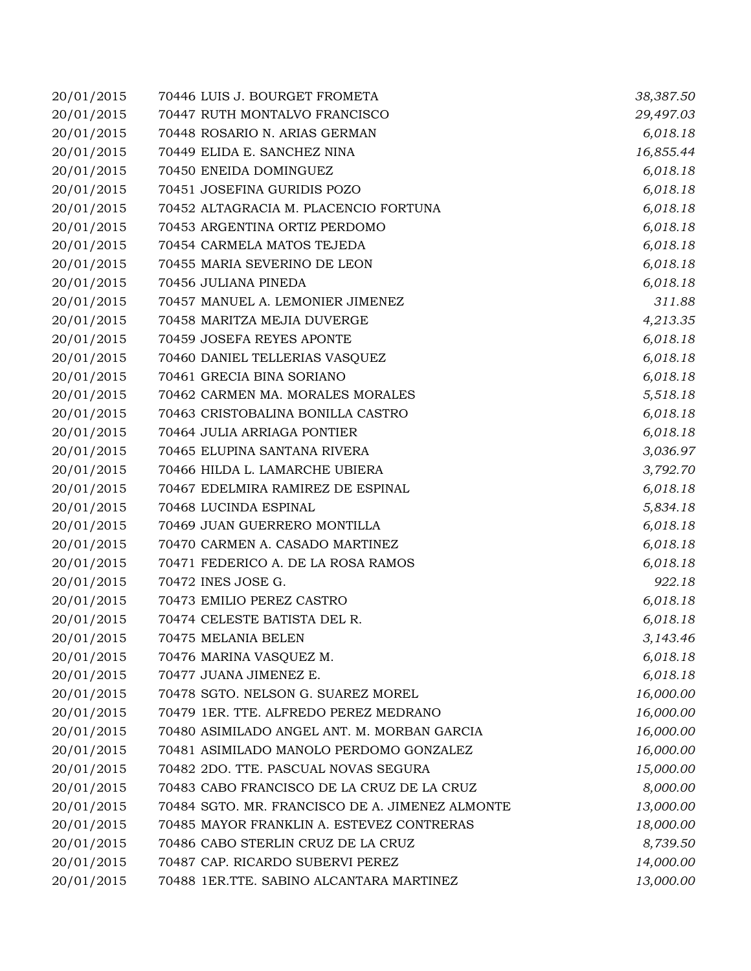| 20/01/2015 | 70446 LUIS J. BOURGET FROMETA                   | 38,387.50 |
|------------|-------------------------------------------------|-----------|
| 20/01/2015 | 70447 RUTH MONTALVO FRANCISCO                   | 29,497.03 |
| 20/01/2015 | 70448 ROSARIO N. ARIAS GERMAN                   | 6,018.18  |
| 20/01/2015 | 70449 ELIDA E. SANCHEZ NINA                     | 16,855.44 |
| 20/01/2015 | 70450 ENEIDA DOMINGUEZ                          | 6,018.18  |
| 20/01/2015 | 70451 JOSEFINA GURIDIS POZO                     | 6,018.18  |
| 20/01/2015 | 70452 ALTAGRACIA M. PLACENCIO FORTUNA           | 6,018.18  |
| 20/01/2015 | 70453 ARGENTINA ORTIZ PERDOMO                   | 6,018.18  |
| 20/01/2015 | 70454 CARMELA MATOS TEJEDA                      | 6,018.18  |
| 20/01/2015 | 70455 MARIA SEVERINO DE LEON                    | 6,018.18  |
| 20/01/2015 | 70456 JULIANA PINEDA                            | 6,018.18  |
| 20/01/2015 | 70457 MANUEL A. LEMONIER JIMENEZ                | 311.88    |
| 20/01/2015 | 70458 MARITZA MEJIA DUVERGE                     | 4,213.35  |
| 20/01/2015 | 70459 JOSEFA REYES APONTE                       | 6,018.18  |
| 20/01/2015 | 70460 DANIEL TELLERIAS VASQUEZ                  | 6,018.18  |
| 20/01/2015 | 70461 GRECIA BINA SORIANO                       | 6,018.18  |
| 20/01/2015 | 70462 CARMEN MA. MORALES MORALES                | 5,518.18  |
| 20/01/2015 | 70463 CRISTOBALINA BONILLA CASTRO               | 6,018.18  |
| 20/01/2015 | 70464 JULIA ARRIAGA PONTIER                     | 6,018.18  |
| 20/01/2015 | 70465 ELUPINA SANTANA RIVERA                    | 3,036.97  |
| 20/01/2015 | 70466 HILDA L. LAMARCHE UBIERA                  | 3,792.70  |
| 20/01/2015 | 70467 EDELMIRA RAMIREZ DE ESPINAL               | 6,018.18  |
| 20/01/2015 | 70468 LUCINDA ESPINAL                           | 5,834.18  |
| 20/01/2015 | 70469 JUAN GUERRERO MONTILLA                    | 6,018.18  |
| 20/01/2015 | 70470 CARMEN A. CASADO MARTINEZ                 | 6,018.18  |
| 20/01/2015 | 70471 FEDERICO A. DE LA ROSA RAMOS              | 6,018.18  |
| 20/01/2015 | 70472 INES JOSE G.                              | 922.18    |
| 20/01/2015 | 70473 EMILIO PEREZ CASTRO                       | 6,018.18  |
| 20/01/2015 | 70474 CELESTE BATISTA DEL R.                    | 6,018.18  |
| 20/01/2015 | 70475 MELANIA BELEN                             | 3,143.46  |
| 20/01/2015 | 70476 MARINA VASQUEZ M.                         | 6,018.18  |
| 20/01/2015 | 70477 JUANA JIMENEZ E.                          | 6,018.18  |
| 20/01/2015 | 70478 SGTO. NELSON G. SUAREZ MOREL              | 16,000.00 |
| 20/01/2015 | 70479 1ER. TTE. ALFREDO PEREZ MEDRANO           | 16,000.00 |
| 20/01/2015 | 70480 ASIMILADO ANGEL ANT. M. MORBAN GARCIA     | 16,000.00 |
| 20/01/2015 | 70481 ASIMILADO MANOLO PERDOMO GONZALEZ         | 16,000.00 |
| 20/01/2015 | 70482 2DO. TTE. PASCUAL NOVAS SEGURA            | 15,000.00 |
| 20/01/2015 | 70483 CABO FRANCISCO DE LA CRUZ DE LA CRUZ      | 8,000.00  |
| 20/01/2015 | 70484 SGTO. MR. FRANCISCO DE A. JIMENEZ ALMONTE | 13,000.00 |
| 20/01/2015 | 70485 MAYOR FRANKLIN A. ESTEVEZ CONTRERAS       | 18,000.00 |
| 20/01/2015 | 70486 CABO STERLIN CRUZ DE LA CRUZ              | 8,739.50  |
| 20/01/2015 | 70487 CAP. RICARDO SUBERVI PEREZ                | 14,000.00 |
| 20/01/2015 | 70488 1ER.TTE. SABINO ALCANTARA MARTINEZ        | 13,000.00 |
|            |                                                 |           |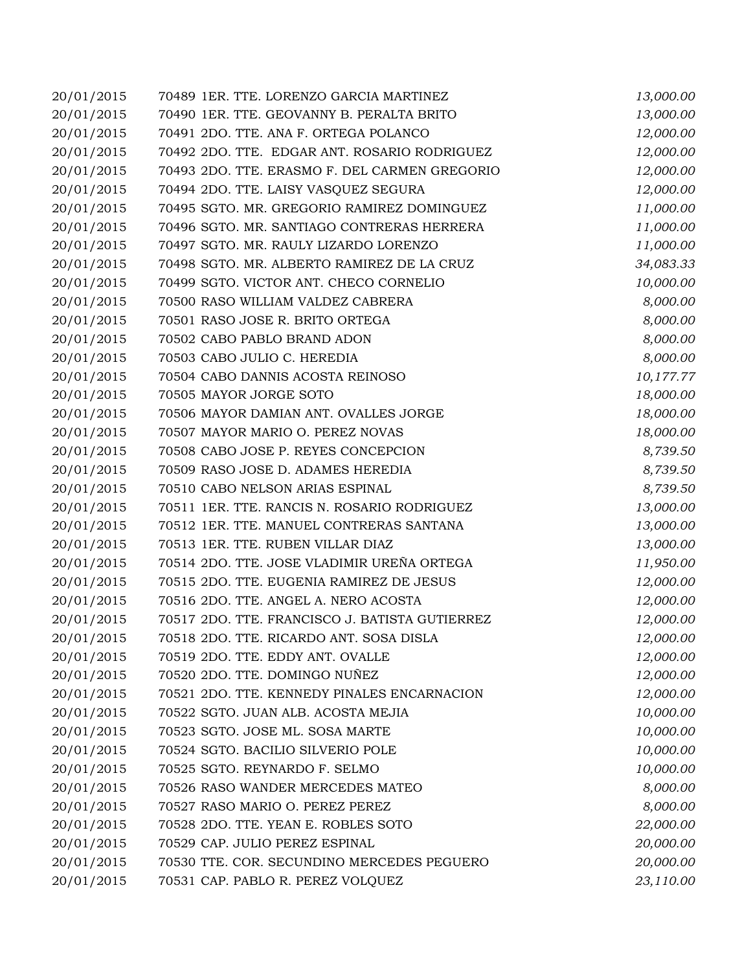| 20/01/2015 | 70489 1ER. TTE. LORENZO GARCIA MARTINEZ        | 13,000.00 |
|------------|------------------------------------------------|-----------|
| 20/01/2015 | 70490 1ER. TTE. GEOVANNY B. PERALTA BRITO      | 13,000.00 |
| 20/01/2015 | 70491 2DO. TTE. ANA F. ORTEGA POLANCO          | 12,000.00 |
| 20/01/2015 | 70492 2DO. TTE. EDGAR ANT. ROSARIO RODRIGUEZ   | 12,000.00 |
| 20/01/2015 | 70493 2DO. TTE. ERASMO F. DEL CARMEN GREGORIO  | 12,000.00 |
| 20/01/2015 | 70494 2DO. TTE. LAISY VASQUEZ SEGURA           | 12,000.00 |
| 20/01/2015 | 70495 SGTO. MR. GREGORIO RAMIREZ DOMINGUEZ     | 11,000.00 |
| 20/01/2015 | 70496 SGTO. MR. SANTIAGO CONTRERAS HERRERA     | 11,000.00 |
| 20/01/2015 | 70497 SGTO. MR. RAULY LIZARDO LORENZO          | 11,000.00 |
| 20/01/2015 | 70498 SGTO. MR. ALBERTO RAMIREZ DE LA CRUZ     | 34,083.33 |
| 20/01/2015 | 70499 SGTO. VICTOR ANT. CHECO CORNELIO         | 10,000.00 |
| 20/01/2015 | 70500 RASO WILLIAM VALDEZ CABRERA              | 8,000.00  |
| 20/01/2015 | 70501 RASO JOSE R. BRITO ORTEGA                | 8,000.00  |
| 20/01/2015 | 70502 CABO PABLO BRAND ADON                    | 8,000.00  |
| 20/01/2015 | 70503 CABO JULIO C. HEREDIA                    | 8,000.00  |
| 20/01/2015 | 70504 CABO DANNIS ACOSTA REINOSO               | 10,177.77 |
| 20/01/2015 | 70505 MAYOR JORGE SOTO                         | 18,000.00 |
| 20/01/2015 | 70506 MAYOR DAMIAN ANT. OVALLES JORGE          | 18,000.00 |
| 20/01/2015 | 70507 MAYOR MARIO O. PEREZ NOVAS               | 18,000.00 |
| 20/01/2015 | 70508 CABO JOSE P. REYES CONCEPCION            | 8,739.50  |
| 20/01/2015 | 70509 RASO JOSE D. ADAMES HEREDIA              | 8,739.50  |
| 20/01/2015 | 70510 CABO NELSON ARIAS ESPINAL                | 8,739.50  |
| 20/01/2015 | 70511 1ER. TTE. RANCIS N. ROSARIO RODRIGUEZ    | 13,000.00 |
| 20/01/2015 | 70512 1ER. TTE. MANUEL CONTRERAS SANTANA       | 13,000.00 |
| 20/01/2015 | 70513 1ER. TTE. RUBEN VILLAR DIAZ              | 13,000.00 |
| 20/01/2015 | 70514 2DO. TTE. JOSE VLADIMIR UREÑA ORTEGA     | 11,950.00 |
| 20/01/2015 | 70515 2DO. TTE. EUGENIA RAMIREZ DE JESUS       | 12,000.00 |
| 20/01/2015 | 70516 2DO. TTE. ANGEL A. NERO ACOSTA           | 12,000.00 |
| 20/01/2015 | 70517 2DO. TTE. FRANCISCO J. BATISTA GUTIERREZ | 12,000.00 |
| 20/01/2015 | 70518 2DO. TTE. RICARDO ANT. SOSA DISLA        | 12,000.00 |
| 20/01/2015 | 70519 2DO. TTE. EDDY ANT. OVALLE               | 12,000.00 |
| 20/01/2015 | 70520 2DO. TTE. DOMINGO NUÑEZ                  | 12,000.00 |
| 20/01/2015 | 70521 2DO. TTE. KENNEDY PINALES ENCARNACION    | 12,000.00 |
| 20/01/2015 | 70522 SGTO. JUAN ALB. ACOSTA MEJIA             | 10,000.00 |
| 20/01/2015 | 70523 SGTO. JOSE ML. SOSA MARTE                | 10,000.00 |
| 20/01/2015 | 70524 SGTO. BACILIO SILVERIO POLE              | 10,000.00 |
| 20/01/2015 | 70525 SGTO. REYNARDO F. SELMO                  | 10,000.00 |
| 20/01/2015 | 70526 RASO WANDER MERCEDES MATEO               | 8,000.00  |
| 20/01/2015 | 70527 RASO MARIO O. PEREZ PEREZ                | 8,000.00  |
| 20/01/2015 | 70528 2DO. TTE. YEAN E. ROBLES SOTO            | 22,000.00 |
| 20/01/2015 | 70529 CAP. JULIO PEREZ ESPINAL                 | 20,000.00 |
| 20/01/2015 | 70530 TTE. COR. SECUNDINO MERCEDES PEGUERO     | 20,000.00 |
| 20/01/2015 | 70531 CAP. PABLO R. PEREZ VOLQUEZ              | 23,110.00 |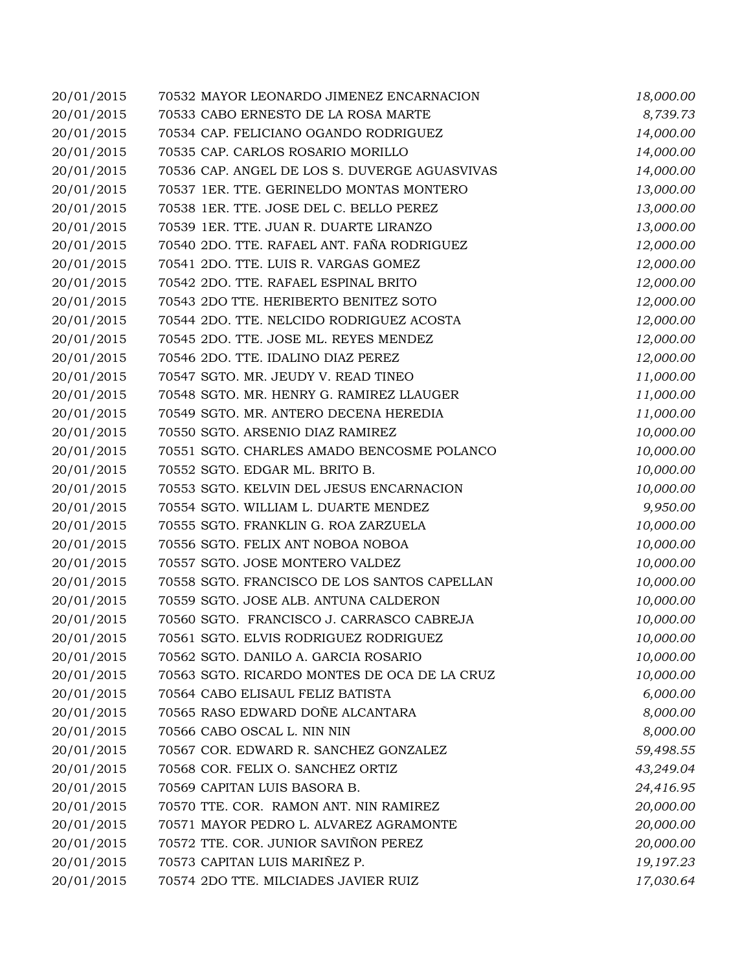| 20/01/2015 | 70532 MAYOR LEONARDO JIMENEZ ENCARNACION      | 18,000.00 |
|------------|-----------------------------------------------|-----------|
| 20/01/2015 | 70533 CABO ERNESTO DE LA ROSA MARTE           | 8,739.73  |
| 20/01/2015 | 70534 CAP. FELICIANO OGANDO RODRIGUEZ         | 14,000.00 |
| 20/01/2015 | 70535 CAP. CARLOS ROSARIO MORILLO             | 14,000.00 |
| 20/01/2015 | 70536 CAP. ANGEL DE LOS S. DUVERGE AGUASVIVAS | 14,000.00 |
| 20/01/2015 | 70537 1ER. TTE. GERINELDO MONTAS MONTERO      | 13,000.00 |
| 20/01/2015 | 70538 1ER. TTE. JOSE DEL C. BELLO PEREZ       | 13,000.00 |
| 20/01/2015 | 70539 1ER. TTE. JUAN R. DUARTE LIRANZO        | 13,000.00 |
| 20/01/2015 | 70540 2DO. TTE. RAFAEL ANT. FAÑA RODRIGUEZ    | 12,000.00 |
| 20/01/2015 | 70541 2DO. TTE. LUIS R. VARGAS GOMEZ          | 12,000.00 |
| 20/01/2015 | 70542 2DO. TTE. RAFAEL ESPINAL BRITO          | 12,000.00 |
| 20/01/2015 | 70543 2DO TTE. HERIBERTO BENITEZ SOTO         | 12,000.00 |
| 20/01/2015 | 70544 2DO. TTE. NELCIDO RODRIGUEZ ACOSTA      | 12,000.00 |
| 20/01/2015 | 70545 2DO. TTE. JOSE ML. REYES MENDEZ         | 12,000.00 |
| 20/01/2015 | 70546 2DO. TTE. IDALINO DIAZ PEREZ            | 12,000.00 |
| 20/01/2015 | 70547 SGTO. MR. JEUDY V. READ TINEO           | 11,000.00 |
| 20/01/2015 | 70548 SGTO. MR. HENRY G. RAMIREZ LLAUGER      | 11,000.00 |
| 20/01/2015 | 70549 SGTO. MR. ANTERO DECENA HEREDIA         | 11,000.00 |
| 20/01/2015 | 70550 SGTO. ARSENIO DIAZ RAMIREZ              | 10,000.00 |
| 20/01/2015 | 70551 SGTO. CHARLES AMADO BENCOSME POLANCO    | 10,000.00 |
| 20/01/2015 | 70552 SGTO. EDGAR ML. BRITO B.                | 10,000.00 |
| 20/01/2015 | 70553 SGTO. KELVIN DEL JESUS ENCARNACION      | 10,000.00 |
| 20/01/2015 | 70554 SGTO. WILLIAM L. DUARTE MENDEZ          | 9,950.00  |
| 20/01/2015 | 70555 SGTO. FRANKLIN G. ROA ZARZUELA          | 10,000.00 |
| 20/01/2015 | 70556 SGTO. FELIX ANT NOBOA NOBOA             | 10,000.00 |
| 20/01/2015 | 70557 SGTO. JOSE MONTERO VALDEZ               | 10,000.00 |
| 20/01/2015 | 70558 SGTO. FRANCISCO DE LOS SANTOS CAPELLAN  | 10,000.00 |
| 20/01/2015 | 70559 SGTO. JOSE ALB. ANTUNA CALDERON         | 10,000.00 |
| 20/01/2015 | 70560 SGTO. FRANCISCO J. CARRASCO CABREJA     | 10,000.00 |
| 20/01/2015 | 70561 SGTO. ELVIS RODRIGUEZ RODRIGUEZ         | 10,000.00 |
| 20/01/2015 | 70562 SGTO. DANILO A. GARCIA ROSARIO          | 10,000.00 |
| 20/01/2015 | 70563 SGTO. RICARDO MONTES DE OCA DE LA CRUZ  | 10,000.00 |
| 20/01/2015 | 70564 CABO ELISAUL FELIZ BATISTA              | 6,000.00  |
| 20/01/2015 | 70565 RASO EDWARD DOÑE ALCANTARA              | 8,000.00  |
| 20/01/2015 | 70566 CABO OSCAL L. NIN NIN                   | 8,000.00  |
| 20/01/2015 | 70567 COR. EDWARD R. SANCHEZ GONZALEZ         | 59,498.55 |
| 20/01/2015 | 70568 COR. FELIX O. SANCHEZ ORTIZ             | 43,249.04 |
| 20/01/2015 | 70569 CAPITAN LUIS BASORA B.                  | 24,416.95 |
| 20/01/2015 | 70570 TTE. COR. RAMON ANT. NIN RAMIREZ        | 20,000.00 |
| 20/01/2015 | 70571 MAYOR PEDRO L. ALVAREZ AGRAMONTE        | 20,000.00 |
| 20/01/2015 | 70572 TTE. COR. JUNIOR SAVIÑON PEREZ          | 20,000.00 |
| 20/01/2015 | 70573 CAPITAN LUIS MARIÑEZ P.                 | 19,197.23 |
| 20/01/2015 | 70574 2DO TTE. MILCIADES JAVIER RUIZ          | 17,030.64 |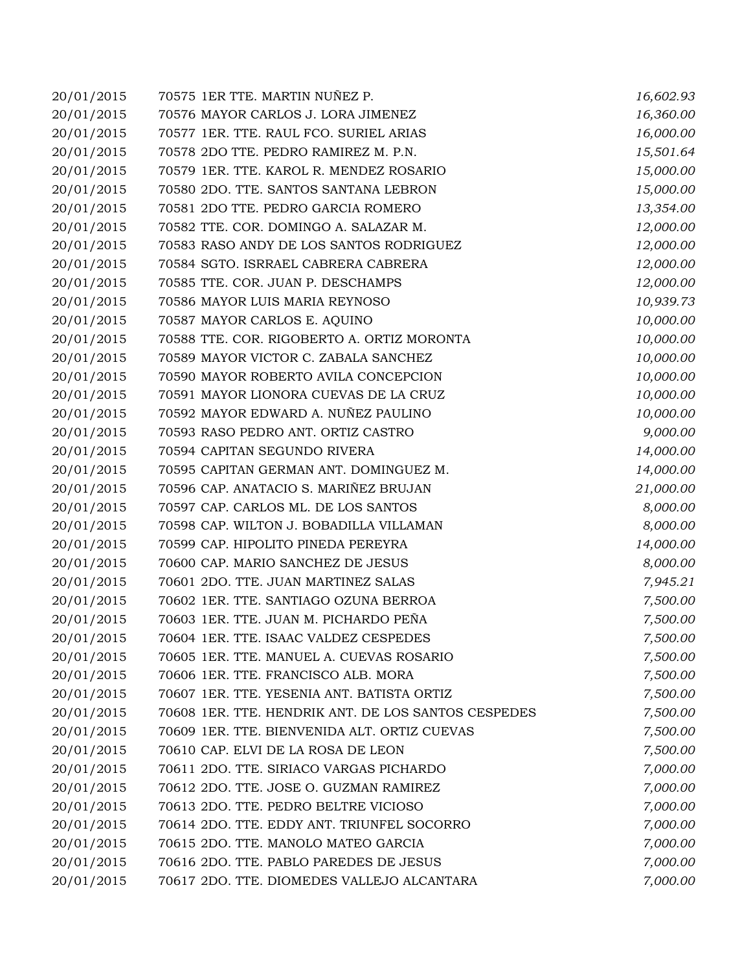| 20/01/2015 | 70575 1ER TTE. MARTIN NUÑEZ P.                      | 16,602.93 |
|------------|-----------------------------------------------------|-----------|
| 20/01/2015 | 70576 MAYOR CARLOS J. LORA JIMENEZ                  | 16,360.00 |
| 20/01/2015 | 70577 1ER. TTE. RAUL FCO. SURIEL ARIAS              | 16,000.00 |
| 20/01/2015 | 70578 2DO TTE. PEDRO RAMIREZ M. P.N.                | 15,501.64 |
| 20/01/2015 | 70579 1ER. TTE. KAROL R. MENDEZ ROSARIO             | 15,000.00 |
| 20/01/2015 | 70580 2DO. TTE. SANTOS SANTANA LEBRON               | 15,000.00 |
| 20/01/2015 | 70581 2DO TTE. PEDRO GARCIA ROMERO                  | 13,354.00 |
| 20/01/2015 | 70582 TTE. COR. DOMINGO A. SALAZAR M.               | 12,000.00 |
| 20/01/2015 | 70583 RASO ANDY DE LOS SANTOS RODRIGUEZ             | 12,000.00 |
| 20/01/2015 | 70584 SGTO. ISRRAEL CABRERA CABRERA                 | 12,000.00 |
| 20/01/2015 | 70585 TTE. COR. JUAN P. DESCHAMPS                   | 12,000.00 |
| 20/01/2015 | 70586 MAYOR LUIS MARIA REYNOSO                      | 10,939.73 |
| 20/01/2015 | 70587 MAYOR CARLOS E. AQUINO                        | 10,000.00 |
| 20/01/2015 | 70588 TTE. COR. RIGOBERTO A. ORTIZ MORONTA          | 10,000.00 |
| 20/01/2015 | 70589 MAYOR VICTOR C. ZABALA SANCHEZ                | 10,000.00 |
| 20/01/2015 | 70590 MAYOR ROBERTO AVILA CONCEPCION                | 10,000.00 |
| 20/01/2015 | 70591 MAYOR LIONORA CUEVAS DE LA CRUZ               | 10,000.00 |
| 20/01/2015 | 70592 MAYOR EDWARD A. NUÑEZ PAULINO                 | 10,000.00 |
| 20/01/2015 | 70593 RASO PEDRO ANT. ORTIZ CASTRO                  | 9,000.00  |
| 20/01/2015 | 70594 CAPITAN SEGUNDO RIVERA                        | 14,000.00 |
| 20/01/2015 | 70595 CAPITAN GERMAN ANT. DOMINGUEZ M.              | 14,000.00 |
| 20/01/2015 | 70596 CAP. ANATACIO S. MARIÑEZ BRUJAN               | 21,000.00 |
| 20/01/2015 | 70597 CAP. CARLOS ML. DE LOS SANTOS                 | 8,000.00  |
| 20/01/2015 | 70598 CAP. WILTON J. BOBADILLA VILLAMAN             | 8,000.00  |
| 20/01/2015 | 70599 CAP. HIPOLITO PINEDA PEREYRA                  | 14,000.00 |
| 20/01/2015 | 70600 CAP. MARIO SANCHEZ DE JESUS                   | 8,000.00  |
| 20/01/2015 | 70601 2DO. TTE. JUAN MARTINEZ SALAS                 | 7,945.21  |
| 20/01/2015 | 70602 1ER. TTE. SANTIAGO OZUNA BERROA               | 7,500.00  |
| 20/01/2015 | 70603 1ER. TTE. JUAN M. PICHARDO PEÑA               | 7,500.00  |
| 20/01/2015 | 70604 1ER. TTE. ISAAC VALDEZ CESPEDES               | 7,500.00  |
| 20/01/2015 | 70605 1ER. TTE. MANUEL A. CUEVAS ROSARIO            | 7,500.00  |
| 20/01/2015 | 70606 1ER. TTE. FRANCISCO ALB. MORA                 | 7,500.00  |
| 20/01/2015 | 70607 1ER. TTE. YESENIA ANT. BATISTA ORTIZ          | 7,500.00  |
| 20/01/2015 | 70608 1ER. TTE. HENDRIK ANT. DE LOS SANTOS CESPEDES | 7,500.00  |
| 20/01/2015 | 70609 1ER. TTE. BIENVENIDA ALT. ORTIZ CUEVAS        | 7,500.00  |
| 20/01/2015 | 70610 CAP. ELVI DE LA ROSA DE LEON                  | 7,500.00  |
| 20/01/2015 | 70611 2DO. TTE. SIRIACO VARGAS PICHARDO             | 7,000.00  |
| 20/01/2015 | 70612 2DO. TTE. JOSE O. GUZMAN RAMIREZ              | 7,000.00  |
| 20/01/2015 | 70613 2DO. TTE. PEDRO BELTRE VICIOSO                | 7,000.00  |
| 20/01/2015 | 70614 2DO. TTE. EDDY ANT. TRIUNFEL SOCORRO          | 7,000.00  |
| 20/01/2015 | 70615 2DO. TTE. MANOLO MATEO GARCIA                 | 7,000.00  |
| 20/01/2015 | 70616 2DO. TTE. PABLO PAREDES DE JESUS              | 7,000.00  |
| 20/01/2015 | 70617 2DO. TTE. DIOMEDES VALLEJO ALCANTARA          | 7,000.00  |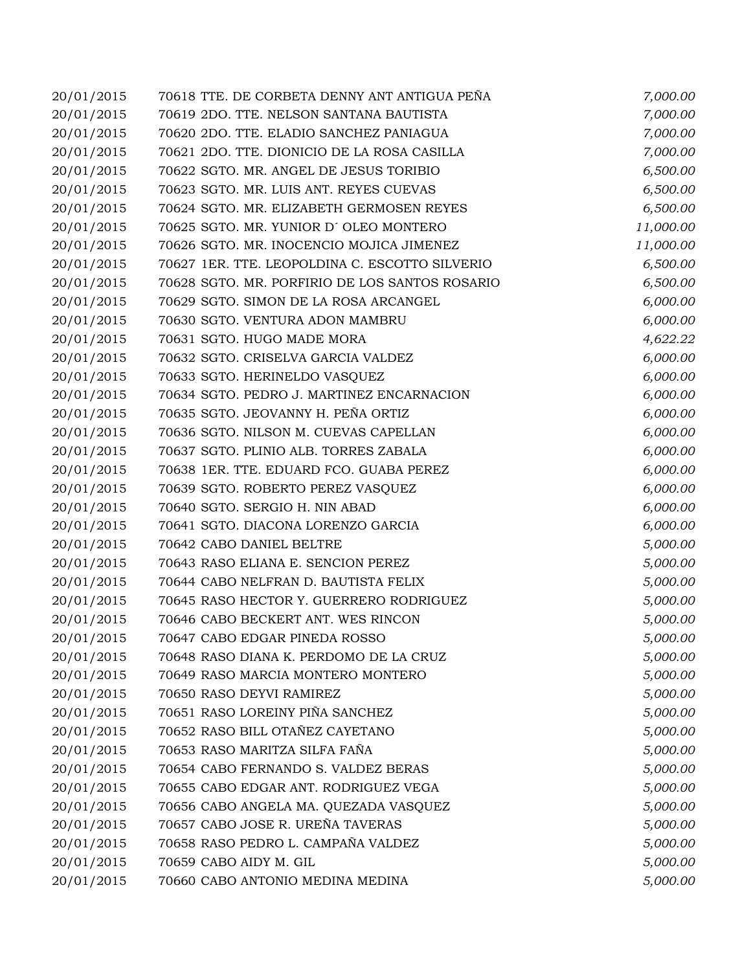| 20/01/2015 | 70618 TTE. DE CORBETA DENNY ANT ANTIGUA PEÑA   | 7,000.00  |
|------------|------------------------------------------------|-----------|
| 20/01/2015 | 70619 2DO. TTE. NELSON SANTANA BAUTISTA        | 7,000.00  |
| 20/01/2015 | 70620 2DO. TTE. ELADIO SANCHEZ PANIAGUA        | 7,000.00  |
| 20/01/2015 | 70621 2DO. TTE. DIONICIO DE LA ROSA CASILLA    | 7,000.00  |
| 20/01/2015 | 70622 SGTO. MR. ANGEL DE JESUS TORIBIO         | 6,500.00  |
| 20/01/2015 | 70623 SGTO. MR. LUIS ANT. REYES CUEVAS         | 6,500.00  |
| 20/01/2015 | 70624 SGTO. MR. ELIZABETH GERMOSEN REYES       | 6,500.00  |
| 20/01/2015 | 70625 SGTO. MR. YUNIOR D'OLEO MONTERO          | 11,000.00 |
| 20/01/2015 | 70626 SGTO. MR. INOCENCIO MOJICA JIMENEZ       | 11,000.00 |
| 20/01/2015 | 70627 1ER. TTE. LEOPOLDINA C. ESCOTTO SILVERIO | 6,500.00  |
| 20/01/2015 | 70628 SGTO. MR. PORFIRIO DE LOS SANTOS ROSARIO | 6,500.00  |
| 20/01/2015 | 70629 SGTO. SIMON DE LA ROSA ARCANGEL          | 6,000.00  |
| 20/01/2015 | 70630 SGTO. VENTURA ADON MAMBRU                | 6,000.00  |
| 20/01/2015 | 70631 SGTO. HUGO MADE MORA                     | 4,622.22  |
| 20/01/2015 | 70632 SGTO. CRISELVA GARCIA VALDEZ             | 6,000.00  |
| 20/01/2015 | 70633 SGTO. HERINELDO VASQUEZ                  | 6,000.00  |
| 20/01/2015 | 70634 SGTO. PEDRO J. MARTINEZ ENCARNACION      | 6,000.00  |
| 20/01/2015 | 70635 SGTO. JEOVANNY H. PEÑA ORTIZ             | 6,000.00  |
| 20/01/2015 | 70636 SGTO. NILSON M. CUEVAS CAPELLAN          | 6,000.00  |
| 20/01/2015 | 70637 SGTO. PLINIO ALB. TORRES ZABALA          | 6,000.00  |
| 20/01/2015 | 70638 1ER. TTE. EDUARD FCO. GUABA PEREZ        | 6,000.00  |
| 20/01/2015 | 70639 SGTO. ROBERTO PEREZ VASQUEZ              | 6,000.00  |
| 20/01/2015 | 70640 SGTO. SERGIO H. NIN ABAD                 | 6,000.00  |
| 20/01/2015 | 70641 SGTO. DIACONA LORENZO GARCIA             | 6,000.00  |
| 20/01/2015 | 70642 CABO DANIEL BELTRE                       | 5,000.00  |
| 20/01/2015 | 70643 RASO ELIANA E. SENCION PEREZ             | 5,000.00  |
| 20/01/2015 | 70644 CABO NELFRAN D. BAUTISTA FELIX           | 5,000.00  |
| 20/01/2015 | 70645 RASO HECTOR Y. GUERRERO RODRIGUEZ        | 5,000.00  |
| 20/01/2015 | 70646 CABO BECKERT ANT. WES RINCON             | 5,000.00  |
| 20/01/2015 | 70647 CABO EDGAR PINEDA ROSSO                  | 5,000.00  |
| 20/01/2015 | 70648 RASO DIANA K. PERDOMO DE LA CRUZ         | 5,000.00  |
| 20/01/2015 | 70649 RASO MARCIA MONTERO MONTERO              | 5,000.00  |
| 20/01/2015 | 70650 RASO DEYVI RAMIREZ                       | 5,000.00  |
| 20/01/2015 | 70651 RASO LOREINY PIÑA SANCHEZ                | 5,000.00  |
| 20/01/2015 | 70652 RASO BILL OTAÑEZ CAYETANO                | 5,000.00  |
| 20/01/2015 | 70653 RASO MARITZA SILFA FAÑA                  | 5,000.00  |
| 20/01/2015 | 70654 CABO FERNANDO S. VALDEZ BERAS            | 5,000.00  |
| 20/01/2015 | 70655 CABO EDGAR ANT. RODRIGUEZ VEGA           | 5,000.00  |
| 20/01/2015 | 70656 CABO ANGELA MA. QUEZADA VASQUEZ          | 5,000.00  |
| 20/01/2015 | 70657 CABO JOSE R. UREÑA TAVERAS               | 5,000.00  |
| 20/01/2015 | 70658 RASO PEDRO L. CAMPAÑA VALDEZ             | 5,000.00  |
| 20/01/2015 | 70659 CABO AIDY M. GIL                         | 5,000.00  |
| 20/01/2015 | 70660 CABO ANTONIO MEDINA MEDINA               | 5,000.00  |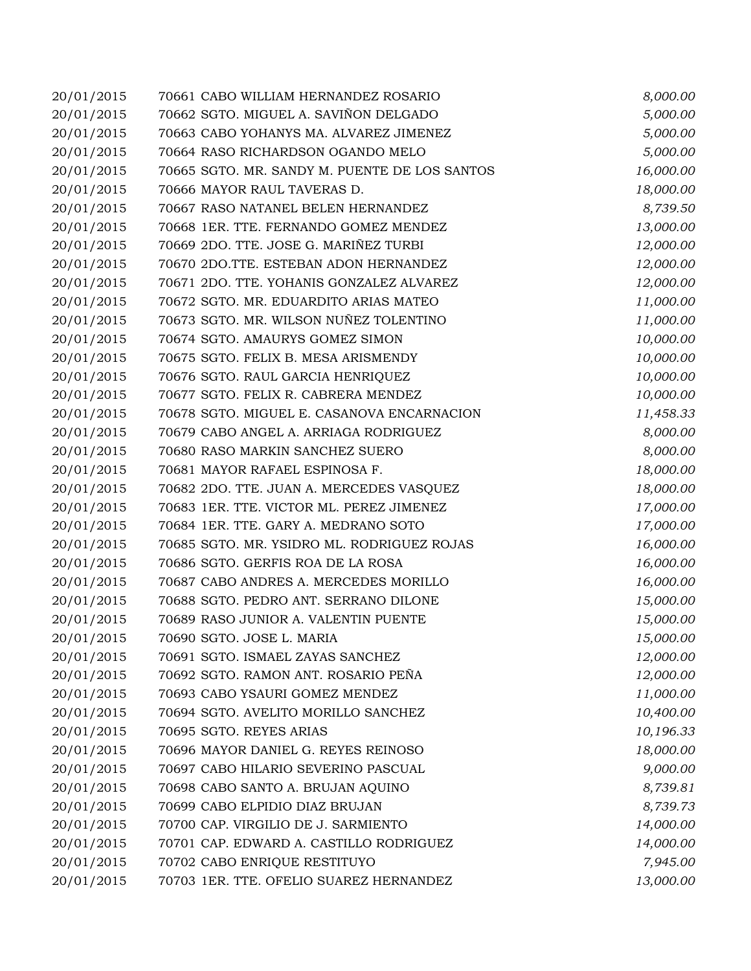| 20/01/2015 | 70661 CABO WILLIAM HERNANDEZ ROSARIO          | 8,000.00  |
|------------|-----------------------------------------------|-----------|
| 20/01/2015 | 70662 SGTO. MIGUEL A. SAVIÑON DELGADO         | 5,000.00  |
| 20/01/2015 | 70663 CABO YOHANYS MA. ALVAREZ JIMENEZ        | 5,000.00  |
| 20/01/2015 | 70664 RASO RICHARDSON OGANDO MELO             | 5,000.00  |
| 20/01/2015 | 70665 SGTO. MR. SANDY M. PUENTE DE LOS SANTOS | 16,000.00 |
| 20/01/2015 | 70666 MAYOR RAUL TAVERAS D.                   | 18,000.00 |
| 20/01/2015 | 70667 RASO NATANEL BELEN HERNANDEZ            | 8,739.50  |
| 20/01/2015 | 70668 1ER. TTE. FERNANDO GOMEZ MENDEZ         | 13,000.00 |
| 20/01/2015 | 70669 2DO. TTE. JOSE G. MARIÑEZ TURBI         | 12,000.00 |
| 20/01/2015 | 70670 2DO.TTE. ESTEBAN ADON HERNANDEZ         | 12,000.00 |
| 20/01/2015 | 70671 2DO. TTE. YOHANIS GONZALEZ ALVAREZ      | 12,000.00 |
| 20/01/2015 | 70672 SGTO. MR. EDUARDITO ARIAS MATEO         | 11,000.00 |
| 20/01/2015 | 70673 SGTO. MR. WILSON NUÑEZ TOLENTINO        | 11,000.00 |
| 20/01/2015 | 70674 SGTO. AMAURYS GOMEZ SIMON               | 10,000.00 |
| 20/01/2015 | 70675 SGTO. FELIX B. MESA ARISMENDY           | 10,000.00 |
| 20/01/2015 | 70676 SGTO. RAUL GARCIA HENRIQUEZ             | 10,000.00 |
| 20/01/2015 | 70677 SGTO. FELIX R. CABRERA MENDEZ           | 10,000.00 |
| 20/01/2015 | 70678 SGTO. MIGUEL E. CASANOVA ENCARNACION    | 11,458.33 |
| 20/01/2015 | 70679 CABO ANGEL A. ARRIAGA RODRIGUEZ         | 8,000.00  |
| 20/01/2015 | 70680 RASO MARKIN SANCHEZ SUERO               | 8,000.00  |
| 20/01/2015 | 70681 MAYOR RAFAEL ESPINOSA F.                | 18,000.00 |
| 20/01/2015 | 70682 2DO. TTE. JUAN A. MERCEDES VASQUEZ      | 18,000.00 |
| 20/01/2015 | 70683 1ER. TTE. VICTOR ML. PEREZ JIMENEZ      | 17,000.00 |
| 20/01/2015 | 70684 1ER. TTE. GARY A. MEDRANO SOTO          | 17,000.00 |
| 20/01/2015 | 70685 SGTO. MR. YSIDRO ML. RODRIGUEZ ROJAS    | 16,000.00 |
| 20/01/2015 | 70686 SGTO. GERFIS ROA DE LA ROSA             | 16,000.00 |
| 20/01/2015 | 70687 CABO ANDRES A. MERCEDES MORILLO         | 16,000.00 |
| 20/01/2015 | 70688 SGTO. PEDRO ANT. SERRANO DILONE         | 15,000.00 |
| 20/01/2015 | 70689 RASO JUNIOR A. VALENTIN PUENTE          | 15,000.00 |
| 20/01/2015 | 70690 SGTO. JOSE L. MARIA                     | 15,000.00 |
| 20/01/2015 | 70691 SGTO. ISMAEL ZAYAS SANCHEZ              | 12,000.00 |
| 20/01/2015 | 70692 SGTO. RAMON ANT. ROSARIO PEÑA           | 12,000.00 |
| 20/01/2015 | 70693 CABO YSAURI GOMEZ MENDEZ                | 11,000.00 |
| 20/01/2015 | 70694 SGTO. AVELITO MORILLO SANCHEZ           | 10,400.00 |
| 20/01/2015 | 70695 SGTO. REYES ARIAS                       | 10,196.33 |
| 20/01/2015 | 70696 MAYOR DANIEL G. REYES REINOSO           | 18,000.00 |
| 20/01/2015 | 70697 CABO HILARIO SEVERINO PASCUAL           | 9,000.00  |
| 20/01/2015 | 70698 CABO SANTO A. BRUJAN AQUINO             | 8,739.81  |
| 20/01/2015 | 70699 CABO ELPIDIO DIAZ BRUJAN                | 8,739.73  |
| 20/01/2015 | 70700 CAP. VIRGILIO DE J. SARMIENTO           | 14,000.00 |
| 20/01/2015 | 70701 CAP. EDWARD A. CASTILLO RODRIGUEZ       | 14,000.00 |
| 20/01/2015 | 70702 CABO ENRIQUE RESTITUYO                  | 7,945.00  |
| 20/01/2015 | 70703 1ER. TTE. OFELIO SUAREZ HERNANDEZ       | 13,000.00 |
|            |                                               |           |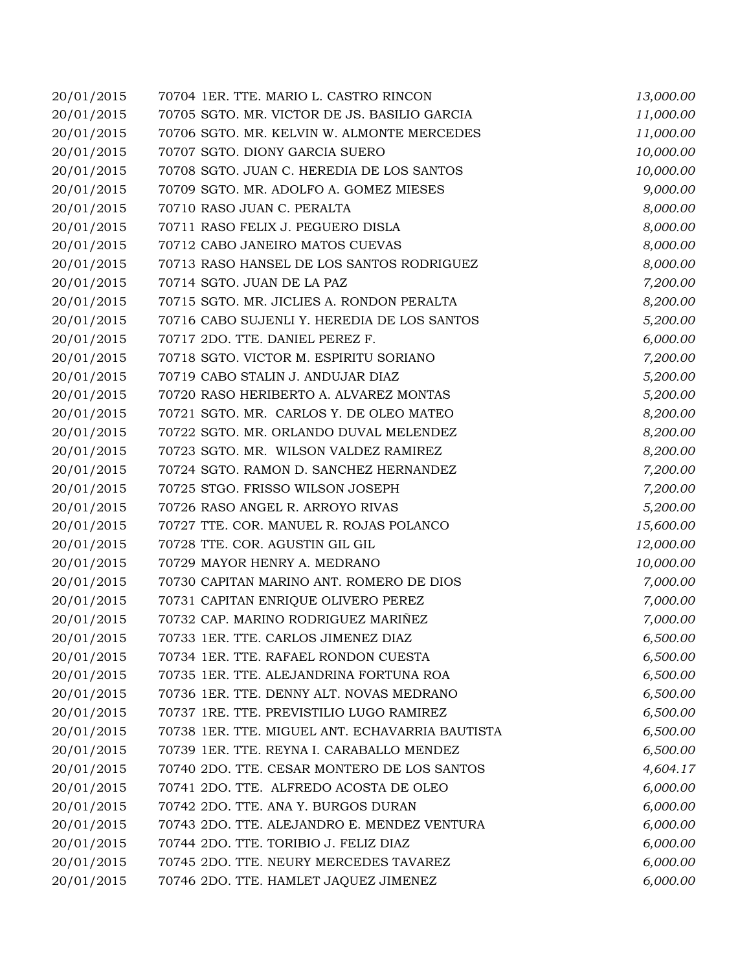| 20/01/2015 | 70704 1ER. TTE. MARIO L. CASTRO RINCON          | 13,000.00 |
|------------|-------------------------------------------------|-----------|
| 20/01/2015 | 70705 SGTO. MR. VICTOR DE JS. BASILIO GARCIA    | 11,000.00 |
| 20/01/2015 | 70706 SGTO. MR. KELVIN W. ALMONTE MERCEDES      | 11,000.00 |
| 20/01/2015 | 70707 SGTO. DIONY GARCIA SUERO                  | 10,000.00 |
| 20/01/2015 | 70708 SGTO. JUAN C. HEREDIA DE LOS SANTOS       | 10,000.00 |
| 20/01/2015 | 70709 SGTO. MR. ADOLFO A. GOMEZ MIESES          | 9,000.00  |
| 20/01/2015 | 70710 RASO JUAN C. PERALTA                      | 8,000.00  |
| 20/01/2015 | 70711 RASO FELIX J. PEGUERO DISLA               | 8,000.00  |
| 20/01/2015 | 70712 CABO JANEIRO MATOS CUEVAS                 | 8,000.00  |
| 20/01/2015 | 70713 RASO HANSEL DE LOS SANTOS RODRIGUEZ       | 8,000.00  |
| 20/01/2015 | 70714 SGTO. JUAN DE LA PAZ                      | 7,200.00  |
| 20/01/2015 | 70715 SGTO. MR. JICLIES A. RONDON PERALTA       | 8,200.00  |
| 20/01/2015 | 70716 CABO SUJENLI Y. HEREDIA DE LOS SANTOS     | 5,200.00  |
| 20/01/2015 | 70717 2DO. TTE. DANIEL PEREZ F.                 | 6,000.00  |
| 20/01/2015 | 70718 SGTO. VICTOR M. ESPIRITU SORIANO          | 7,200.00  |
| 20/01/2015 | 70719 CABO STALIN J. ANDUJAR DIAZ               | 5,200.00  |
| 20/01/2015 | 70720 RASO HERIBERTO A. ALVAREZ MONTAS          | 5,200.00  |
| 20/01/2015 | 70721 SGTO. MR. CARLOS Y. DE OLEO MATEO         | 8,200.00  |
| 20/01/2015 | 70722 SGTO. MR. ORLANDO DUVAL MELENDEZ          | 8,200.00  |
| 20/01/2015 | 70723 SGTO. MR. WILSON VALDEZ RAMIREZ           | 8,200.00  |
| 20/01/2015 | 70724 SGTO. RAMON D. SANCHEZ HERNANDEZ          | 7,200.00  |
| 20/01/2015 | 70725 STGO. FRISSO WILSON JOSEPH                | 7,200.00  |
| 20/01/2015 | 70726 RASO ANGEL R. ARROYO RIVAS                | 5,200.00  |
| 20/01/2015 | 70727 TTE. COR. MANUEL R. ROJAS POLANCO         | 15,600.00 |
| 20/01/2015 | 70728 TTE. COR. AGUSTIN GIL GIL                 | 12,000.00 |
| 20/01/2015 | 70729 MAYOR HENRY A. MEDRANO                    | 10,000.00 |
| 20/01/2015 | 70730 CAPITAN MARINO ANT. ROMERO DE DIOS        | 7,000.00  |
| 20/01/2015 | 70731 CAPITAN ENRIQUE OLIVERO PEREZ             | 7,000.00  |
| 20/01/2015 | 70732 CAP. MARINO RODRIGUEZ MARIÑEZ             | 7,000.00  |
| 20/01/2015 | 70733 1ER. TTE. CARLOS JIMENEZ DIAZ             | 6,500.00  |
| 20/01/2015 | 70734 1ER. TTE. RAFAEL RONDON CUESTA            | 6,500.00  |
| 20/01/2015 | 70735 1ER. TTE. ALEJANDRINA FORTUNA ROA         | 6,500.00  |
| 20/01/2015 | 70736 1ER. TTE. DENNY ALT. NOVAS MEDRANO        | 6,500.00  |
| 20/01/2015 | 70737 1RE. TTE. PREVISTILIO LUGO RAMIREZ        | 6,500.00  |
| 20/01/2015 | 70738 1ER. TTE. MIGUEL ANT. ECHAVARRIA BAUTISTA | 6,500.00  |
| 20/01/2015 | 70739 1ER. TTE. REYNA I. CARABALLO MENDEZ       | 6,500.00  |
| 20/01/2015 | 70740 2DO. TTE. CESAR MONTERO DE LOS SANTOS     | 4,604.17  |
| 20/01/2015 | 70741 2DO. TTE. ALFREDO ACOSTA DE OLEO          | 6,000.00  |
| 20/01/2015 | 70742 2DO. TTE. ANA Y. BURGOS DURAN             | 6,000.00  |
| 20/01/2015 | 70743 2DO. TTE. ALEJANDRO E. MENDEZ VENTURA     | 6,000.00  |
| 20/01/2015 | 70744 2DO. TTE. TORIBIO J. FELIZ DIAZ           | 6,000.00  |
| 20/01/2015 | 70745 2DO. TTE. NEURY MERCEDES TAVAREZ          | 6,000.00  |
| 20/01/2015 | 70746 2DO. TTE. HAMLET JAQUEZ JIMENEZ           | 6,000.00  |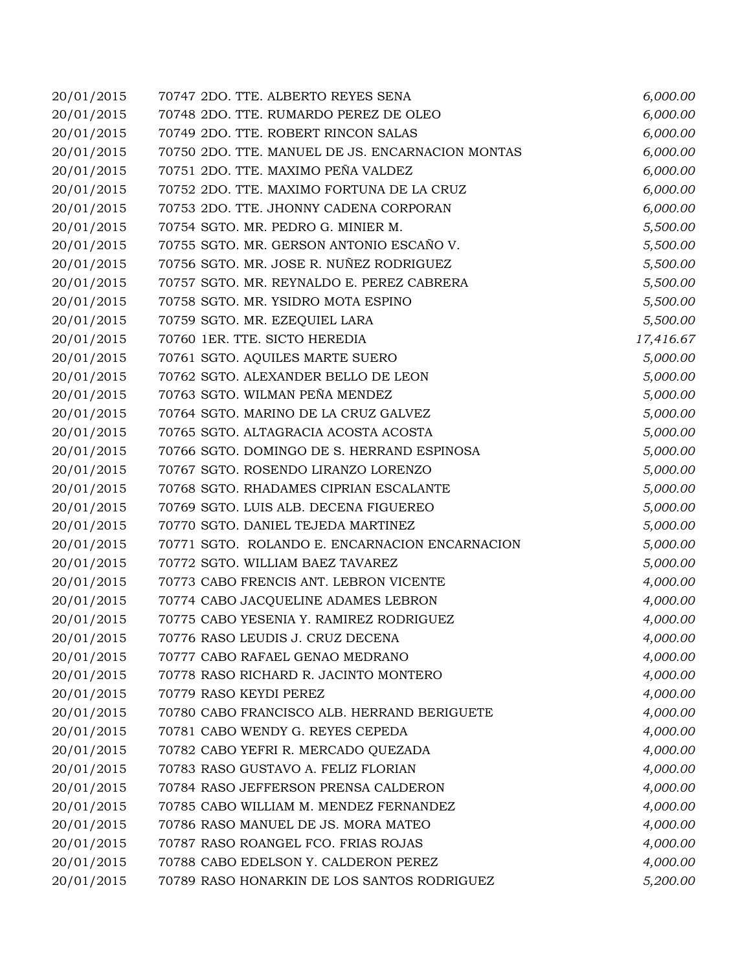| 20/01/2015 | 70747 2DO. TTE. ALBERTO REYES SENA               | 6,000.00  |
|------------|--------------------------------------------------|-----------|
| 20/01/2015 | 70748 2DO. TTE. RUMARDO PEREZ DE OLEO            | 6,000.00  |
| 20/01/2015 | 70749 2DO. TTE. ROBERT RINCON SALAS              | 6,000.00  |
| 20/01/2015 | 70750 2DO. TTE. MANUEL DE JS. ENCARNACION MONTAS | 6,000.00  |
| 20/01/2015 | 70751 2DO. TTE. MAXIMO PEÑA VALDEZ               | 6,000.00  |
| 20/01/2015 | 70752 2DO. TTE. MAXIMO FORTUNA DE LA CRUZ        | 6,000.00  |
| 20/01/2015 | 70753 2DO. TTE. JHONNY CADENA CORPORAN           | 6,000.00  |
| 20/01/2015 | 70754 SGTO. MR. PEDRO G. MINIER M.               | 5,500.00  |
| 20/01/2015 | 70755 SGTO. MR. GERSON ANTONIO ESCAÑO V.         | 5,500.00  |
| 20/01/2015 | 70756 SGTO. MR. JOSE R. NUÑEZ RODRIGUEZ          | 5,500.00  |
| 20/01/2015 | 70757 SGTO. MR. REYNALDO E. PEREZ CABRERA        | 5,500.00  |
| 20/01/2015 | 70758 SGTO. MR. YSIDRO MOTA ESPINO               | 5,500.00  |
| 20/01/2015 | 70759 SGTO. MR. EZEQUIEL LARA                    | 5,500.00  |
| 20/01/2015 | 70760 1ER. TTE. SICTO HEREDIA                    | 17,416.67 |
| 20/01/2015 | 70761 SGTO. AQUILES MARTE SUERO                  | 5,000.00  |
| 20/01/2015 | 70762 SGTO. ALEXANDER BELLO DE LEON              | 5,000.00  |
| 20/01/2015 | 70763 SGTO. WILMAN PEÑA MENDEZ                   | 5,000.00  |
| 20/01/2015 | 70764 SGTO. MARINO DE LA CRUZ GALVEZ             | 5,000.00  |
| 20/01/2015 | 70765 SGTO. ALTAGRACIA ACOSTA ACOSTA             | 5,000.00  |
| 20/01/2015 | 70766 SGTO. DOMINGO DE S. HERRAND ESPINOSA       | 5,000.00  |
| 20/01/2015 | 70767 SGTO. ROSENDO LIRANZO LORENZO              | 5,000.00  |
| 20/01/2015 | 70768 SGTO. RHADAMES CIPRIAN ESCALANTE           | 5,000.00  |
| 20/01/2015 | 70769 SGTO. LUIS ALB. DECENA FIGUEREO            | 5,000.00  |
| 20/01/2015 | 70770 SGTO. DANIEL TEJEDA MARTINEZ               | 5,000.00  |
| 20/01/2015 | 70771 SGTO. ROLANDO E. ENCARNACION ENCARNACION   | 5,000.00  |
| 20/01/2015 | 70772 SGTO. WILLIAM BAEZ TAVAREZ                 | 5,000.00  |
| 20/01/2015 | 70773 CABO FRENCIS ANT. LEBRON VICENTE           | 4,000.00  |
| 20/01/2015 | 70774 CABO JACQUELINE ADAMES LEBRON              | 4,000.00  |
| 20/01/2015 | 70775 CABO YESENIA Y. RAMIREZ RODRIGUEZ          | 4,000.00  |
| 20/01/2015 | 70776 RASO LEUDIS J. CRUZ DECENA                 | 4,000.00  |
| 20/01/2015 | 70777 CABO RAFAEL GENAO MEDRANO                  | 4,000.00  |
| 20/01/2015 | 70778 RASO RICHARD R. JACINTO MONTERO            | 4,000.00  |
| 20/01/2015 | 70779 RASO KEYDI PEREZ                           | 4,000.00  |
| 20/01/2015 | 70780 CABO FRANCISCO ALB. HERRAND BERIGUETE      | 4,000.00  |
| 20/01/2015 | 70781 CABO WENDY G. REYES CEPEDA                 | 4,000.00  |
| 20/01/2015 | 70782 CABO YEFRI R. MERCADO QUEZADA              | 4,000.00  |
| 20/01/2015 | 70783 RASO GUSTAVO A. FELIZ FLORIAN              | 4,000.00  |
| 20/01/2015 | 70784 RASO JEFFERSON PRENSA CALDERON             | 4,000.00  |
| 20/01/2015 | 70785 CABO WILLIAM M. MENDEZ FERNANDEZ           | 4,000.00  |
| 20/01/2015 | 70786 RASO MANUEL DE JS. MORA MATEO              | 4,000.00  |
| 20/01/2015 | 70787 RASO ROANGEL FCO. FRIAS ROJAS              | 4,000.00  |
| 20/01/2015 | 70788 CABO EDELSON Y. CALDERON PEREZ             | 4,000.00  |
| 20/01/2015 | 70789 RASO HONARKIN DE LOS SANTOS RODRIGUEZ      | 5,200.00  |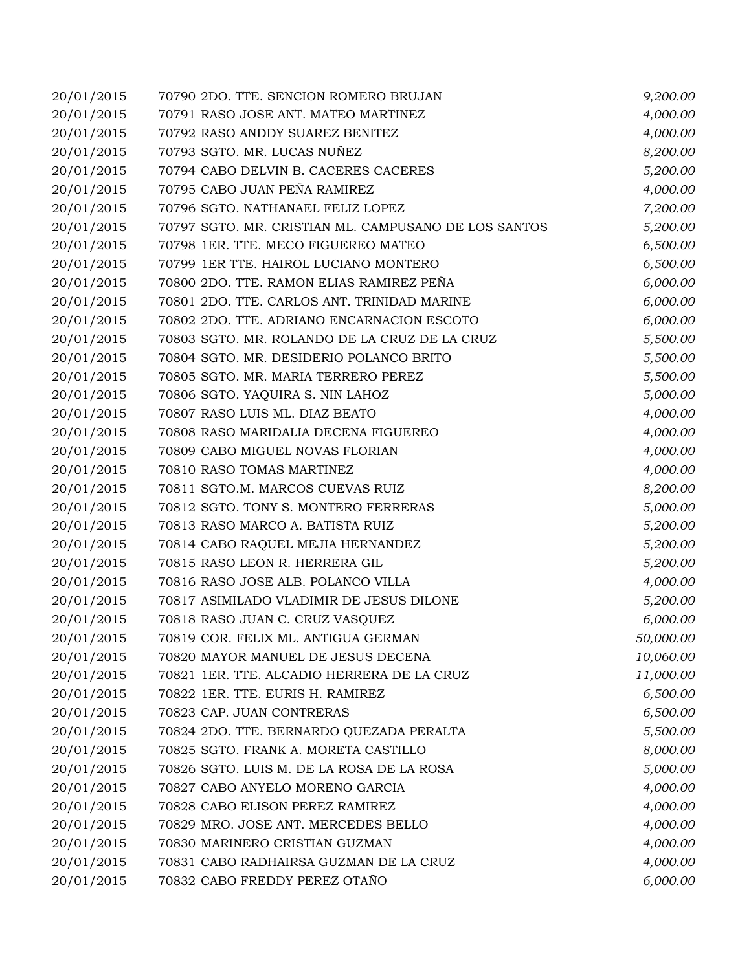| 20/01/2015 | 70790 2DO. TTE. SENCION ROMERO BRUJAN                | 9,200.00  |
|------------|------------------------------------------------------|-----------|
| 20/01/2015 | 70791 RASO JOSE ANT. MATEO MARTINEZ                  | 4,000.00  |
| 20/01/2015 | 70792 RASO ANDDY SUAREZ BENITEZ                      | 4,000.00  |
| 20/01/2015 | 70793 SGTO. MR. LUCAS NUÑEZ                          | 8,200.00  |
| 20/01/2015 | 70794 CABO DELVIN B. CACERES CACERES                 | 5,200.00  |
| 20/01/2015 | 70795 CABO JUAN PEÑA RAMIREZ                         | 4,000.00  |
| 20/01/2015 | 70796 SGTO. NATHANAEL FELIZ LOPEZ                    | 7,200.00  |
| 20/01/2015 | 70797 SGTO. MR. CRISTIAN ML. CAMPUSANO DE LOS SANTOS | 5,200.00  |
| 20/01/2015 | 70798 1ER. TTE. MECO FIGUEREO MATEO                  | 6,500.00  |
| 20/01/2015 | 70799 1ER TTE. HAIROL LUCIANO MONTERO                | 6,500.00  |
| 20/01/2015 | 70800 2DO. TTE. RAMON ELIAS RAMIREZ PEÑA             | 6,000.00  |
| 20/01/2015 | 70801 2DO. TTE. CARLOS ANT. TRINIDAD MARINE          | 6,000.00  |
| 20/01/2015 | 70802 2DO. TTE. ADRIANO ENCARNACION ESCOTO           | 6,000.00  |
| 20/01/2015 | 70803 SGTO. MR. ROLANDO DE LA CRUZ DE LA CRUZ        | 5,500.00  |
| 20/01/2015 | 70804 SGTO. MR. DESIDERIO POLANCO BRITO              | 5,500.00  |
| 20/01/2015 | 70805 SGTO. MR. MARIA TERRERO PEREZ                  | 5,500.00  |
| 20/01/2015 | 70806 SGTO. YAQUIRA S. NIN LAHOZ                     | 5,000.00  |
| 20/01/2015 | 70807 RASO LUIS ML. DIAZ BEATO                       | 4,000.00  |
| 20/01/2015 | 70808 RASO MARIDALIA DECENA FIGUEREO                 | 4,000.00  |
| 20/01/2015 | 70809 CABO MIGUEL NOVAS FLORIAN                      | 4,000.00  |
| 20/01/2015 | 70810 RASO TOMAS MARTINEZ                            | 4,000.00  |
| 20/01/2015 | 70811 SGTO.M. MARCOS CUEVAS RUIZ                     | 8,200.00  |
| 20/01/2015 | 70812 SGTO. TONY S. MONTERO FERRERAS                 | 5,000.00  |
| 20/01/2015 | 70813 RASO MARCO A. BATISTA RUIZ                     | 5,200.00  |
| 20/01/2015 | 70814 CABO RAQUEL MEJIA HERNANDEZ                    | 5,200.00  |
| 20/01/2015 | 70815 RASO LEON R. HERRERA GIL                       | 5,200.00  |
| 20/01/2015 | 70816 RASO JOSE ALB. POLANCO VILLA                   | 4,000.00  |
| 20/01/2015 | 70817 ASIMILADO VLADIMIR DE JESUS DILONE             | 5,200.00  |
| 20/01/2015 | 70818 RASO JUAN C. CRUZ VASQUEZ                      | 6,000.00  |
| 20/01/2015 | 70819 COR. FELIX ML. ANTIGUA GERMAN                  | 50,000.00 |
| 20/01/2015 | 70820 MAYOR MANUEL DE JESUS DECENA                   | 10,060.00 |
| 20/01/2015 | 70821 1ER. TTE. ALCADIO HERRERA DE LA CRUZ           | 11,000.00 |
| 20/01/2015 | 70822 1ER. TTE. EURIS H. RAMIREZ                     | 6,500.00  |
| 20/01/2015 | 70823 CAP. JUAN CONTRERAS                            | 6,500.00  |
| 20/01/2015 | 70824 2DO. TTE. BERNARDO QUEZADA PERALTA             | 5,500.00  |
| 20/01/2015 | 70825 SGTO. FRANK A. MORETA CASTILLO                 | 8,000.00  |
| 20/01/2015 | 70826 SGTO. LUIS M. DE LA ROSA DE LA ROSA            | 5,000.00  |
| 20/01/2015 | 70827 CABO ANYELO MORENO GARCIA                      | 4,000.00  |
| 20/01/2015 | 70828 CABO ELISON PEREZ RAMIREZ                      | 4,000.00  |
| 20/01/2015 | 70829 MRO. JOSE ANT. MERCEDES BELLO                  | 4,000.00  |
| 20/01/2015 | 70830 MARINERO CRISTIAN GUZMAN                       | 4,000.00  |
| 20/01/2015 | 70831 CABO RADHAIRSA GUZMAN DE LA CRUZ               | 4,000.00  |
| 20/01/2015 | 70832 CABO FREDDY PEREZ OTAÑO                        | 6,000.00  |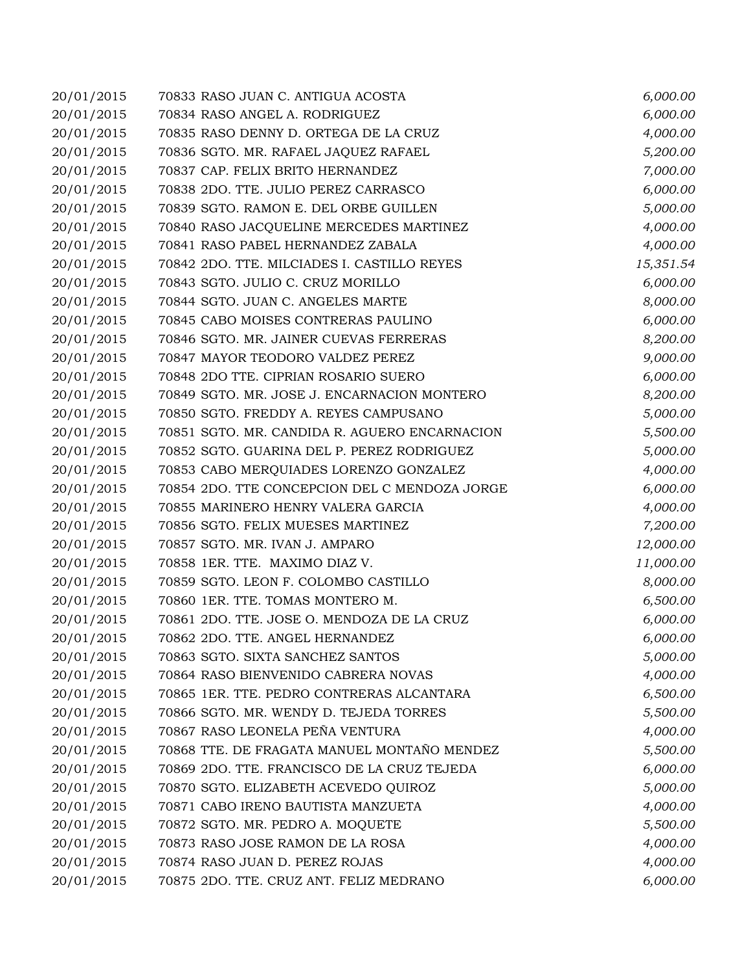| 20/01/2015 | 70833 RASO JUAN C. ANTIGUA ACOSTA             | 6,000.00  |
|------------|-----------------------------------------------|-----------|
| 20/01/2015 | 70834 RASO ANGEL A. RODRIGUEZ                 | 6,000.00  |
| 20/01/2015 | 70835 RASO DENNY D. ORTEGA DE LA CRUZ         | 4,000.00  |
| 20/01/2015 | 70836 SGTO. MR. RAFAEL JAQUEZ RAFAEL          | 5,200.00  |
| 20/01/2015 | 70837 CAP. FELIX BRITO HERNANDEZ              | 7,000.00  |
| 20/01/2015 | 70838 2DO. TTE. JULIO PEREZ CARRASCO          | 6,000.00  |
| 20/01/2015 | 70839 SGTO. RAMON E. DEL ORBE GUILLEN         | 5,000.00  |
| 20/01/2015 | 70840 RASO JACQUELINE MERCEDES MARTINEZ       | 4,000.00  |
| 20/01/2015 | 70841 RASO PABEL HERNANDEZ ZABALA             | 4,000.00  |
| 20/01/2015 | 70842 2DO. TTE. MILCIADES I. CASTILLO REYES   | 15,351.54 |
| 20/01/2015 | 70843 SGTO. JULIO C. CRUZ MORILLO             | 6,000.00  |
| 20/01/2015 | 70844 SGTO. JUAN C. ANGELES MARTE             | 8,000.00  |
| 20/01/2015 | 70845 CABO MOISES CONTRERAS PAULINO           | 6,000.00  |
| 20/01/2015 | 70846 SGTO. MR. JAINER CUEVAS FERRERAS        | 8,200.00  |
| 20/01/2015 | 70847 MAYOR TEODORO VALDEZ PEREZ              | 9,000.00  |
| 20/01/2015 | 70848 2DO TTE. CIPRIAN ROSARIO SUERO          | 6,000.00  |
| 20/01/2015 | 70849 SGTO. MR. JOSE J. ENCARNACION MONTERO   | 8,200.00  |
| 20/01/2015 | 70850 SGTO. FREDDY A. REYES CAMPUSANO         | 5,000.00  |
| 20/01/2015 | 70851 SGTO. MR. CANDIDA R. AGUERO ENCARNACION | 5,500.00  |
| 20/01/2015 | 70852 SGTO. GUARINA DEL P. PEREZ RODRIGUEZ    | 5,000.00  |
| 20/01/2015 | 70853 CABO MERQUIADES LORENZO GONZALEZ        | 4,000.00  |
| 20/01/2015 | 70854 2DO. TTE CONCEPCION DEL C MENDOZA JORGE | 6,000.00  |
| 20/01/2015 | 70855 MARINERO HENRY VALERA GARCIA            | 4,000.00  |
| 20/01/2015 | 70856 SGTO. FELIX MUESES MARTINEZ             | 7,200.00  |
| 20/01/2015 | 70857 SGTO. MR. IVAN J. AMPARO                | 12,000.00 |
| 20/01/2015 | 70858 1ER. TTE. MAXIMO DIAZ V.                | 11,000.00 |
| 20/01/2015 | 70859 SGTO. LEON F. COLOMBO CASTILLO          | 8,000.00  |
| 20/01/2015 | 70860 1ER. TTE. TOMAS MONTERO M.              | 6,500.00  |
| 20/01/2015 | 70861 2DO. TTE. JOSE O. MENDOZA DE LA CRUZ    | 6,000.00  |
| 20/01/2015 | 70862 2DO. TTE. ANGEL HERNANDEZ               | 6,000.00  |
| 20/01/2015 | 70863 SGTO. SIXTA SANCHEZ SANTOS              | 5,000.00  |
| 20/01/2015 | 70864 RASO BIENVENIDO CABRERA NOVAS           | 4,000.00  |
| 20/01/2015 | 70865 1ER. TTE. PEDRO CONTRERAS ALCANTARA     | 6,500.00  |
| 20/01/2015 | 70866 SGTO. MR. WENDY D. TEJEDA TORRES        | 5,500.00  |
| 20/01/2015 | 70867 RASO LEONELA PEÑA VENTURA               | 4,000.00  |
| 20/01/2015 | 70868 TTE. DE FRAGATA MANUEL MONTAÑO MENDEZ   | 5,500.00  |
| 20/01/2015 | 70869 2DO. TTE. FRANCISCO DE LA CRUZ TEJEDA   | 6,000.00  |
| 20/01/2015 | 70870 SGTO. ELIZABETH ACEVEDO QUIROZ          | 5,000.00  |
| 20/01/2015 | 70871 CABO IRENO BAUTISTA MANZUETA            | 4,000.00  |
| 20/01/2015 | 70872 SGTO. MR. PEDRO A. MOQUETE              | 5,500.00  |
| 20/01/2015 | 70873 RASO JOSE RAMON DE LA ROSA              | 4,000.00  |
| 20/01/2015 | 70874 RASO JUAN D. PEREZ ROJAS                | 4,000.00  |
| 20/01/2015 | 70875 2DO. TTE. CRUZ ANT. FELIZ MEDRANO       | 6,000.00  |
|            |                                               |           |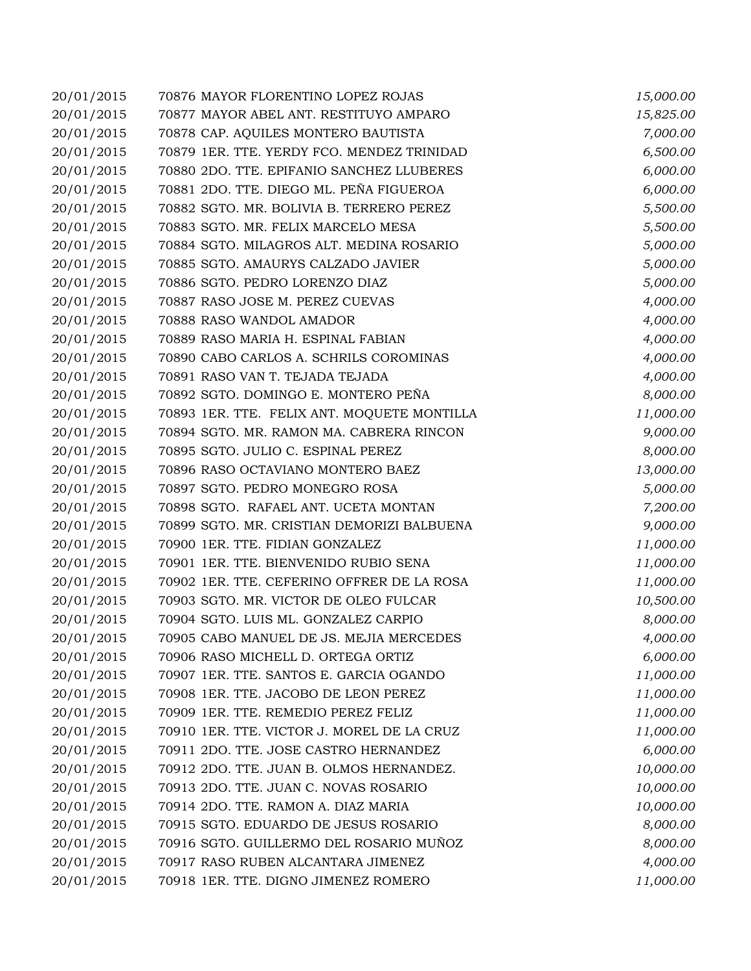| 20/01/2015 | 70876 MAYOR FLORENTINO LOPEZ ROJAS          | 15,000.00 |
|------------|---------------------------------------------|-----------|
| 20/01/2015 | 70877 MAYOR ABEL ANT. RESTITUYO AMPARO      | 15,825.00 |
| 20/01/2015 | 70878 CAP. AQUILES MONTERO BAUTISTA         | 7,000.00  |
| 20/01/2015 | 70879 1ER. TTE. YERDY FCO. MENDEZ TRINIDAD  | 6,500.00  |
| 20/01/2015 | 70880 2DO. TTE. EPIFANIO SANCHEZ LLUBERES   | 6,000.00  |
| 20/01/2015 | 70881 2DO. TTE. DIEGO ML. PEÑA FIGUEROA     | 6,000.00  |
| 20/01/2015 | 70882 SGTO. MR. BOLIVIA B. TERRERO PEREZ    | 5,500.00  |
| 20/01/2015 | 70883 SGTO. MR. FELIX MARCELO MESA          | 5,500.00  |
| 20/01/2015 | 70884 SGTO. MILAGROS ALT. MEDINA ROSARIO    | 5,000.00  |
| 20/01/2015 | 70885 SGTO. AMAURYS CALZADO JAVIER          | 5,000.00  |
| 20/01/2015 | 70886 SGTO. PEDRO LORENZO DIAZ              | 5,000.00  |
| 20/01/2015 | 70887 RASO JOSE M. PEREZ CUEVAS             | 4,000.00  |
| 20/01/2015 | 70888 RASO WANDOL AMADOR                    | 4,000.00  |
| 20/01/2015 | 70889 RASO MARIA H. ESPINAL FABIAN          | 4,000.00  |
| 20/01/2015 | 70890 CABO CARLOS A. SCHRILS COROMINAS      | 4,000.00  |
| 20/01/2015 | 70891 RASO VAN T. TEJADA TEJADA             | 4,000.00  |
| 20/01/2015 | 70892 SGTO. DOMINGO E. MONTERO PEÑA         | 8,000.00  |
| 20/01/2015 | 70893 1ER. TTE. FELIX ANT. MOQUETE MONTILLA | 11,000.00 |
| 20/01/2015 | 70894 SGTO. MR. RAMON MA. CABRERA RINCON    | 9,000.00  |
| 20/01/2015 | 70895 SGTO. JULIO C. ESPINAL PEREZ          | 8,000.00  |
| 20/01/2015 | 70896 RASO OCTAVIANO MONTERO BAEZ           | 13,000.00 |
| 20/01/2015 | 70897 SGTO. PEDRO MONEGRO ROSA              | 5,000.00  |
| 20/01/2015 | 70898 SGTO. RAFAEL ANT. UCETA MONTAN        | 7,200.00  |
| 20/01/2015 | 70899 SGTO. MR. CRISTIAN DEMORIZI BALBUENA  | 9,000.00  |
| 20/01/2015 | 70900 1ER. TTE. FIDIAN GONZALEZ             | 11,000.00 |
| 20/01/2015 | 70901 1ER. TTE. BIENVENIDO RUBIO SENA       | 11,000.00 |
| 20/01/2015 | 70902 1ER. TTE. CEFERINO OFFRER DE LA ROSA  | 11,000.00 |
| 20/01/2015 | 70903 SGTO. MR. VICTOR DE OLEO FULCAR       | 10,500.00 |
| 20/01/2015 | 70904 SGTO. LUIS ML. GONZALEZ CARPIO        | 8,000.00  |
| 20/01/2015 | 70905 CABO MANUEL DE JS. MEJIA MERCEDES     | 4,000.00  |
| 20/01/2015 | 70906 RASO MICHELL D. ORTEGA ORTIZ          | 6,000.00  |
| 20/01/2015 | 70907 1ER. TTE. SANTOS E. GARCIA OGANDO     | 11,000.00 |
| 20/01/2015 | 70908 1ER. TTE. JACOBO DE LEON PEREZ        | 11,000.00 |
| 20/01/2015 | 70909 1ER. TTE. REMEDIO PEREZ FELIZ         | 11,000.00 |
| 20/01/2015 | 70910 1ER. TTE. VICTOR J. MOREL DE LA CRUZ  | 11,000.00 |
| 20/01/2015 | 70911 2DO. TTE. JOSE CASTRO HERNANDEZ       | 6,000.00  |
| 20/01/2015 | 70912 2DO. TTE. JUAN B. OLMOS HERNANDEZ.    | 10,000.00 |
| 20/01/2015 | 70913 2DO. TTE. JUAN C. NOVAS ROSARIO       | 10,000.00 |
| 20/01/2015 | 70914 2DO. TTE. RAMON A. DIAZ MARIA         | 10,000.00 |
| 20/01/2015 | 70915 SGTO. EDUARDO DE JESUS ROSARIO        | 8,000.00  |
| 20/01/2015 | 70916 SGTO. GUILLERMO DEL ROSARIO MUÑOZ     | 8,000.00  |
| 20/01/2015 | 70917 RASO RUBEN ALCANTARA JIMENEZ          | 4,000.00  |
| 20/01/2015 | 70918 1ER. TTE. DIGNO JIMENEZ ROMERO        | 11,000.00 |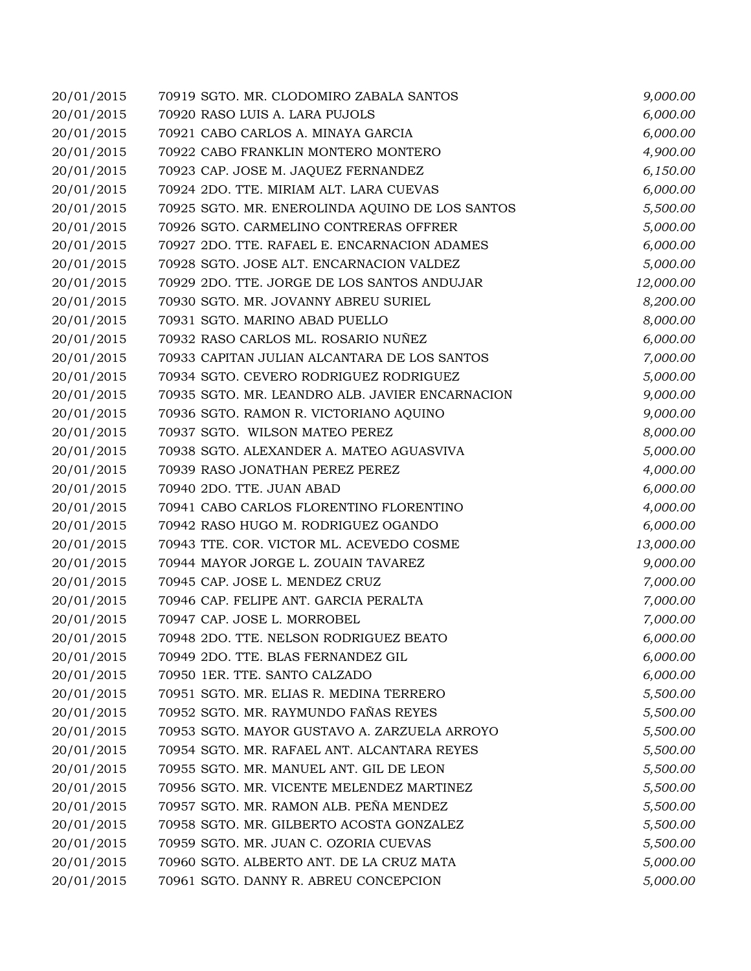| 20/01/2015 | 70919 SGTO. MR. CLODOMIRO ZABALA SANTOS         | 9,000.00  |
|------------|-------------------------------------------------|-----------|
| 20/01/2015 | 70920 RASO LUIS A. LARA PUJOLS                  | 6,000.00  |
| 20/01/2015 | 70921 CABO CARLOS A. MINAYA GARCIA              | 6,000.00  |
| 20/01/2015 | 70922 CABO FRANKLIN MONTERO MONTERO             | 4,900.00  |
| 20/01/2015 | 70923 CAP. JOSE M. JAQUEZ FERNANDEZ             | 6,150.00  |
| 20/01/2015 | 70924 2DO. TTE. MIRIAM ALT. LARA CUEVAS         | 6,000.00  |
| 20/01/2015 | 70925 SGTO. MR. ENEROLINDA AQUINO DE LOS SANTOS | 5,500.00  |
| 20/01/2015 | 70926 SGTO. CARMELINO CONTRERAS OFFRER          | 5,000.00  |
| 20/01/2015 | 70927 2DO. TTE. RAFAEL E. ENCARNACION ADAMES    | 6,000.00  |
| 20/01/2015 | 70928 SGTO. JOSE ALT. ENCARNACION VALDEZ        | 5,000.00  |
| 20/01/2015 | 70929 2DO. TTE. JORGE DE LOS SANTOS ANDUJAR     | 12,000.00 |
| 20/01/2015 | 70930 SGTO. MR. JOVANNY ABREU SURIEL            | 8,200.00  |
| 20/01/2015 | 70931 SGTO. MARINO ABAD PUELLO                  | 8,000.00  |
| 20/01/2015 | 70932 RASO CARLOS ML. ROSARIO NUÑEZ             | 6,000.00  |
| 20/01/2015 | 70933 CAPITAN JULIAN ALCANTARA DE LOS SANTOS    | 7,000.00  |
| 20/01/2015 | 70934 SGTO. CEVERO RODRIGUEZ RODRIGUEZ          | 5,000.00  |
| 20/01/2015 | 70935 SGTO. MR. LEANDRO ALB. JAVIER ENCARNACION | 9,000.00  |
| 20/01/2015 | 70936 SGTO. RAMON R. VICTORIANO AQUINO          | 9,000.00  |
| 20/01/2015 | 70937 SGTO. WILSON MATEO PEREZ                  | 8,000.00  |
| 20/01/2015 | 70938 SGTO. ALEXANDER A. MATEO AGUASVIVA        | 5,000.00  |
| 20/01/2015 | 70939 RASO JONATHAN PEREZ PEREZ                 | 4,000.00  |
| 20/01/2015 | 70940 2DO. TTE. JUAN ABAD                       | 6,000.00  |
| 20/01/2015 | 70941 CABO CARLOS FLORENTINO FLORENTINO         | 4,000.00  |
| 20/01/2015 | 70942 RASO HUGO M. RODRIGUEZ OGANDO             | 6,000.00  |
| 20/01/2015 | 70943 TTE. COR. VICTOR ML. ACEVEDO COSME        | 13,000.00 |
| 20/01/2015 | 70944 MAYOR JORGE L. ZOUAIN TAVAREZ             | 9,000.00  |
| 20/01/2015 | 70945 CAP. JOSE L. MENDEZ CRUZ                  | 7,000.00  |
| 20/01/2015 | 70946 CAP. FELIPE ANT. GARCIA PERALTA           | 7,000.00  |
| 20/01/2015 | 70947 CAP. JOSE L. MORROBEL                     | 7,000.00  |
| 20/01/2015 | 70948 2DO. TTE. NELSON RODRIGUEZ BEATO          | 6,000.00  |
| 20/01/2015 | 70949 2DO. TTE. BLAS FERNANDEZ GIL              | 6,000.00  |
| 20/01/2015 | 70950 1ER. TTE. SANTO CALZADO                   | 6,000.00  |
| 20/01/2015 | 70951 SGTO. MR. ELIAS R. MEDINA TERRERO         | 5,500.00  |
| 20/01/2015 | 70952 SGTO. MR. RAYMUNDO FAÑAS REYES            | 5,500.00  |
| 20/01/2015 | 70953 SGTO. MAYOR GUSTAVO A. ZARZUELA ARROYO    | 5,500.00  |
| 20/01/2015 | 70954 SGTO. MR. RAFAEL ANT. ALCANTARA REYES     | 5,500.00  |
| 20/01/2015 | 70955 SGTO. MR. MANUEL ANT. GIL DE LEON         | 5,500.00  |
| 20/01/2015 | 70956 SGTO. MR. VICENTE MELENDEZ MARTINEZ       | 5,500.00  |
| 20/01/2015 | 70957 SGTO. MR. RAMON ALB. PEÑA MENDEZ          | 5,500.00  |
| 20/01/2015 | 70958 SGTO. MR. GILBERTO ACOSTA GONZALEZ        | 5,500.00  |
| 20/01/2015 | 70959 SGTO. MR. JUAN C. OZORIA CUEVAS           | 5,500.00  |
| 20/01/2015 | 70960 SGTO. ALBERTO ANT. DE LA CRUZ MATA        | 5,000.00  |
| 20/01/2015 | 70961 SGTO. DANNY R. ABREU CONCEPCION           | 5,000.00  |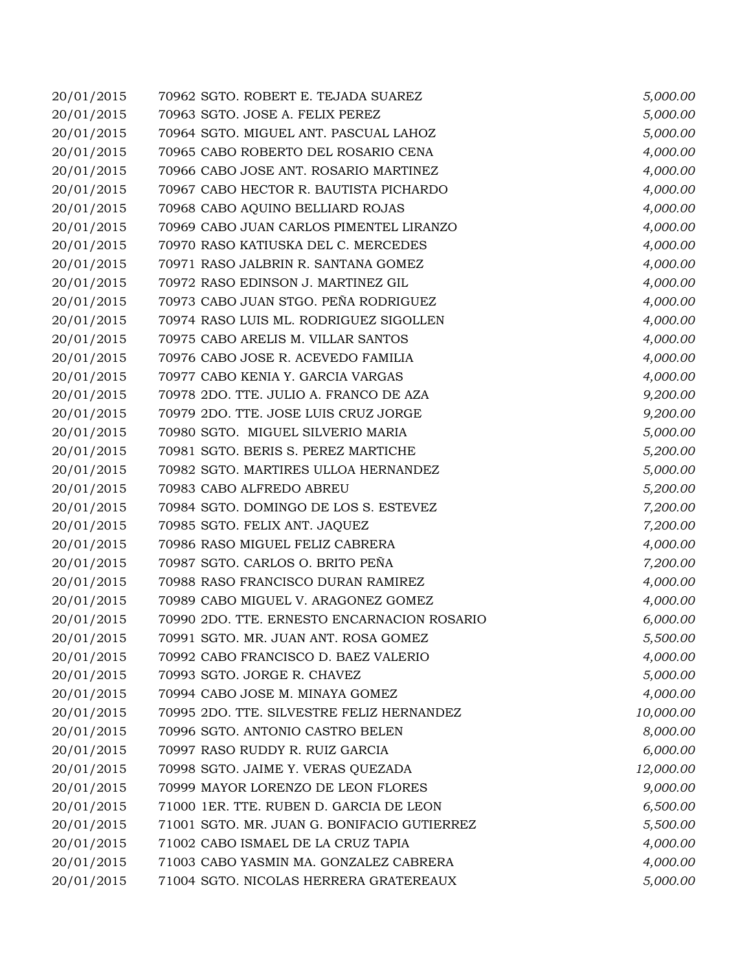| 20/01/2015 | 70962 SGTO. ROBERT E. TEJADA SUAREZ         | 5,000.00  |
|------------|---------------------------------------------|-----------|
| 20/01/2015 | 70963 SGTO. JOSE A. FELIX PEREZ             | 5,000.00  |
| 20/01/2015 | 70964 SGTO. MIGUEL ANT. PASCUAL LAHOZ       | 5,000.00  |
| 20/01/2015 | 70965 CABO ROBERTO DEL ROSARIO CENA         | 4,000.00  |
| 20/01/2015 | 70966 CABO JOSE ANT. ROSARIO MARTINEZ       | 4,000.00  |
| 20/01/2015 | 70967 CABO HECTOR R. BAUTISTA PICHARDO      | 4,000.00  |
| 20/01/2015 | 70968 CABO AQUINO BELLIARD ROJAS            | 4,000.00  |
| 20/01/2015 | 70969 CABO JUAN CARLOS PIMENTEL LIRANZO     | 4,000.00  |
| 20/01/2015 | 70970 RASO KATIUSKA DEL C. MERCEDES         | 4,000.00  |
| 20/01/2015 | 70971 RASO JALBRIN R. SANTANA GOMEZ         | 4,000.00  |
| 20/01/2015 | 70972 RASO EDINSON J. MARTINEZ GIL          | 4,000.00  |
| 20/01/2015 | 70973 CABO JUAN STGO. PEÑA RODRIGUEZ        | 4,000.00  |
| 20/01/2015 | 70974 RASO LUIS ML. RODRIGUEZ SIGOLLEN      | 4,000.00  |
| 20/01/2015 | 70975 CABO ARELIS M. VILLAR SANTOS          | 4,000.00  |
| 20/01/2015 | 70976 CABO JOSE R. ACEVEDO FAMILIA          | 4,000.00  |
| 20/01/2015 | 70977 CABO KENIA Y. GARCIA VARGAS           | 4,000.00  |
| 20/01/2015 | 70978 2DO. TTE. JULIO A. FRANCO DE AZA      | 9,200.00  |
| 20/01/2015 | 70979 2DO. TTE. JOSE LUIS CRUZ JORGE        | 9,200.00  |
| 20/01/2015 | 70980 SGTO. MIGUEL SILVERIO MARIA           | 5,000.00  |
| 20/01/2015 | 70981 SGTO. BERIS S. PEREZ MARTICHE         | 5,200.00  |
| 20/01/2015 | 70982 SGTO. MARTIRES ULLOA HERNANDEZ        | 5,000.00  |
| 20/01/2015 | 70983 CABO ALFREDO ABREU                    | 5,200.00  |
| 20/01/2015 | 70984 SGTO. DOMINGO DE LOS S. ESTEVEZ       | 7,200.00  |
| 20/01/2015 | 70985 SGTO. FELIX ANT. JAQUEZ               | 7,200.00  |
| 20/01/2015 | 70986 RASO MIGUEL FELIZ CABRERA             | 4,000.00  |
| 20/01/2015 | 70987 SGTO. CARLOS O. BRITO PEÑA            | 7,200.00  |
| 20/01/2015 | 70988 RASO FRANCISCO DURAN RAMIREZ          | 4,000.00  |
| 20/01/2015 | 70989 CABO MIGUEL V. ARAGONEZ GOMEZ         | 4,000.00  |
| 20/01/2015 | 70990 2DO. TTE. ERNESTO ENCARNACION ROSARIO | 6,000.00  |
| 20/01/2015 | 70991 SGTO. MR. JUAN ANT. ROSA GOMEZ        | 5,500.00  |
| 20/01/2015 | 70992 CABO FRANCISCO D. BAEZ VALERIO        | 4,000.00  |
| 20/01/2015 | 70993 SGTO. JORGE R. CHAVEZ                 | 5,000.00  |
| 20/01/2015 | 70994 CABO JOSE M. MINAYA GOMEZ             | 4,000.00  |
| 20/01/2015 | 70995 2DO. TTE. SILVESTRE FELIZ HERNANDEZ   | 10,000.00 |
| 20/01/2015 | 70996 SGTO. ANTONIO CASTRO BELEN            | 8,000.00  |
| 20/01/2015 | 70997 RASO RUDDY R. RUIZ GARCIA             | 6,000.00  |
| 20/01/2015 | 70998 SGTO. JAIME Y. VERAS QUEZADA          | 12,000.00 |
| 20/01/2015 | 70999 MAYOR LORENZO DE LEON FLORES          | 9,000.00  |
| 20/01/2015 | 71000 1ER. TTE. RUBEN D. GARCIA DE LEON     | 6,500.00  |
| 20/01/2015 | 71001 SGTO. MR. JUAN G. BONIFACIO GUTIERREZ | 5,500.00  |
| 20/01/2015 | 71002 CABO ISMAEL DE LA CRUZ TAPIA          | 4,000.00  |
| 20/01/2015 | 71003 CABO YASMIN MA. GONZALEZ CABRERA      | 4,000.00  |
| 20/01/2015 | 71004 SGTO. NICOLAS HERRERA GRATEREAUX      | 5,000.00  |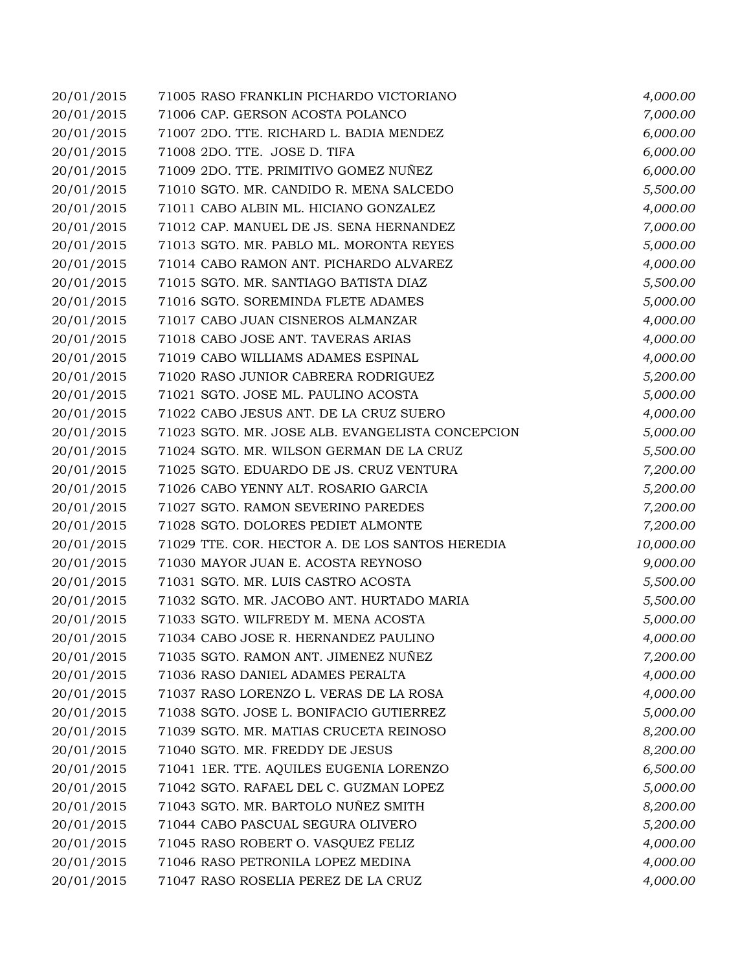| 20/01/2015 | 71005 RASO FRANKLIN PICHARDO VICTORIANO          | 4,000.00  |
|------------|--------------------------------------------------|-----------|
| 20/01/2015 | 71006 CAP. GERSON ACOSTA POLANCO                 | 7,000.00  |
| 20/01/2015 | 71007 2DO. TTE. RICHARD L. BADIA MENDEZ          | 6,000.00  |
| 20/01/2015 | 71008 2DO. TTE. JOSE D. TIFA                     | 6,000.00  |
| 20/01/2015 | 71009 2DO. TTE. PRIMITIVO GOMEZ NUÑEZ            | 6,000.00  |
| 20/01/2015 | 71010 SGTO. MR. CANDIDO R. MENA SALCEDO          | 5,500.00  |
| 20/01/2015 | 71011 CABO ALBIN ML. HICIANO GONZALEZ            | 4,000.00  |
| 20/01/2015 | 71012 CAP. MANUEL DE JS. SENA HERNANDEZ          | 7,000.00  |
| 20/01/2015 | 71013 SGTO. MR. PABLO ML. MORONTA REYES          | 5,000.00  |
| 20/01/2015 | 71014 CABO RAMON ANT. PICHARDO ALVAREZ           | 4,000.00  |
| 20/01/2015 | 71015 SGTO. MR. SANTIAGO BATISTA DIAZ            | 5,500.00  |
| 20/01/2015 | 71016 SGTO. SOREMINDA FLETE ADAMES               | 5,000.00  |
| 20/01/2015 | 71017 CABO JUAN CISNEROS ALMANZAR                | 4,000.00  |
| 20/01/2015 | 71018 CABO JOSE ANT. TAVERAS ARIAS               | 4,000.00  |
| 20/01/2015 | 71019 CABO WILLIAMS ADAMES ESPINAL               | 4,000.00  |
| 20/01/2015 | 71020 RASO JUNIOR CABRERA RODRIGUEZ              | 5,200.00  |
| 20/01/2015 | 71021 SGTO. JOSE ML. PAULINO ACOSTA              | 5,000.00  |
| 20/01/2015 | 71022 CABO JESUS ANT. DE LA CRUZ SUERO           | 4,000.00  |
| 20/01/2015 | 71023 SGTO. MR. JOSE ALB. EVANGELISTA CONCEPCION | 5,000.00  |
| 20/01/2015 | 71024 SGTO. MR. WILSON GERMAN DE LA CRUZ         | 5,500.00  |
| 20/01/2015 | 71025 SGTO. EDUARDO DE JS. CRUZ VENTURA          | 7,200.00  |
| 20/01/2015 | 71026 CABO YENNY ALT. ROSARIO GARCIA             | 5,200.00  |
| 20/01/2015 | 71027 SGTO. RAMON SEVERINO PAREDES               | 7,200.00  |
| 20/01/2015 | 71028 SGTO. DOLORES PEDIET ALMONTE               | 7,200.00  |
| 20/01/2015 | 71029 TTE. COR. HECTOR A. DE LOS SANTOS HEREDIA  | 10,000.00 |
| 20/01/2015 | 71030 MAYOR JUAN E. ACOSTA REYNOSO               | 9,000.00  |
| 20/01/2015 | 71031 SGTO. MR. LUIS CASTRO ACOSTA               | 5,500.00  |
| 20/01/2015 | 71032 SGTO. MR. JACOBO ANT. HURTADO MARIA        | 5,500.00  |
| 20/01/2015 | 71033 SGTO. WILFREDY M. MENA ACOSTA              | 5,000.00  |
| 20/01/2015 | 71034 CABO JOSE R. HERNANDEZ PAULINO             | 4,000.00  |
| 20/01/2015 | 71035 SGTO. RAMON ANT. JIMENEZ NUÑEZ             | 7,200.00  |
| 20/01/2015 | 71036 RASO DANIEL ADAMES PERALTA                 | 4,000.00  |
| 20/01/2015 | 71037 RASO LORENZO L. VERAS DE LA ROSA           | 4,000.00  |
| 20/01/2015 | 71038 SGTO. JOSE L. BONIFACIO GUTIERREZ          | 5,000.00  |
| 20/01/2015 | 71039 SGTO. MR. MATIAS CRUCETA REINOSO           | 8,200.00  |
| 20/01/2015 | 71040 SGTO. MR. FREDDY DE JESUS                  | 8,200.00  |
| 20/01/2015 | 71041 1ER. TTE. AQUILES EUGENIA LORENZO          | 6,500.00  |
| 20/01/2015 | 71042 SGTO. RAFAEL DEL C. GUZMAN LOPEZ           | 5,000.00  |
| 20/01/2015 | 71043 SGTO. MR. BARTOLO NUÑEZ SMITH              | 8,200.00  |
| 20/01/2015 | 71044 CABO PASCUAL SEGURA OLIVERO                | 5,200.00  |
| 20/01/2015 | 71045 RASO ROBERT O. VASQUEZ FELIZ               | 4,000.00  |
| 20/01/2015 | 71046 RASO PETRONILA LOPEZ MEDINA                | 4,000.00  |
| 20/01/2015 | 71047 RASO ROSELIA PEREZ DE LA CRUZ              | 4,000.00  |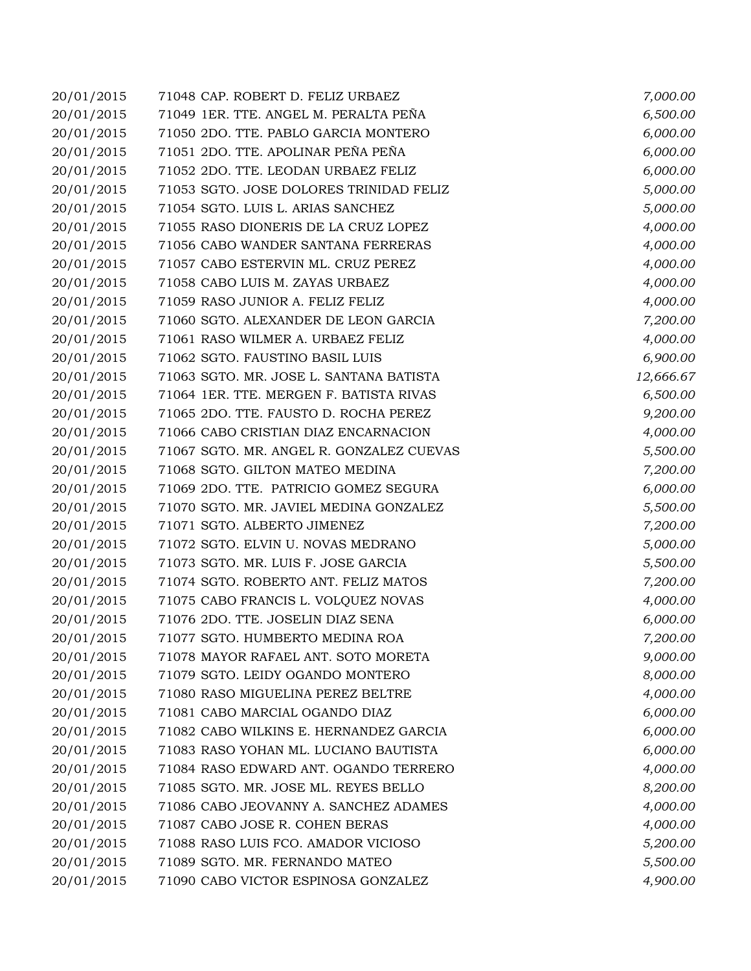| 20/01/2015 | 71048 CAP. ROBERT D. FELIZ URBAEZ        | 7,000.00  |
|------------|------------------------------------------|-----------|
| 20/01/2015 | 71049 1ER. TTE. ANGEL M. PERALTA PEÑA    | 6,500.00  |
| 20/01/2015 | 71050 2DO. TTE. PABLO GARCIA MONTERO     | 6,000.00  |
| 20/01/2015 | 71051 2DO. TTE. APOLINAR PEÑA PEÑA       | 6,000.00  |
| 20/01/2015 | 71052 2DO. TTE. LEODAN URBAEZ FELIZ      | 6,000.00  |
| 20/01/2015 | 71053 SGTO. JOSE DOLORES TRINIDAD FELIZ  | 5,000.00  |
| 20/01/2015 | 71054 SGTO. LUIS L. ARIAS SANCHEZ        | 5,000.00  |
| 20/01/2015 | 71055 RASO DIONERIS DE LA CRUZ LOPEZ     | 4,000.00  |
| 20/01/2015 | 71056 CABO WANDER SANTANA FERRERAS       | 4,000.00  |
| 20/01/2015 | 71057 CABO ESTERVIN ML. CRUZ PEREZ       | 4,000.00  |
| 20/01/2015 | 71058 CABO LUIS M. ZAYAS URBAEZ          | 4,000.00  |
| 20/01/2015 | 71059 RASO JUNIOR A. FELIZ FELIZ         | 4,000.00  |
| 20/01/2015 | 71060 SGTO. ALEXANDER DE LEON GARCIA     | 7,200.00  |
| 20/01/2015 | 71061 RASO WILMER A. URBAEZ FELIZ        | 4,000.00  |
| 20/01/2015 | 71062 SGTO. FAUSTINO BASIL LUIS          | 6,900.00  |
| 20/01/2015 | 71063 SGTO. MR. JOSE L. SANTANA BATISTA  | 12,666.67 |
| 20/01/2015 | 71064 1ER. TTE. MERGEN F. BATISTA RIVAS  | 6,500.00  |
| 20/01/2015 | 71065 2DO. TTE. FAUSTO D. ROCHA PEREZ    | 9,200.00  |
| 20/01/2015 | 71066 CABO CRISTIAN DIAZ ENCARNACION     | 4,000.00  |
| 20/01/2015 | 71067 SGTO. MR. ANGEL R. GONZALEZ CUEVAS | 5,500.00  |
| 20/01/2015 | 71068 SGTO. GILTON MATEO MEDINA          | 7,200.00  |
| 20/01/2015 | 71069 2DO. TTE. PATRICIO GOMEZ SEGURA    | 6,000.00  |
| 20/01/2015 | 71070 SGTO. MR. JAVIEL MEDINA GONZALEZ   | 5,500.00  |
| 20/01/2015 | 71071 SGTO. ALBERTO JIMENEZ              | 7,200.00  |
| 20/01/2015 | 71072 SGTO. ELVIN U. NOVAS MEDRANO       | 5,000.00  |
| 20/01/2015 | 71073 SGTO. MR. LUIS F. JOSE GARCIA      | 5,500.00  |
| 20/01/2015 | 71074 SGTO. ROBERTO ANT. FELIZ MATOS     | 7,200.00  |
| 20/01/2015 | 71075 CABO FRANCIS L. VOLQUEZ NOVAS      | 4,000.00  |
| 20/01/2015 | 71076 2DO. TTE. JOSELIN DIAZ SENA        | 6,000.00  |
| 20/01/2015 | 71077 SGTO. HUMBERTO MEDINA ROA          | 7,200.00  |
| 20/01/2015 | 71078 MAYOR RAFAEL ANT. SOTO MORETA      | 9,000.00  |
| 20/01/2015 | 71079 SGTO. LEIDY OGANDO MONTERO         | 8,000.00  |
| 20/01/2015 | 71080 RASO MIGUELINA PEREZ BELTRE        | 4,000.00  |
| 20/01/2015 | 71081 CABO MARCIAL OGANDO DIAZ           | 6,000.00  |
| 20/01/2015 | 71082 CABO WILKINS E. HERNANDEZ GARCIA   | 6,000.00  |
| 20/01/2015 | 71083 RASO YOHAN ML. LUCIANO BAUTISTA    | 6,000.00  |
| 20/01/2015 | 71084 RASO EDWARD ANT. OGANDO TERRERO    | 4,000.00  |
| 20/01/2015 | 71085 SGTO. MR. JOSE ML. REYES BELLO     | 8,200.00  |
| 20/01/2015 | 71086 CABO JEOVANNY A. SANCHEZ ADAMES    | 4,000.00  |
| 20/01/2015 | 71087 CABO JOSE R. COHEN BERAS           | 4,000.00  |
| 20/01/2015 | 71088 RASO LUIS FCO. AMADOR VICIOSO      | 5,200.00  |
| 20/01/2015 | 71089 SGTO. MR. FERNANDO MATEO           | 5,500.00  |
| 20/01/2015 | 71090 CABO VICTOR ESPINOSA GONZALEZ      | 4,900.00  |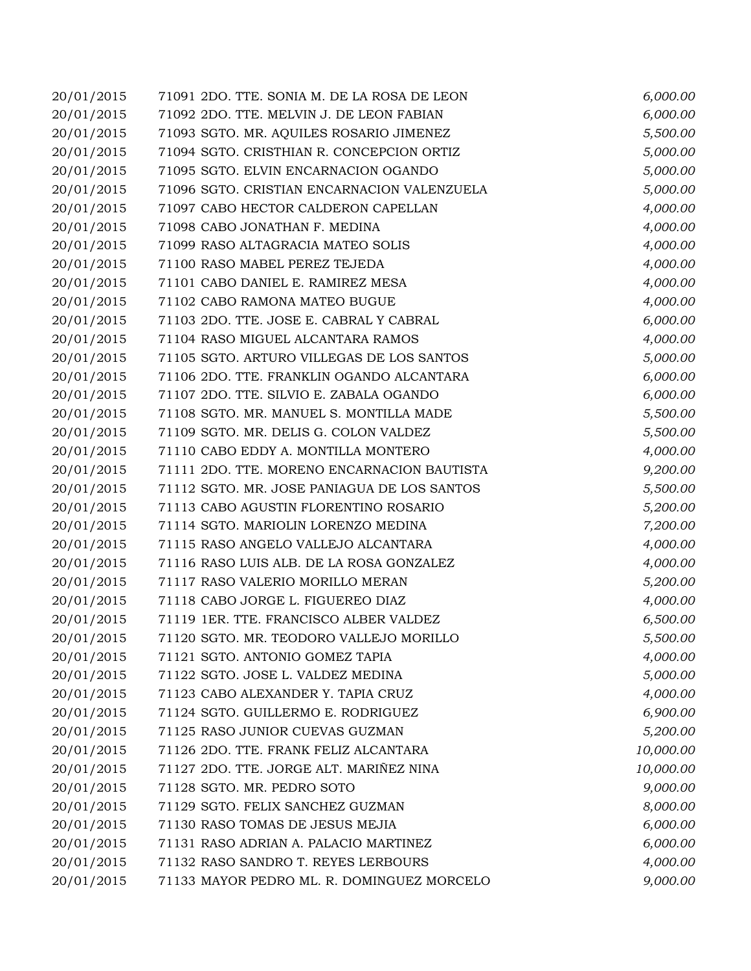| 20/01/2015 | 71091 2DO. TTE. SONIA M. DE LA ROSA DE LEON | 6,000.00  |
|------------|---------------------------------------------|-----------|
| 20/01/2015 | 71092 2DO. TTE. MELVIN J. DE LEON FABIAN    | 6,000.00  |
| 20/01/2015 | 71093 SGTO. MR. AQUILES ROSARIO JIMENEZ     | 5,500.00  |
| 20/01/2015 | 71094 SGTO. CRISTHIAN R. CONCEPCION ORTIZ   | 5,000.00  |
| 20/01/2015 | 71095 SGTO. ELVIN ENCARNACION OGANDO        | 5,000.00  |
| 20/01/2015 | 71096 SGTO. CRISTIAN ENCARNACION VALENZUELA | 5,000.00  |
| 20/01/2015 | 71097 CABO HECTOR CALDERON CAPELLAN         | 4,000.00  |
| 20/01/2015 | 71098 CABO JONATHAN F. MEDINA               | 4,000.00  |
| 20/01/2015 | 71099 RASO ALTAGRACIA MATEO SOLIS           | 4,000.00  |
| 20/01/2015 | 71100 RASO MABEL PEREZ TEJEDA               | 4,000.00  |
| 20/01/2015 | 71101 CABO DANIEL E. RAMIREZ MESA           | 4,000.00  |
| 20/01/2015 | 71102 CABO RAMONA MATEO BUGUE               | 4,000.00  |
| 20/01/2015 | 71103 2DO. TTE. JOSE E. CABRAL Y CABRAL     | 6,000.00  |
| 20/01/2015 | 71104 RASO MIGUEL ALCANTARA RAMOS           | 4,000.00  |
| 20/01/2015 | 71105 SGTO. ARTURO VILLEGAS DE LOS SANTOS   | 5,000.00  |
| 20/01/2015 | 71106 2DO. TTE. FRANKLIN OGANDO ALCANTARA   | 6,000.00  |
| 20/01/2015 | 71107 2DO. TTE. SILVIO E. ZABALA OGANDO     | 6,000.00  |
| 20/01/2015 | 71108 SGTO. MR. MANUEL S. MONTILLA MADE     | 5,500.00  |
| 20/01/2015 | 71109 SGTO. MR. DELIS G. COLON VALDEZ       | 5,500.00  |
| 20/01/2015 | 71110 CABO EDDY A. MONTILLA MONTERO         | 4,000.00  |
| 20/01/2015 | 71111 2DO. TTE. MORENO ENCARNACION BAUTISTA | 9,200.00  |
| 20/01/2015 | 71112 SGTO. MR. JOSE PANIAGUA DE LOS SANTOS | 5,500.00  |
| 20/01/2015 | 71113 CABO AGUSTIN FLORENTINO ROSARIO       | 5,200.00  |
| 20/01/2015 | 71114 SGTO. MARIOLIN LORENZO MEDINA         | 7,200.00  |
| 20/01/2015 | 71115 RASO ANGELO VALLEJO ALCANTARA         | 4,000.00  |
| 20/01/2015 | 71116 RASO LUIS ALB. DE LA ROSA GONZALEZ    | 4,000.00  |
| 20/01/2015 | 71117 RASO VALERIO MORILLO MERAN            | 5,200.00  |
| 20/01/2015 | 71118 CABO JORGE L. FIGUEREO DIAZ           | 4,000.00  |
| 20/01/2015 | 71119 1ER. TTE. FRANCISCO ALBER VALDEZ      | 6,500.00  |
| 20/01/2015 | 71120 SGTO. MR. TEODORO VALLEJO MORILLO     | 5,500.00  |
| 20/01/2015 | 71121 SGTO. ANTONIO GOMEZ TAPIA             | 4,000.00  |
| 20/01/2015 | 71122 SGTO. JOSE L. VALDEZ MEDINA           | 5,000.00  |
| 20/01/2015 | 71123 CABO ALEXANDER Y. TAPIA CRUZ          | 4,000.00  |
| 20/01/2015 | 71124 SGTO. GUILLERMO E. RODRIGUEZ          | 6,900.00  |
| 20/01/2015 | 71125 RASO JUNIOR CUEVAS GUZMAN             | 5,200.00  |
| 20/01/2015 | 71126 2DO. TTE. FRANK FELIZ ALCANTARA       | 10,000.00 |
| 20/01/2015 | 71127 2DO. TTE. JORGE ALT. MARIÑEZ NINA     | 10,000.00 |
| 20/01/2015 | 71128 SGTO. MR. PEDRO SOTO                  | 9,000.00  |
| 20/01/2015 | 71129 SGTO. FELIX SANCHEZ GUZMAN            | 8,000.00  |
| 20/01/2015 | 71130 RASO TOMAS DE JESUS MEJIA             | 6,000.00  |
| 20/01/2015 | 71131 RASO ADRIAN A. PALACIO MARTINEZ       | 6,000.00  |
| 20/01/2015 | 71132 RASO SANDRO T. REYES LERBOURS         | 4,000.00  |
| 20/01/2015 | 71133 MAYOR PEDRO ML. R. DOMINGUEZ MORCELO  | 9,000.00  |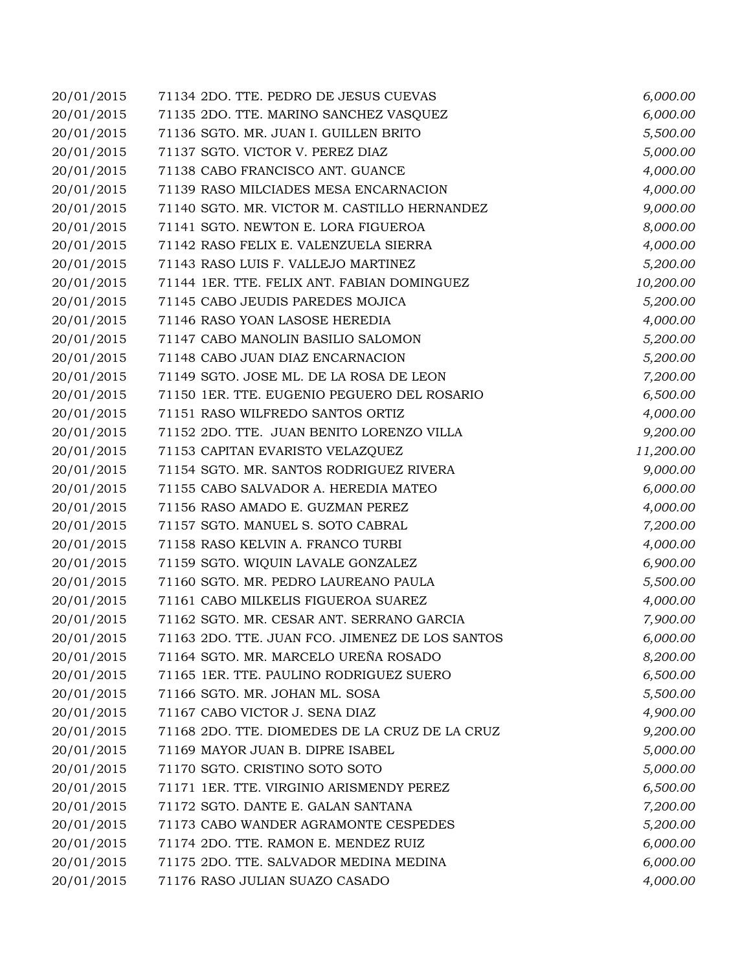| 20/01/2015 | 71134 2DO. TTE. PEDRO DE JESUS CUEVAS           | 6,000.00  |
|------------|-------------------------------------------------|-----------|
| 20/01/2015 | 71135 2DO. TTE. MARINO SANCHEZ VASQUEZ          | 6,000.00  |
| 20/01/2015 | 71136 SGTO. MR. JUAN I. GUILLEN BRITO           | 5,500.00  |
| 20/01/2015 | 71137 SGTO. VICTOR V. PEREZ DIAZ                | 5,000.00  |
| 20/01/2015 | 71138 CABO FRANCISCO ANT. GUANCE                | 4,000.00  |
| 20/01/2015 | 71139 RASO MILCIADES MESA ENCARNACION           | 4,000.00  |
| 20/01/2015 | 71140 SGTO. MR. VICTOR M. CASTILLO HERNANDEZ    | 9,000.00  |
| 20/01/2015 | 71141 SGTO. NEWTON E. LORA FIGUEROA             | 8,000.00  |
| 20/01/2015 | 71142 RASO FELIX E. VALENZUELA SIERRA           | 4,000.00  |
| 20/01/2015 | 71143 RASO LUIS F. VALLEJO MARTINEZ             | 5,200.00  |
| 20/01/2015 | 71144 1ER. TTE. FELIX ANT. FABIAN DOMINGUEZ     | 10,200.00 |
| 20/01/2015 | 71145 CABO JEUDIS PAREDES MOJICA                | 5,200.00  |
| 20/01/2015 | 71146 RASO YOAN LASOSE HEREDIA                  | 4,000.00  |
| 20/01/2015 | 71147 CABO MANOLIN BASILIO SALOMON              | 5,200.00  |
| 20/01/2015 | 71148 CABO JUAN DIAZ ENCARNACION                | 5,200.00  |
| 20/01/2015 | 71149 SGTO. JOSE ML. DE LA ROSA DE LEON         | 7,200.00  |
| 20/01/2015 | 71150 1ER. TTE. EUGENIO PEGUERO DEL ROSARIO     | 6,500.00  |
| 20/01/2015 | 71151 RASO WILFREDO SANTOS ORTIZ                | 4,000.00  |
| 20/01/2015 | 71152 2DO. TTE. JUAN BENITO LORENZO VILLA       | 9,200.00  |
| 20/01/2015 | 71153 CAPITAN EVARISTO VELAZQUEZ                | 11,200.00 |
| 20/01/2015 | 71154 SGTO. MR. SANTOS RODRIGUEZ RIVERA         | 9,000.00  |
| 20/01/2015 | 71155 CABO SALVADOR A. HEREDIA MATEO            | 6,000.00  |
| 20/01/2015 | 71156 RASO AMADO E. GUZMAN PEREZ                | 4,000.00  |
| 20/01/2015 | 71157 SGTO. MANUEL S. SOTO CABRAL               | 7,200.00  |
| 20/01/2015 | 71158 RASO KELVIN A. FRANCO TURBI               | 4,000.00  |
| 20/01/2015 | 71159 SGTO. WIQUIN LAVALE GONZALEZ              | 6,900.00  |
| 20/01/2015 | 71160 SGTO. MR. PEDRO LAUREANO PAULA            | 5,500.00  |
| 20/01/2015 | 71161 CABO MILKELIS FIGUEROA SUAREZ             | 4,000.00  |
| 20/01/2015 | 71162 SGTO. MR. CESAR ANT. SERRANO GARCIA       | 7,900.00  |
| 20/01/2015 | 71163 2DO. TTE. JUAN FCO. JIMENEZ DE LOS SANTOS | 6,000.00  |
| 20/01/2015 | 71164 SGTO. MR. MARCELO UREÑA ROSADO            | 8,200.00  |
| 20/01/2015 | 71165 1ER. TTE. PAULINO RODRIGUEZ SUERO         | 6,500.00  |
| 20/01/2015 | 71166 SGTO. MR. JOHAN ML. SOSA                  | 5,500.00  |
| 20/01/2015 | 71167 CABO VICTOR J. SENA DIAZ                  | 4,900.00  |
| 20/01/2015 | 71168 2DO. TTE. DIOMEDES DE LA CRUZ DE LA CRUZ  | 9,200.00  |
| 20/01/2015 | 71169 MAYOR JUAN B. DIPRE ISABEL                | 5,000.00  |
| 20/01/2015 | 71170 SGTO. CRISTINO SOTO SOTO                  | 5,000.00  |
| 20/01/2015 | 71171 1ER. TTE. VIRGINIO ARISMENDY PEREZ        | 6,500.00  |
| 20/01/2015 | 71172 SGTO. DANTE E. GALAN SANTANA              | 7,200.00  |
| 20/01/2015 | 71173 CABO WANDER AGRAMONTE CESPEDES            | 5,200.00  |
| 20/01/2015 | 71174 2DO. TTE. RAMON E. MENDEZ RUIZ            | 6,000.00  |
| 20/01/2015 | 71175 2DO. TTE. SALVADOR MEDINA MEDINA          | 6,000.00  |
| 20/01/2015 | 71176 RASO JULIAN SUAZO CASADO                  | 4,000.00  |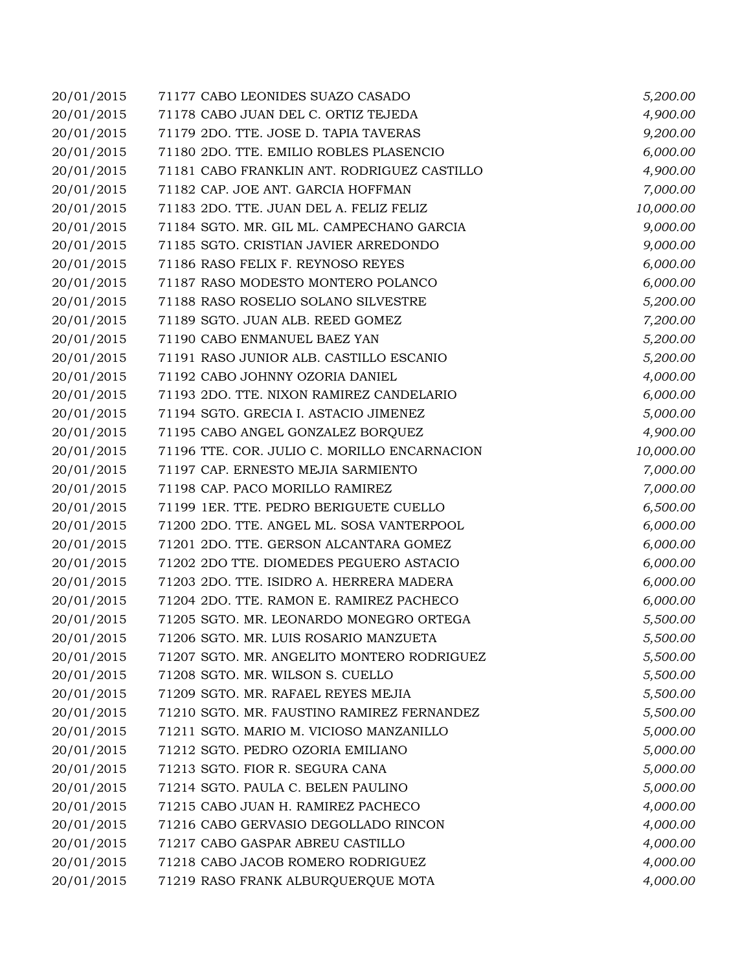| 20/01/2015 | 71177 CABO LEONIDES SUAZO CASADO             | 5,200.00  |
|------------|----------------------------------------------|-----------|
| 20/01/2015 | 71178 CABO JUAN DEL C. ORTIZ TEJEDA          | 4,900.00  |
| 20/01/2015 | 71179 2DO. TTE. JOSE D. TAPIA TAVERAS        | 9,200.00  |
| 20/01/2015 | 71180 2DO. TTE. EMILIO ROBLES PLASENCIO      | 6,000.00  |
| 20/01/2015 | 71181 CABO FRANKLIN ANT. RODRIGUEZ CASTILLO  | 4,900.00  |
| 20/01/2015 | 71182 CAP. JOE ANT. GARCIA HOFFMAN           | 7,000.00  |
| 20/01/2015 | 71183 2DO. TTE. JUAN DEL A. FELIZ FELIZ      | 10,000.00 |
| 20/01/2015 | 71184 SGTO. MR. GIL ML. CAMPECHANO GARCIA    | 9,000.00  |
| 20/01/2015 | 71185 SGTO. CRISTIAN JAVIER ARREDONDO        | 9,000.00  |
| 20/01/2015 | 71186 RASO FELIX F. REYNOSO REYES            | 6,000.00  |
| 20/01/2015 | 71187 RASO MODESTO MONTERO POLANCO           | 6,000.00  |
| 20/01/2015 | 71188 RASO ROSELIO SOLANO SILVESTRE          | 5,200.00  |
| 20/01/2015 | 71189 SGTO. JUAN ALB. REED GOMEZ             | 7,200.00  |
| 20/01/2015 | 71190 CABO ENMANUEL BAEZ YAN                 | 5,200.00  |
| 20/01/2015 | 71191 RASO JUNIOR ALB. CASTILLO ESCANIO      | 5,200.00  |
| 20/01/2015 | 71192 CABO JOHNNY OZORIA DANIEL              | 4,000.00  |
| 20/01/2015 | 71193 2DO. TTE. NIXON RAMIREZ CANDELARIO     | 6,000.00  |
| 20/01/2015 | 71194 SGTO. GRECIA I. ASTACIO JIMENEZ        | 5,000.00  |
| 20/01/2015 | 71195 CABO ANGEL GONZALEZ BORQUEZ            | 4,900.00  |
| 20/01/2015 | 71196 TTE. COR. JULIO C. MORILLO ENCARNACION | 10,000.00 |
| 20/01/2015 | 71197 CAP. ERNESTO MEJIA SARMIENTO           | 7,000.00  |
| 20/01/2015 | 71198 CAP. PACO MORILLO RAMIREZ              | 7,000.00  |
| 20/01/2015 | 71199 1ER. TTE. PEDRO BERIGUETE CUELLO       | 6,500.00  |
| 20/01/2015 | 71200 2DO. TTE. ANGEL ML. SOSA VANTERPOOL    | 6,000.00  |
| 20/01/2015 | 71201 2DO. TTE. GERSON ALCANTARA GOMEZ       | 6,000.00  |
| 20/01/2015 | 71202 2DO TTE. DIOMEDES PEGUERO ASTACIO      | 6,000.00  |
| 20/01/2015 | 71203 2DO. TTE. ISIDRO A. HERRERA MADERA     | 6,000.00  |
| 20/01/2015 | 71204 2DO. TTE. RAMON E. RAMIREZ PACHECO     | 6,000.00  |
| 20/01/2015 | 71205 SGTO. MR. LEONARDO MONEGRO ORTEGA      | 5,500.00  |
| 20/01/2015 | 71206 SGTO. MR. LUIS ROSARIO MANZUETA        | 5,500.00  |
| 20/01/2015 | 71207 SGTO. MR. ANGELITO MONTERO RODRIGUEZ   | 5,500.00  |
| 20/01/2015 | 71208 SGTO. MR. WILSON S. CUELLO             | 5,500.00  |
| 20/01/2015 | 71209 SGTO. MR. RAFAEL REYES MEJIA           | 5,500.00  |
| 20/01/2015 | 71210 SGTO. MR. FAUSTINO RAMIREZ FERNANDEZ   | 5,500.00  |
| 20/01/2015 | 71211 SGTO. MARIO M. VICIOSO MANZANILLO      | 5,000.00  |
| 20/01/2015 | 71212 SGTO. PEDRO OZORIA EMILIANO            | 5,000.00  |
| 20/01/2015 | 71213 SGTO. FIOR R. SEGURA CANA              | 5,000.00  |
| 20/01/2015 | 71214 SGTO. PAULA C. BELEN PAULINO           | 5,000.00  |
| 20/01/2015 | 71215 CABO JUAN H. RAMIREZ PACHECO           | 4,000.00  |
| 20/01/2015 | 71216 CABO GERVASIO DEGOLLADO RINCON         | 4,000.00  |
| 20/01/2015 | 71217 CABO GASPAR ABREU CASTILLO             | 4,000.00  |
| 20/01/2015 | 71218 CABO JACOB ROMERO RODRIGUEZ            | 4,000.00  |
| 20/01/2015 | 71219 RASO FRANK ALBURQUERQUE MOTA           | 4,000.00  |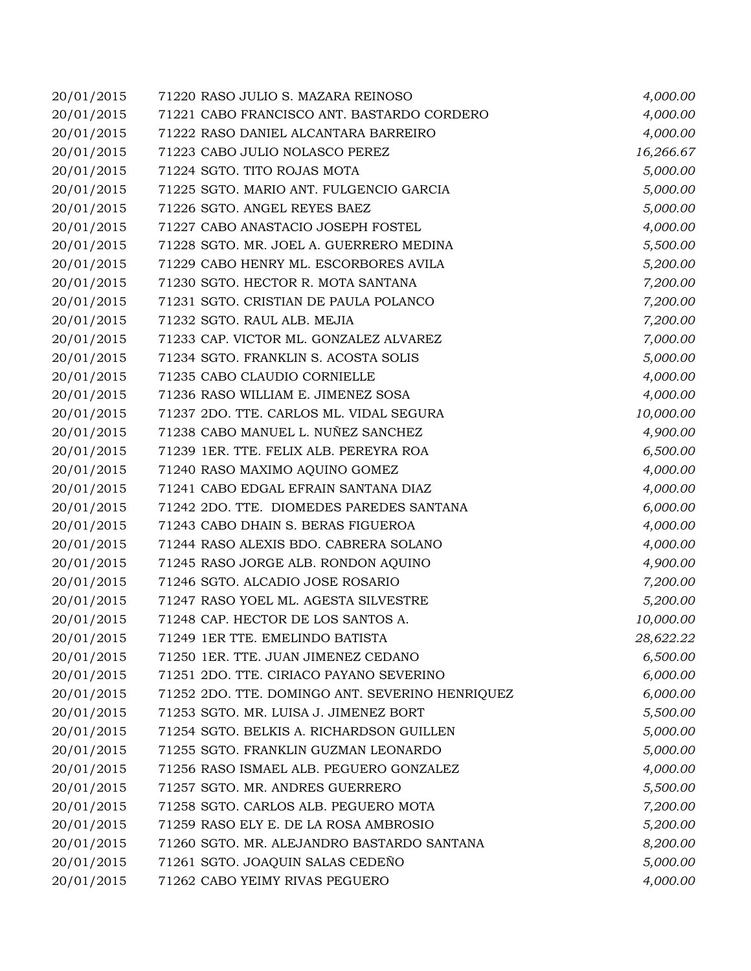| 20/01/2015 | 71220 RASO JULIO S. MAZARA REINOSO              | 4,000.00  |
|------------|-------------------------------------------------|-----------|
| 20/01/2015 | 71221 CABO FRANCISCO ANT. BASTARDO CORDERO      | 4,000.00  |
| 20/01/2015 | 71222 RASO DANIEL ALCANTARA BARREIRO            | 4,000.00  |
| 20/01/2015 | 71223 CABO JULIO NOLASCO PEREZ                  | 16,266.67 |
| 20/01/2015 | 71224 SGTO. TITO ROJAS MOTA                     | 5,000.00  |
| 20/01/2015 | 71225 SGTO. MARIO ANT. FULGENCIO GARCIA         | 5,000.00  |
| 20/01/2015 | 71226 SGTO. ANGEL REYES BAEZ                    | 5,000.00  |
| 20/01/2015 | 71227 CABO ANASTACIO JOSEPH FOSTEL              | 4,000.00  |
| 20/01/2015 | 71228 SGTO. MR. JOEL A. GUERRERO MEDINA         | 5,500.00  |
| 20/01/2015 | 71229 CABO HENRY ML. ESCORBORES AVILA           | 5,200.00  |
| 20/01/2015 | 71230 SGTO. HECTOR R. MOTA SANTANA              | 7,200.00  |
| 20/01/2015 | 71231 SGTO. CRISTIAN DE PAULA POLANCO           | 7,200.00  |
| 20/01/2015 | 71232 SGTO. RAUL ALB. MEJIA                     | 7,200.00  |
| 20/01/2015 | 71233 CAP. VICTOR ML. GONZALEZ ALVAREZ          | 7,000.00  |
| 20/01/2015 | 71234 SGTO. FRANKLIN S. ACOSTA SOLIS            | 5,000.00  |
| 20/01/2015 | 71235 CABO CLAUDIO CORNIELLE                    | 4,000.00  |
| 20/01/2015 | 71236 RASO WILLIAM E. JIMENEZ SOSA              | 4,000.00  |
| 20/01/2015 | 71237 2DO. TTE. CARLOS ML. VIDAL SEGURA         | 10,000.00 |
| 20/01/2015 | 71238 CABO MANUEL L. NUÑEZ SANCHEZ              | 4,900.00  |
| 20/01/2015 | 71239 1ER. TTE. FELIX ALB. PEREYRA ROA          | 6,500.00  |
| 20/01/2015 | 71240 RASO MAXIMO AQUINO GOMEZ                  | 4,000.00  |
| 20/01/2015 | 71241 CABO EDGAL EFRAIN SANTANA DIAZ            | 4,000.00  |
| 20/01/2015 | 71242 2DO. TTE. DIOMEDES PAREDES SANTANA        | 6,000.00  |
| 20/01/2015 | 71243 CABO DHAIN S. BERAS FIGUEROA              | 4,000.00  |
| 20/01/2015 | 71244 RASO ALEXIS BDO. CABRERA SOLANO           | 4,000.00  |
| 20/01/2015 | 71245 RASO JORGE ALB. RONDON AQUINO             | 4,900.00  |
| 20/01/2015 | 71246 SGTO. ALCADIO JOSE ROSARIO                | 7,200.00  |
| 20/01/2015 | 71247 RASO YOEL ML. AGESTA SILVESTRE            | 5,200.00  |
| 20/01/2015 | 71248 CAP. HECTOR DE LOS SANTOS A.              | 10,000.00 |
| 20/01/2015 | 71249 1ER TTE. EMELINDO BATISTA                 | 28,622.22 |
| 20/01/2015 | 71250 1ER. TTE. JUAN JIMENEZ CEDANO             | 6,500.00  |
| 20/01/2015 | 71251 2DO. TTE. CIRIACO PAYANO SEVERINO         | 6,000.00  |
| 20/01/2015 | 71252 2DO. TTE. DOMINGO ANT. SEVERINO HENRIQUEZ | 6,000.00  |
| 20/01/2015 | 71253 SGTO. MR. LUISA J. JIMENEZ BORT           | 5,500.00  |
| 20/01/2015 | 71254 SGTO. BELKIS A. RICHARDSON GUILLEN        | 5,000.00  |
| 20/01/2015 | 71255 SGTO. FRANKLIN GUZMAN LEONARDO            | 5,000.00  |
| 20/01/2015 | 71256 RASO ISMAEL ALB. PEGUERO GONZALEZ         | 4,000.00  |
| 20/01/2015 | 71257 SGTO. MR. ANDRES GUERRERO                 | 5,500.00  |
| 20/01/2015 | 71258 SGTO. CARLOS ALB. PEGUERO MOTA            | 7,200.00  |
| 20/01/2015 | 71259 RASO ELY E. DE LA ROSA AMBROSIO           | 5,200.00  |
| 20/01/2015 | 71260 SGTO. MR. ALEJANDRO BASTARDO SANTANA      | 8,200.00  |
| 20/01/2015 | 71261 SGTO. JOAQUIN SALAS CEDEÑO                | 5,000.00  |
| 20/01/2015 | 71262 CABO YEIMY RIVAS PEGUERO                  | 4,000.00  |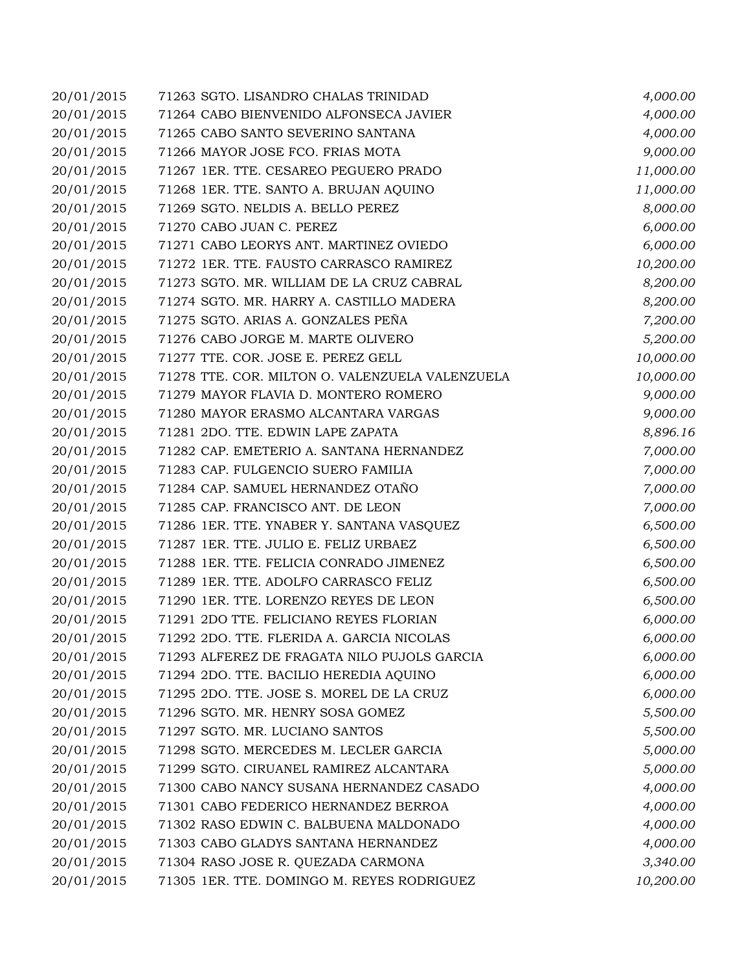| 20/01/2015 | 71263 SGTO. LISANDRO CHALAS TRINIDAD            | 4,000.00  |
|------------|-------------------------------------------------|-----------|
| 20/01/2015 | 71264 CABO BIENVENIDO ALFONSECA JAVIER          | 4,000.00  |
| 20/01/2015 | 71265 CABO SANTO SEVERINO SANTANA               | 4,000.00  |
| 20/01/2015 | 71266 MAYOR JOSE FCO. FRIAS MOTA                | 9,000.00  |
| 20/01/2015 | 71267 1ER. TTE. CESAREO PEGUERO PRADO           | 11,000.00 |
| 20/01/2015 | 71268 1ER. TTE. SANTO A. BRUJAN AQUINO          | 11,000.00 |
| 20/01/2015 | 71269 SGTO. NELDIS A. BELLO PEREZ               | 8,000.00  |
| 20/01/2015 | 71270 CABO JUAN C. PEREZ                        | 6,000.00  |
| 20/01/2015 | 71271 CABO LEORYS ANT. MARTINEZ OVIEDO          | 6,000.00  |
| 20/01/2015 | 71272 1ER. TTE. FAUSTO CARRASCO RAMIREZ         | 10,200.00 |
| 20/01/2015 | 71273 SGTO. MR. WILLIAM DE LA CRUZ CABRAL       | 8,200.00  |
| 20/01/2015 | 71274 SGTO. MR. HARRY A. CASTILLO MADERA        | 8,200.00  |
| 20/01/2015 | 71275 SGTO. ARIAS A. GONZALES PEÑA              | 7,200.00  |
| 20/01/2015 | 71276 CABO JORGE M. MARTE OLIVERO               | 5,200.00  |
| 20/01/2015 | 71277 TTE. COR. JOSE E. PEREZ GELL              | 10,000.00 |
| 20/01/2015 | 71278 TTE. COR. MILTON O. VALENZUELA VALENZUELA | 10,000.00 |
| 20/01/2015 | 71279 MAYOR FLAVIA D. MONTERO ROMERO            | 9,000.00  |
| 20/01/2015 | 71280 MAYOR ERASMO ALCANTARA VARGAS             | 9,000.00  |
| 20/01/2015 | 71281 2DO. TTE. EDWIN LAPE ZAPATA               | 8,896.16  |
| 20/01/2015 | 71282 CAP. EMETERIO A. SANTANA HERNANDEZ        | 7,000.00  |
| 20/01/2015 | 71283 CAP. FULGENCIO SUERO FAMILIA              | 7,000.00  |
| 20/01/2015 | 71284 CAP. SAMUEL HERNANDEZ OTAÑO               | 7,000.00  |
| 20/01/2015 | 71285 CAP. FRANCISCO ANT. DE LEON               | 7,000.00  |
| 20/01/2015 | 71286 1ER. TTE. YNABER Y. SANTANA VASQUEZ       | 6,500.00  |
| 20/01/2015 | 71287 1ER. TTE. JULIO E. FELIZ URBAEZ           | 6,500.00  |
| 20/01/2015 | 71288 1ER. TTE. FELICIA CONRADO JIMENEZ         | 6,500.00  |
| 20/01/2015 | 71289 1ER. TTE. ADOLFO CARRASCO FELIZ           | 6,500.00  |
| 20/01/2015 | 71290 1ER. TTE. LORENZO REYES DE LEON           | 6,500.00  |
| 20/01/2015 | 71291 2DO TTE. FELICIANO REYES FLORIAN          | 6,000.00  |
| 20/01/2015 | 71292 2DO. TTE. FLERIDA A. GARCIA NICOLAS       | 6,000.00  |
| 20/01/2015 | 71293 ALFEREZ DE FRAGATA NILO PUJOLS GARCIA     | 6,000.00  |
| 20/01/2015 | 71294 2DO. TTE. BACILIO HEREDIA AQUINO          | 6,000.00  |
| 20/01/2015 | 71295 2DO. TTE. JOSE S. MOREL DE LA CRUZ        | 6,000.00  |
| 20/01/2015 | 71296 SGTO. MR. HENRY SOSA GOMEZ                | 5,500.00  |
| 20/01/2015 | 71297 SGTO. MR. LUCIANO SANTOS                  | 5,500.00  |
| 20/01/2015 | 71298 SGTO. MERCEDES M. LECLER GARCIA           | 5,000.00  |
| 20/01/2015 | 71299 SGTO. CIRUANEL RAMIREZ ALCANTARA          | 5,000.00  |
| 20/01/2015 | 71300 CABO NANCY SUSANA HERNANDEZ CASADO        | 4,000.00  |
| 20/01/2015 | 71301 CABO FEDERICO HERNANDEZ BERROA            | 4,000.00  |
| 20/01/2015 | 71302 RASO EDWIN C. BALBUENA MALDONADO          | 4,000.00  |
| 20/01/2015 | 71303 CABO GLADYS SANTANA HERNANDEZ             | 4,000.00  |
| 20/01/2015 | 71304 RASO JOSE R. QUEZADA CARMONA              | 3,340.00  |
| 20/01/2015 | 71305 1ER. TTE. DOMINGO M. REYES RODRIGUEZ      | 10,200.00 |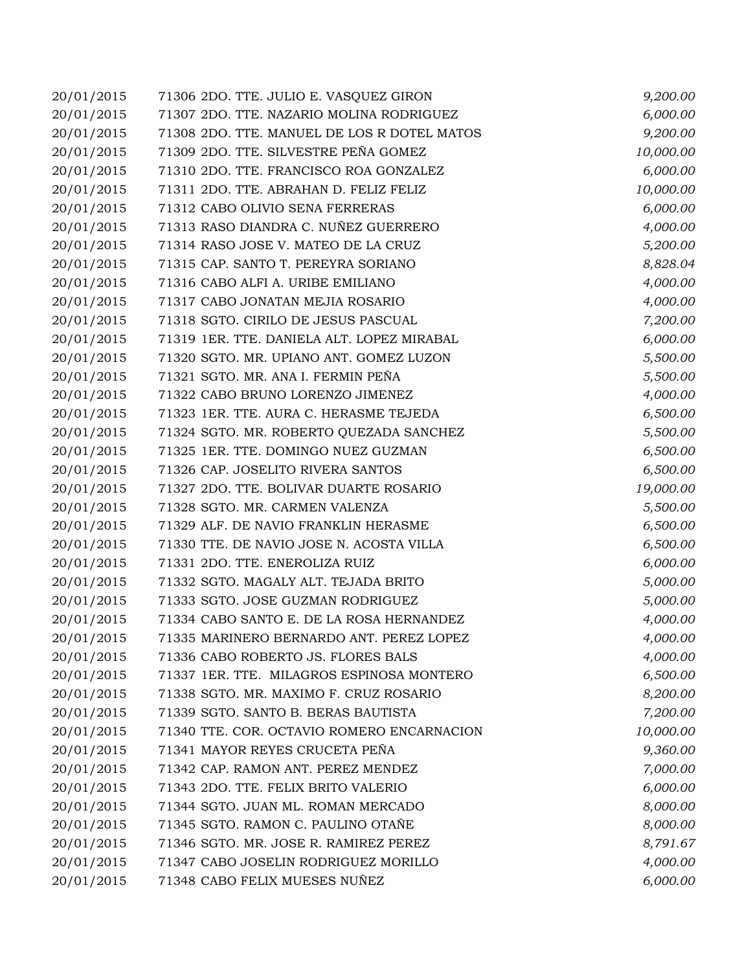| 20/01/2015 | 71306 2DO. TTE. JULIO E. VASQUEZ GIRON      | 9,200.00  |
|------------|---------------------------------------------|-----------|
| 20/01/2015 | 71307 2DO. TTE. NAZARIO MOLINA RODRIGUEZ    | 6,000.00  |
| 20/01/2015 | 71308 2DO. TTE. MANUEL DE LOS R DOTEL MATOS | 9,200.00  |
| 20/01/2015 | 71309 2DO. TTE. SILVESTRE PEÑA GOMEZ        | 10,000.00 |
| 20/01/2015 | 71310 2DO. TTE. FRANCISCO ROA GONZALEZ      | 6,000.00  |
| 20/01/2015 | 71311 2DO. TTE. ABRAHAN D. FELIZ FELIZ      | 10,000.00 |
| 20/01/2015 | 71312 CABO OLIVIO SENA FERRERAS             | 6,000.00  |
| 20/01/2015 | 71313 RASO DIANDRA C. NUÑEZ GUERRERO        | 4,000.00  |
| 20/01/2015 | 71314 RASO JOSE V. MATEO DE LA CRUZ         | 5,200.00  |
| 20/01/2015 | 71315 CAP. SANTO T. PEREYRA SORIANO         | 8,828.04  |
| 20/01/2015 | 71316 CABO ALFI A. URIBE EMILIANO           | 4,000.00  |
| 20/01/2015 | 71317 CABO JONATAN MEJIA ROSARIO            | 4,000.00  |
| 20/01/2015 | 71318 SGTO. CIRILO DE JESUS PASCUAL         | 7,200.00  |
| 20/01/2015 | 71319 1ER. TTE. DANIELA ALT. LOPEZ MIRABAL  | 6,000.00  |
| 20/01/2015 | 71320 SGTO. MR. UPIANO ANT. GOMEZ LUZON     | 5,500.00  |
| 20/01/2015 | 71321 SGTO. MR. ANA I. FERMIN PEÑA          | 5,500.00  |
| 20/01/2015 | 71322 CABO BRUNO LORENZO JIMENEZ            | 4,000.00  |
| 20/01/2015 | 71323 1ER. TTE. AURA C. HERASME TEJEDA      | 6,500.00  |
| 20/01/2015 | 71324 SGTO. MR. ROBERTO QUEZADA SANCHEZ     | 5,500.00  |
| 20/01/2015 | 71325 1ER. TTE. DOMINGO NUEZ GUZMAN         | 6,500.00  |
| 20/01/2015 | 71326 CAP. JOSELITO RIVERA SANTOS           | 6,500.00  |
| 20/01/2015 | 71327 2DO. TTE. BOLIVAR DUARTE ROSARIO      | 19,000.00 |
| 20/01/2015 | 71328 SGTO. MR. CARMEN VALENZA              | 5,500.00  |
| 20/01/2015 | 71329 ALF. DE NAVIO FRANKLIN HERASME        | 6,500.00  |
| 20/01/2015 | 71330 TTE. DE NAVIO JOSE N. ACOSTA VILLA    | 6,500.00  |
| 20/01/2015 | 71331 2DO. TTE. ENEROLIZA RUIZ              | 6,000.00  |
| 20/01/2015 | 71332 SGTO. MAGALY ALT. TEJADA BRITO        | 5,000.00  |
| 20/01/2015 | 71333 SGTO. JOSE GUZMAN RODRIGUEZ           | 5,000.00  |
| 20/01/2015 | 71334 CABO SANTO E. DE LA ROSA HERNANDEZ    | 4,000.00  |
| 20/01/2015 | 71335 MARINERO BERNARDO ANT. PEREZ LOPEZ    | 4,000.00  |
| 20/01/2015 | 71336 CABO ROBERTO JS. FLORES BALS          | 4,000.00  |
| 20/01/2015 | 71337 1ER. TTE. MILAGROS ESPINOSA MONTERO   | 6,500.00  |
| 20/01/2015 | 71338 SGTO. MR. MAXIMO F. CRUZ ROSARIO      | 8,200.00  |
| 20/01/2015 | 71339 SGTO. SANTO B. BERAS BAUTISTA         | 7,200.00  |
| 20/01/2015 | 71340 TTE. COR. OCTAVIO ROMERO ENCARNACION  | 10,000.00 |
| 20/01/2015 | 71341 MAYOR REYES CRUCETA PEÑA              | 9,360.00  |
| 20/01/2015 | 71342 CAP. RAMON ANT. PEREZ MENDEZ          | 7,000.00  |
| 20/01/2015 | 71343 2DO. TTE. FELIX BRITO VALERIO         | 6,000.00  |
| 20/01/2015 | 71344 SGTO. JUAN ML. ROMAN MERCADO          | 8,000.00  |
| 20/01/2015 | 71345 SGTO. RAMON C. PAULINO OTAÑE          | 8,000.00  |
| 20/01/2015 | 71346 SGTO. MR. JOSE R. RAMIREZ PEREZ       | 8,791.67  |
| 20/01/2015 | 71347 CABO JOSELIN RODRIGUEZ MORILLO        | 4,000.00  |
| 20/01/2015 | 71348 CABO FELIX MUESES NUÑEZ               | 6,000.00  |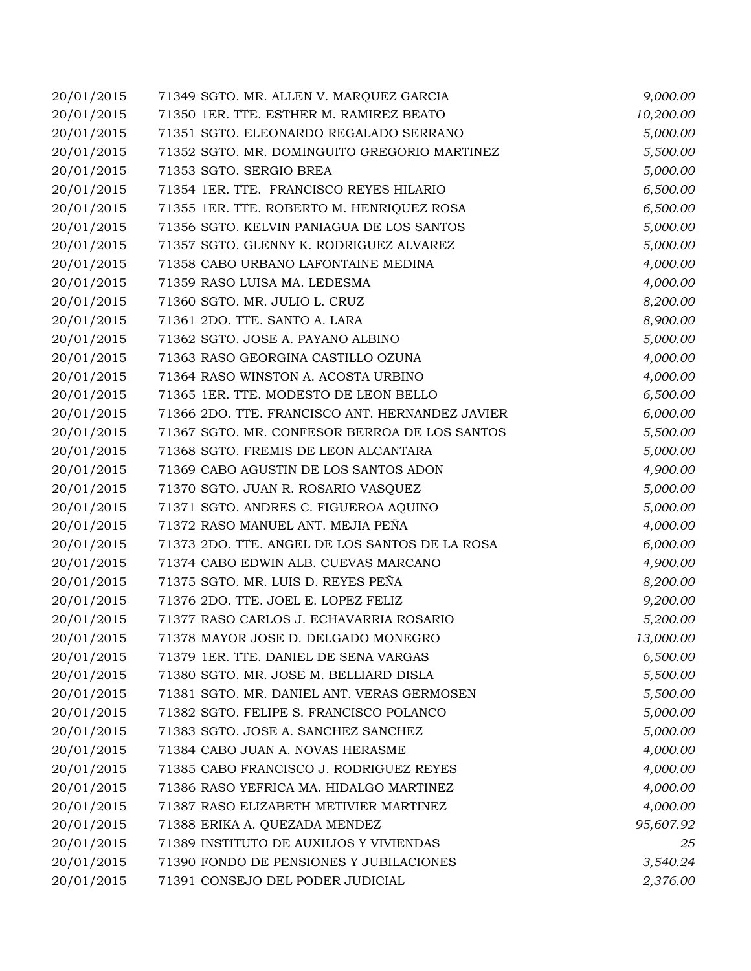| 20/01/2015 | 71349 SGTO. MR. ALLEN V. MARQUEZ GARCIA         | 9,000.00  |
|------------|-------------------------------------------------|-----------|
| 20/01/2015 | 71350 1ER. TTE. ESTHER M. RAMIREZ BEATO         | 10,200.00 |
| 20/01/2015 | 71351 SGTO. ELEONARDO REGALADO SERRANO          | 5,000.00  |
| 20/01/2015 | 71352 SGTO. MR. DOMINGUITO GREGORIO MARTINEZ    | 5,500.00  |
| 20/01/2015 | 71353 SGTO. SERGIO BREA                         | 5,000.00  |
| 20/01/2015 | 71354 1ER. TTE. FRANCISCO REYES HILARIO         | 6,500.00  |
| 20/01/2015 | 71355 1ER. TTE. ROBERTO M. HENRIQUEZ ROSA       | 6,500.00  |
| 20/01/2015 | 71356 SGTO. KELVIN PANIAGUA DE LOS SANTOS       | 5,000.00  |
| 20/01/2015 | 71357 SGTO. GLENNY K. RODRIGUEZ ALVAREZ         | 5,000.00  |
| 20/01/2015 | 71358 CABO URBANO LAFONTAINE MEDINA             | 4,000.00  |
| 20/01/2015 | 71359 RASO LUISA MA. LEDESMA                    | 4,000.00  |
| 20/01/2015 | 71360 SGTO. MR. JULIO L. CRUZ                   | 8,200.00  |
| 20/01/2015 | 71361 2DO. TTE. SANTO A. LARA                   | 8,900.00  |
| 20/01/2015 | 71362 SGTO. JOSE A. PAYANO ALBINO               | 5,000.00  |
| 20/01/2015 | 71363 RASO GEORGINA CASTILLO OZUNA              | 4,000.00  |
| 20/01/2015 | 71364 RASO WINSTON A. ACOSTA URBINO             | 4,000.00  |
| 20/01/2015 | 71365 1ER. TTE. MODESTO DE LEON BELLO           | 6,500.00  |
| 20/01/2015 | 71366 2DO. TTE. FRANCISCO ANT. HERNANDEZ JAVIER | 6,000.00  |
| 20/01/2015 | 71367 SGTO. MR. CONFESOR BERROA DE LOS SANTOS   | 5,500.00  |
| 20/01/2015 | 71368 SGTO. FREMIS DE LEON ALCANTARA            | 5,000.00  |
| 20/01/2015 | 71369 CABO AGUSTIN DE LOS SANTOS ADON           | 4,900.00  |
| 20/01/2015 | 71370 SGTO. JUAN R. ROSARIO VASQUEZ             | 5,000.00  |
| 20/01/2015 | 71371 SGTO. ANDRES C. FIGUEROA AQUINO           | 5,000.00  |
| 20/01/2015 | 71372 RASO MANUEL ANT. MEJIA PEÑA               | 4,000.00  |
| 20/01/2015 | 71373 2DO. TTE. ANGEL DE LOS SANTOS DE LA ROSA  | 6,000.00  |
| 20/01/2015 | 71374 CABO EDWIN ALB. CUEVAS MARCANO            | 4,900.00  |
| 20/01/2015 | 71375 SGTO. MR. LUIS D. REYES PEÑA              | 8,200.00  |
| 20/01/2015 | 71376 2DO. TTE. JOEL E. LOPEZ FELIZ             | 9,200.00  |
| 20/01/2015 | 71377 RASO CARLOS J. ECHAVARRIA ROSARIO         | 5,200.00  |
| 20/01/2015 | 71378 MAYOR JOSE D. DELGADO MONEGRO             | 13,000.00 |
| 20/01/2015 | 71379 1ER. TTE. DANIEL DE SENA VARGAS           | 6,500.00  |
| 20/01/2015 | 71380 SGTO. MR. JOSE M. BELLIARD DISLA          | 5,500.00  |
| 20/01/2015 | 71381 SGTO. MR. DANIEL ANT. VERAS GERMOSEN      | 5,500.00  |
| 20/01/2015 | 71382 SGTO. FELIPE S. FRANCISCO POLANCO         | 5,000.00  |
| 20/01/2015 | 71383 SGTO. JOSE A. SANCHEZ SANCHEZ             | 5,000.00  |
| 20/01/2015 | 71384 CABO JUAN A. NOVAS HERASME                | 4,000.00  |
| 20/01/2015 | 71385 CABO FRANCISCO J. RODRIGUEZ REYES         | 4,000.00  |
| 20/01/2015 | 71386 RASO YEFRICA MA. HIDALGO MARTINEZ         | 4,000.00  |
| 20/01/2015 | 71387 RASO ELIZABETH METIVIER MARTINEZ          | 4,000.00  |
| 20/01/2015 | 71388 ERIKA A. QUEZADA MENDEZ                   | 95,607.92 |
| 20/01/2015 | 71389 INSTITUTO DE AUXILIOS Y VIVIENDAS         | 25        |
| 20/01/2015 | 71390 FONDO DE PENSIONES Y JUBILACIONES         | 3,540.24  |
| 20/01/2015 | 71391 CONSEJO DEL PODER JUDICIAL                | 2,376.00  |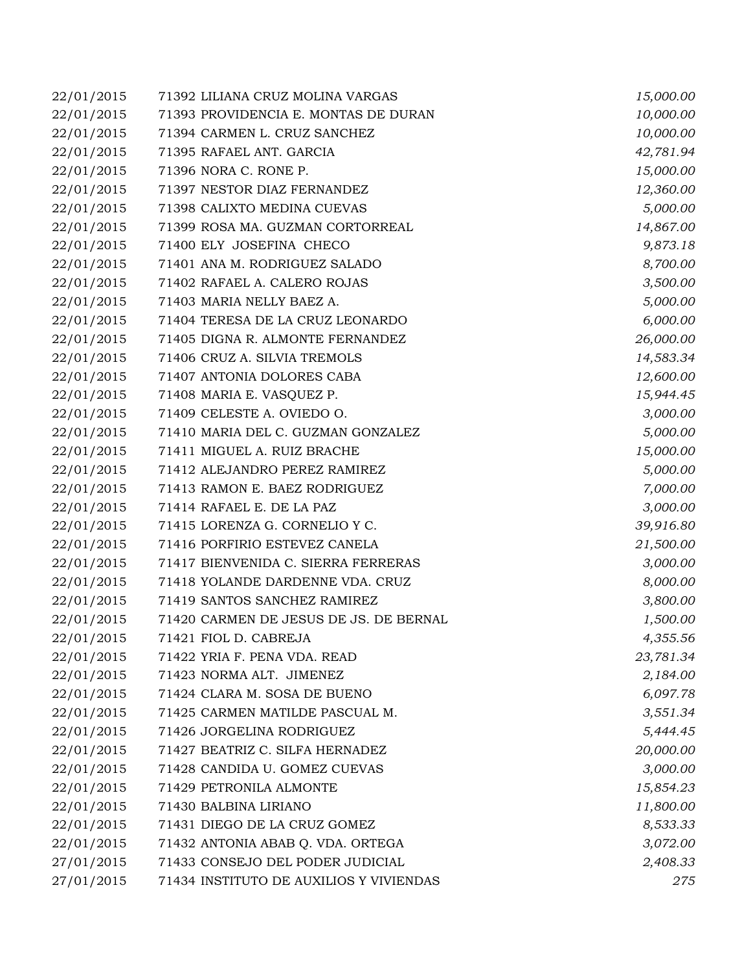| 22/01/2015 | 71392 LILIANA CRUZ MOLINA VARGAS        | 15,000.00 |
|------------|-----------------------------------------|-----------|
| 22/01/2015 | 71393 PROVIDENCIA E. MONTAS DE DURAN    | 10,000.00 |
| 22/01/2015 | 71394 CARMEN L. CRUZ SANCHEZ            | 10,000.00 |
| 22/01/2015 | 71395 RAFAEL ANT. GARCIA                | 42,781.94 |
| 22/01/2015 | 71396 NORA C. RONE P.                   | 15,000.00 |
| 22/01/2015 | 71397 NESTOR DIAZ FERNANDEZ             | 12,360.00 |
| 22/01/2015 | 71398 CALIXTO MEDINA CUEVAS             | 5,000.00  |
| 22/01/2015 | 71399 ROSA MA. GUZMAN CORTORREAL        | 14,867.00 |
| 22/01/2015 | 71400 ELY JOSEFINA CHECO                | 9,873.18  |
| 22/01/2015 | 71401 ANA M. RODRIGUEZ SALADO           | 8,700.00  |
| 22/01/2015 | 71402 RAFAEL A. CALERO ROJAS            | 3,500.00  |
| 22/01/2015 | 71403 MARIA NELLY BAEZ A.               | 5,000.00  |
| 22/01/2015 | 71404 TERESA DE LA CRUZ LEONARDO        | 6,000.00  |
| 22/01/2015 | 71405 DIGNA R. ALMONTE FERNANDEZ        | 26,000.00 |
| 22/01/2015 | 71406 CRUZ A. SILVIA TREMOLS            | 14,583.34 |
| 22/01/2015 | 71407 ANTONIA DOLORES CABA              | 12,600.00 |
| 22/01/2015 | 71408 MARIA E. VASQUEZ P.               | 15,944.45 |
| 22/01/2015 | 71409 CELESTE A. OVIEDO O.              | 3,000.00  |
| 22/01/2015 | 71410 MARIA DEL C. GUZMAN GONZALEZ      | 5,000.00  |
| 22/01/2015 | 71411 MIGUEL A. RUIZ BRACHE             | 15,000.00 |
| 22/01/2015 | 71412 ALEJANDRO PEREZ RAMIREZ           | 5,000.00  |
| 22/01/2015 | 71413 RAMON E. BAEZ RODRIGUEZ           | 7,000.00  |
| 22/01/2015 | 71414 RAFAEL E. DE LA PAZ               | 3,000.00  |
| 22/01/2015 | 71415 LORENZA G. CORNELIO Y C.          | 39,916.80 |
| 22/01/2015 | 71416 PORFIRIO ESTEVEZ CANELA           | 21,500.00 |
| 22/01/2015 | 71417 BIENVENIDA C. SIERRA FERRERAS     | 3,000.00  |
| 22/01/2015 | 71418 YOLANDE DARDENNE VDA. CRUZ        | 8,000.00  |
| 22/01/2015 | 71419 SANTOS SANCHEZ RAMIREZ            | 3,800.00  |
| 22/01/2015 | 71420 CARMEN DE JESUS DE JS. DE BERNAL  | 1,500.00  |
| 22/01/2015 | 71421 FIOL D. CABREJA                   | 4,355.56  |
| 22/01/2015 | 71422 YRIA F. PENA VDA. READ            | 23,781.34 |
| 22/01/2015 | 71423 NORMA ALT. JIMENEZ                | 2,184.00  |
| 22/01/2015 | 71424 CLARA M. SOSA DE BUENO            | 6,097.78  |
| 22/01/2015 | 71425 CARMEN MATILDE PASCUAL M.         | 3,551.34  |
| 22/01/2015 | 71426 JORGELINA RODRIGUEZ               | 5,444.45  |
| 22/01/2015 | 71427 BEATRIZ C. SILFA HERNADEZ         | 20,000.00 |
| 22/01/2015 | 71428 CANDIDA U. GOMEZ CUEVAS           | 3,000.00  |
| 22/01/2015 | 71429 PETRONILA ALMONTE                 | 15,854.23 |
| 22/01/2015 | 71430 BALBINA LIRIANO                   | 11,800.00 |
| 22/01/2015 | 71431 DIEGO DE LA CRUZ GOMEZ            | 8,533.33  |
| 22/01/2015 | 71432 ANTONIA ABAB Q. VDA. ORTEGA       | 3,072.00  |
| 27/01/2015 | 71433 CONSEJO DEL PODER JUDICIAL        | 2,408.33  |
| 27/01/2015 | 71434 INSTITUTO DE AUXILIOS Y VIVIENDAS | 275       |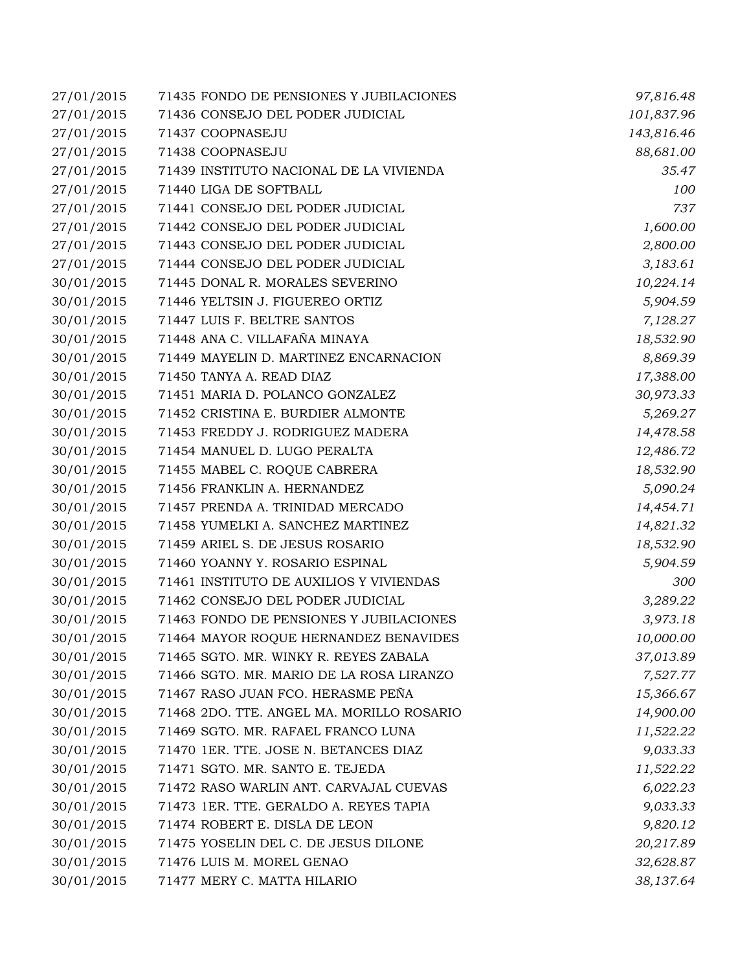| 27/01/2015 | 71435 FONDO DE PENSIONES Y JUBILACIONES   | 97,816.48  |
|------------|-------------------------------------------|------------|
| 27/01/2015 | 71436 CONSEJO DEL PODER JUDICIAL          | 101,837.96 |
| 27/01/2015 | 71437 COOPNASEJU                          | 143,816.46 |
| 27/01/2015 | 71438 COOPNASEJU                          | 88,681.00  |
| 27/01/2015 | 71439 INSTITUTO NACIONAL DE LA VIVIENDA   | 35.47      |
| 27/01/2015 | 71440 LIGA DE SOFTBALL                    | 100        |
| 27/01/2015 | 71441 CONSEJO DEL PODER JUDICIAL          | 737        |
| 27/01/2015 | 71442 CONSEJO DEL PODER JUDICIAL          | 1,600.00   |
| 27/01/2015 | 71443 CONSEJO DEL PODER JUDICIAL          | 2,800.00   |
| 27/01/2015 | 71444 CONSEJO DEL PODER JUDICIAL          | 3,183.61   |
| 30/01/2015 | 71445 DONAL R. MORALES SEVERINO           | 10,224.14  |
| 30/01/2015 | 71446 YELTSIN J. FIGUEREO ORTIZ           | 5,904.59   |
| 30/01/2015 | 71447 LUIS F. BELTRE SANTOS               | 7,128.27   |
| 30/01/2015 | 71448 ANA C. VILLAFAÑA MINAYA             | 18,532.90  |
| 30/01/2015 | 71449 MAYELIN D. MARTINEZ ENCARNACION     | 8,869.39   |
| 30/01/2015 | 71450 TANYA A. READ DIAZ                  | 17,388.00  |
| 30/01/2015 | 71451 MARIA D. POLANCO GONZALEZ           | 30,973.33  |
| 30/01/2015 | 71452 CRISTINA E. BURDIER ALMONTE         | 5,269.27   |
| 30/01/2015 | 71453 FREDDY J. RODRIGUEZ MADERA          | 14,478.58  |
| 30/01/2015 | 71454 MANUEL D. LUGO PERALTA              | 12,486.72  |
| 30/01/2015 | 71455 MABEL C. ROQUE CABRERA              | 18,532.90  |
| 30/01/2015 | 71456 FRANKLIN A. HERNANDEZ               | 5,090.24   |
| 30/01/2015 | 71457 PRENDA A. TRINIDAD MERCADO          | 14,454.71  |
| 30/01/2015 | 71458 YUMELKI A. SANCHEZ MARTINEZ         | 14,821.32  |
| 30/01/2015 | 71459 ARIEL S. DE JESUS ROSARIO           | 18,532.90  |
| 30/01/2015 | 71460 YOANNY Y. ROSARIO ESPINAL           | 5,904.59   |
| 30/01/2015 | 71461 INSTITUTO DE AUXILIOS Y VIVIENDAS   | 300        |
| 30/01/2015 | 71462 CONSEJO DEL PODER JUDICIAL          | 3,289.22   |
| 30/01/2015 | 71463 FONDO DE PENSIONES Y JUBILACIONES   | 3,973.18   |
| 30/01/2015 | 71464 MAYOR ROQUE HERNANDEZ BENAVIDES     | 10,000.00  |
| 30/01/2015 | 71465 SGTO. MR. WINKY R. REYES ZABALA     | 37,013.89  |
| 30/01/2015 | 71466 SGTO. MR. MARIO DE LA ROSA LIRANZO  | 7,527.77   |
| 30/01/2015 | 71467 RASO JUAN FCO. HERASME PEÑA         | 15,366.67  |
| 30/01/2015 | 71468 2DO. TTE. ANGEL MA. MORILLO ROSARIO | 14,900.00  |
| 30/01/2015 | 71469 SGTO. MR. RAFAEL FRANCO LUNA        | 11,522.22  |
| 30/01/2015 | 71470 1ER. TTE. JOSE N. BETANCES DIAZ     | 9,033.33   |
| 30/01/2015 | 71471 SGTO. MR. SANTO E. TEJEDA           | 11,522.22  |
| 30/01/2015 | 71472 RASO WARLIN ANT. CARVAJAL CUEVAS    | 6,022.23   |
| 30/01/2015 | 71473 1ER. TTE. GERALDO A. REYES TAPIA    | 9,033.33   |
| 30/01/2015 | 71474 ROBERT E. DISLA DE LEON             | 9,820.12   |
| 30/01/2015 | 71475 YOSELIN DEL C. DE JESUS DILONE      | 20,217.89  |
| 30/01/2015 | 71476 LUIS M. MOREL GENAO                 | 32,628.87  |
| 30/01/2015 | 71477 MERY C. MATTA HILARIO               | 38,137.64  |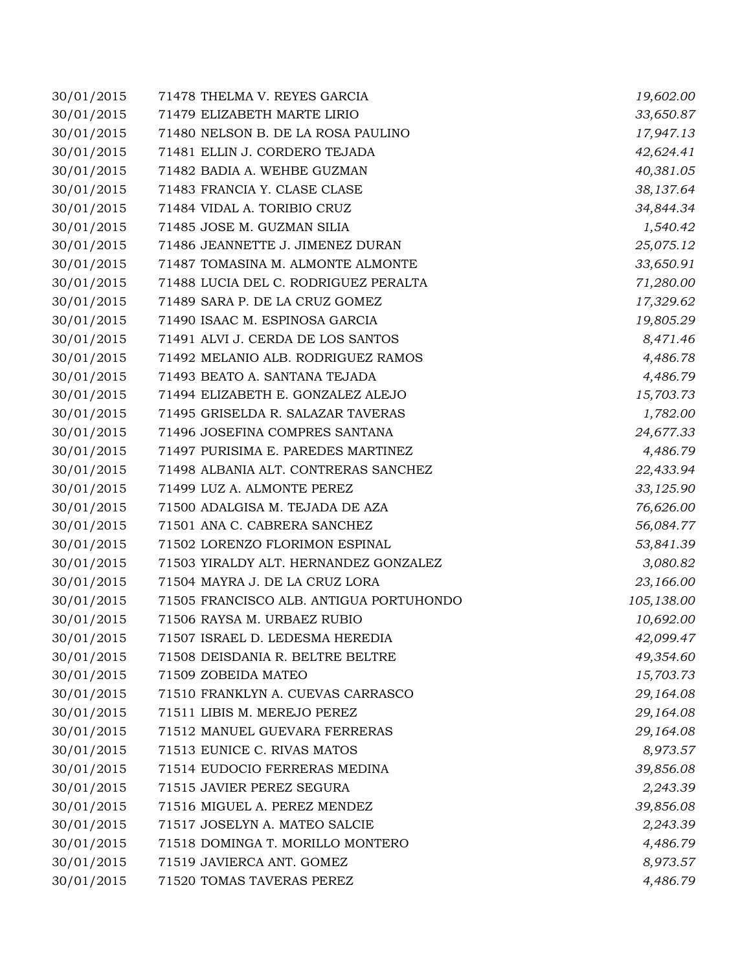| 30/01/2015 | 71478 THELMA V. REYES GARCIA            | 19,602.00  |
|------------|-----------------------------------------|------------|
| 30/01/2015 | 71479 ELIZABETH MARTE LIRIO             | 33,650.87  |
| 30/01/2015 | 71480 NELSON B. DE LA ROSA PAULINO      | 17,947.13  |
| 30/01/2015 | 71481 ELLIN J. CORDERO TEJADA           | 42,624.41  |
| 30/01/2015 | 71482 BADIA A. WEHBE GUZMAN             | 40,381.05  |
| 30/01/2015 | 71483 FRANCIA Y. CLASE CLASE            | 38,137.64  |
| 30/01/2015 | 71484 VIDAL A. TORIBIO CRUZ             | 34,844.34  |
| 30/01/2015 | 71485 JOSE M. GUZMAN SILIA              | 1,540.42   |
| 30/01/2015 | 71486 JEANNETTE J. JIMENEZ DURAN        | 25,075.12  |
| 30/01/2015 | 71487 TOMASINA M. ALMONTE ALMONTE       | 33,650.91  |
| 30/01/2015 | 71488 LUCIA DEL C. RODRIGUEZ PERALTA    | 71,280.00  |
| 30/01/2015 | 71489 SARA P. DE LA CRUZ GOMEZ          | 17,329.62  |
| 30/01/2015 | 71490 ISAAC M. ESPINOSA GARCIA          | 19,805.29  |
| 30/01/2015 | 71491 ALVI J. CERDA DE LOS SANTOS       | 8,471.46   |
| 30/01/2015 | 71492 MELANIO ALB. RODRIGUEZ RAMOS      | 4,486.78   |
| 30/01/2015 | 71493 BEATO A. SANTANA TEJADA           | 4,486.79   |
| 30/01/2015 | 71494 ELIZABETH E. GONZALEZ ALEJO       | 15,703.73  |
| 30/01/2015 | 71495 GRISELDA R. SALAZAR TAVERAS       | 1,782.00   |
| 30/01/2015 | 71496 JOSEFINA COMPRES SANTANA          | 24,677.33  |
| 30/01/2015 | 71497 PURISIMA E. PAREDES MARTINEZ      | 4,486.79   |
| 30/01/2015 | 71498 ALBANIA ALT. CONTRERAS SANCHEZ    | 22,433.94  |
| 30/01/2015 | 71499 LUZ A. ALMONTE PEREZ              | 33,125.90  |
| 30/01/2015 | 71500 ADALGISA M. TEJADA DE AZA         | 76,626.00  |
| 30/01/2015 | 71501 ANA C. CABRERA SANCHEZ            | 56,084.77  |
| 30/01/2015 | 71502 LORENZO FLORIMON ESPINAL          | 53,841.39  |
| 30/01/2015 | 71503 YIRALDY ALT. HERNANDEZ GONZALEZ   | 3,080.82   |
| 30/01/2015 | 71504 MAYRA J. DE LA CRUZ LORA          | 23,166.00  |
| 30/01/2015 | 71505 FRANCISCO ALB. ANTIGUA PORTUHONDO | 105,138.00 |
| 30/01/2015 | 71506 RAYSA M. URBAEZ RUBIO             | 10,692.00  |
| 30/01/2015 | 71507 ISRAEL D. LEDESMA HEREDIA         | 42,099.47  |
| 30/01/2015 | 71508 DEISDANIA R. BELTRE BELTRE        | 49,354.60  |
| 30/01/2015 | 71509 ZOBEIDA MATEO                     | 15,703.73  |
| 30/01/2015 | 71510 FRANKLYN A. CUEVAS CARRASCO       | 29,164.08  |
| 30/01/2015 | 71511 LIBIS M. MEREJO PEREZ             | 29,164.08  |
| 30/01/2015 | 71512 MANUEL GUEVARA FERRERAS           | 29,164.08  |
| 30/01/2015 | 71513 EUNICE C. RIVAS MATOS             | 8,973.57   |
| 30/01/2015 | 71514 EUDOCIO FERRERAS MEDINA           | 39,856.08  |
| 30/01/2015 | 71515 JAVIER PEREZ SEGURA               | 2,243.39   |
| 30/01/2015 | 71516 MIGUEL A. PEREZ MENDEZ            | 39,856.08  |
| 30/01/2015 | 71517 JOSELYN A. MATEO SALCIE           | 2,243.39   |
| 30/01/2015 | 71518 DOMINGA T. MORILLO MONTERO        | 4,486.79   |
| 30/01/2015 | 71519 JAVIERCA ANT. GOMEZ               | 8,973.57   |
| 30/01/2015 | 71520 TOMAS TAVERAS PEREZ               | 4,486.79   |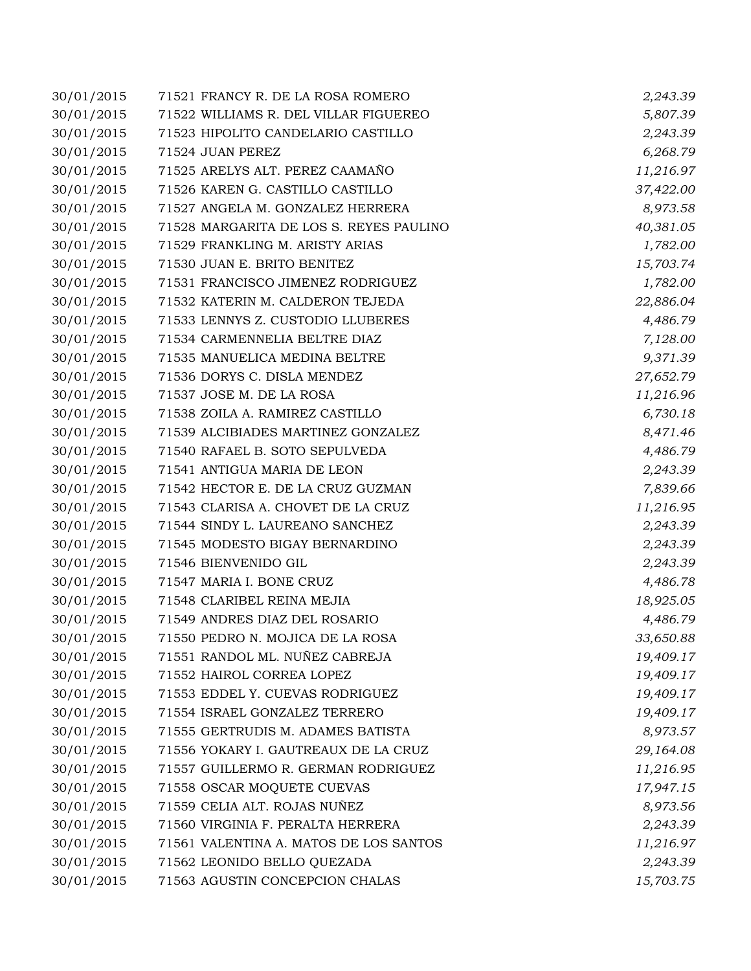| 30/01/2015 | 71521 FRANCY R. DE LA ROSA ROMERO       | 2,243.39  |
|------------|-----------------------------------------|-----------|
| 30/01/2015 | 71522 WILLIAMS R. DEL VILLAR FIGUEREO   | 5,807.39  |
| 30/01/2015 | 71523 HIPOLITO CANDELARIO CASTILLO      | 2,243.39  |
| 30/01/2015 | 71524 JUAN PEREZ                        | 6,268.79  |
| 30/01/2015 | 71525 ARELYS ALT. PEREZ CAAMAÑO         | 11,216.97 |
| 30/01/2015 | 71526 KAREN G. CASTILLO CASTILLO        | 37,422.00 |
| 30/01/2015 | 71527 ANGELA M. GONZALEZ HERRERA        | 8,973.58  |
| 30/01/2015 | 71528 MARGARITA DE LOS S. REYES PAULINO | 40,381.05 |
| 30/01/2015 | 71529 FRANKLING M. ARISTY ARIAS         | 1,782.00  |
| 30/01/2015 | 71530 JUAN E. BRITO BENITEZ             | 15,703.74 |
| 30/01/2015 | 71531 FRANCISCO JIMENEZ RODRIGUEZ       | 1,782.00  |
| 30/01/2015 | 71532 KATERIN M. CALDERON TEJEDA        | 22,886.04 |
| 30/01/2015 | 71533 LENNYS Z. CUSTODIO LLUBERES       | 4,486.79  |
| 30/01/2015 | 71534 CARMENNELIA BELTRE DIAZ           | 7,128.00  |
| 30/01/2015 | 71535 MANUELICA MEDINA BELTRE           | 9,371.39  |
| 30/01/2015 | 71536 DORYS C. DISLA MENDEZ             | 27,652.79 |
| 30/01/2015 | 71537 JOSE M. DE LA ROSA                | 11,216.96 |
| 30/01/2015 | 71538 ZOILA A. RAMIREZ CASTILLO         | 6,730.18  |
| 30/01/2015 | 71539 ALCIBIADES MARTINEZ GONZALEZ      | 8,471.46  |
| 30/01/2015 | 71540 RAFAEL B. SOTO SEPULVEDA          | 4,486.79  |
| 30/01/2015 | 71541 ANTIGUA MARIA DE LEON             | 2,243.39  |
| 30/01/2015 | 71542 HECTOR E. DE LA CRUZ GUZMAN       | 7,839.66  |
| 30/01/2015 | 71543 CLARISA A. CHOVET DE LA CRUZ      | 11,216.95 |
| 30/01/2015 | 71544 SINDY L. LAUREANO SANCHEZ         | 2,243.39  |
| 30/01/2015 | 71545 MODESTO BIGAY BERNARDINO          | 2,243.39  |
| 30/01/2015 | 71546 BIENVENIDO GIL                    | 2,243.39  |
| 30/01/2015 | 71547 MARIA I. BONE CRUZ                | 4,486.78  |
| 30/01/2015 | 71548 CLARIBEL REINA MEJIA              | 18,925.05 |
| 30/01/2015 | 71549 ANDRES DIAZ DEL ROSARIO           | 4,486.79  |
| 30/01/2015 | 71550 PEDRO N. MOJICA DE LA ROSA        | 33,650.88 |
| 30/01/2015 | 71551 RANDOL ML. NUÑEZ CABREJA          | 19,409.17 |
| 30/01/2015 | 71552 HAIROL CORREA LOPEZ               | 19,409.17 |
| 30/01/2015 | 71553 EDDEL Y. CUEVAS RODRIGUEZ         | 19,409.17 |
| 30/01/2015 | 71554 ISRAEL GONZALEZ TERRERO           | 19,409.17 |
| 30/01/2015 | 71555 GERTRUDIS M. ADAMES BATISTA       | 8,973.57  |
| 30/01/2015 | 71556 YOKARY I. GAUTREAUX DE LA CRUZ    | 29,164.08 |
| 30/01/2015 | 71557 GUILLERMO R. GERMAN RODRIGUEZ     | 11,216.95 |
| 30/01/2015 | 71558 OSCAR MOQUETE CUEVAS              | 17,947.15 |
| 30/01/2015 | 71559 CELIA ALT. ROJAS NUÑEZ            | 8,973.56  |
| 30/01/2015 | 71560 VIRGINIA F. PERALTA HERRERA       | 2,243.39  |
| 30/01/2015 | 71561 VALENTINA A. MATOS DE LOS SANTOS  | 11,216.97 |
| 30/01/2015 | 71562 LEONIDO BELLO QUEZADA             | 2,243.39  |
| 30/01/2015 | 71563 AGUSTIN CONCEPCION CHALAS         | 15,703.75 |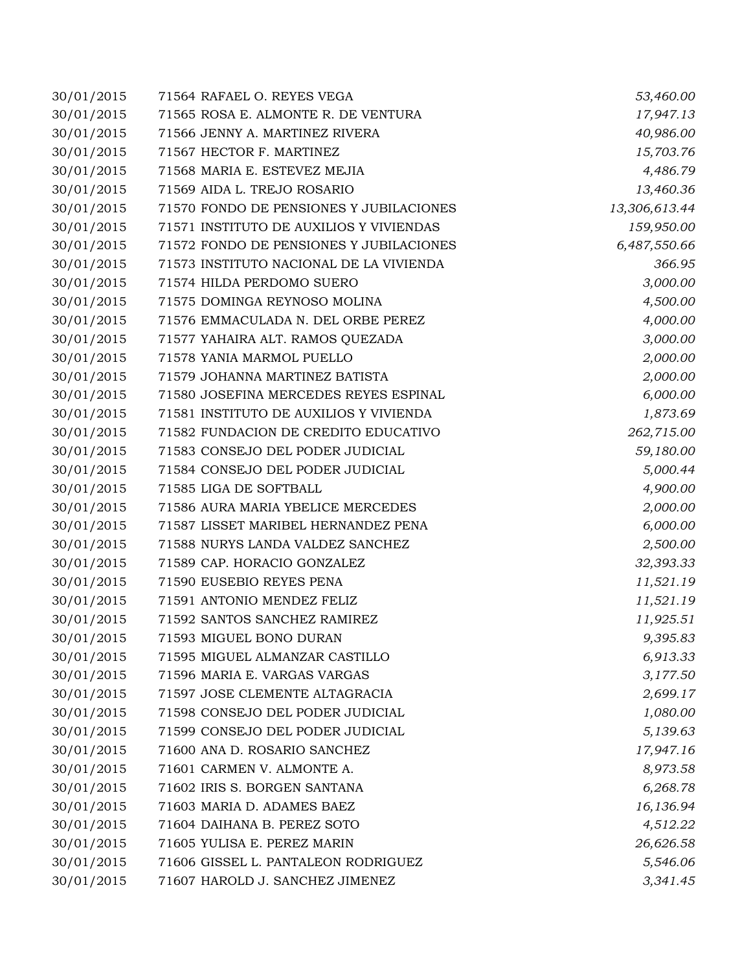| 30/01/2015 | 71564 RAFAEL O. REYES VEGA              | 53,460.00     |
|------------|-----------------------------------------|---------------|
| 30/01/2015 | 71565 ROSA E. ALMONTE R. DE VENTURA     | 17,947.13     |
| 30/01/2015 | 71566 JENNY A. MARTINEZ RIVERA          | 40,986.00     |
| 30/01/2015 | 71567 HECTOR F. MARTINEZ                | 15,703.76     |
| 30/01/2015 | 71568 MARIA E. ESTEVEZ MEJIA            | 4,486.79      |
| 30/01/2015 | 71569 AIDA L. TREJO ROSARIO             | 13,460.36     |
| 30/01/2015 | 71570 FONDO DE PENSIONES Y JUBILACIONES | 13,306,613.44 |
| 30/01/2015 | 71571 INSTITUTO DE AUXILIOS Y VIVIENDAS | 159,950.00    |
| 30/01/2015 | 71572 FONDO DE PENSIONES Y JUBILACIONES | 6,487,550.66  |
| 30/01/2015 | 71573 INSTITUTO NACIONAL DE LA VIVIENDA | 366.95        |
| 30/01/2015 | 71574 HILDA PERDOMO SUERO               | 3,000.00      |
| 30/01/2015 | 71575 DOMINGA REYNOSO MOLINA            | 4,500.00      |
| 30/01/2015 | 71576 EMMACULADA N. DEL ORBE PEREZ      | 4,000.00      |
| 30/01/2015 | 71577 YAHAIRA ALT. RAMOS QUEZADA        | 3,000.00      |
| 30/01/2015 | 71578 YANIA MARMOL PUELLO               | 2,000.00      |
| 30/01/2015 | 71579 JOHANNA MARTINEZ BATISTA          | 2,000.00      |
| 30/01/2015 | 71580 JOSEFINA MERCEDES REYES ESPINAL   | 6,000.00      |
| 30/01/2015 | 71581 INSTITUTO DE AUXILIOS Y VIVIENDA  | 1,873.69      |
| 30/01/2015 | 71582 FUNDACION DE CREDITO EDUCATIVO    | 262,715.00    |
| 30/01/2015 | 71583 CONSEJO DEL PODER JUDICIAL        | 59,180.00     |
| 30/01/2015 | 71584 CONSEJO DEL PODER JUDICIAL        | 5,000.44      |
| 30/01/2015 | 71585 LIGA DE SOFTBALL                  | 4,900.00      |
| 30/01/2015 | 71586 AURA MARIA YBELICE MERCEDES       | 2,000.00      |
| 30/01/2015 | 71587 LISSET MARIBEL HERNANDEZ PENA     | 6,000.00      |
| 30/01/2015 | 71588 NURYS LANDA VALDEZ SANCHEZ        | 2,500.00      |
| 30/01/2015 | 71589 CAP. HORACIO GONZALEZ             | 32,393.33     |
| 30/01/2015 | 71590 EUSEBIO REYES PENA                | 11,521.19     |
| 30/01/2015 | 71591 ANTONIO MENDEZ FELIZ              | 11,521.19     |
| 30/01/2015 | 71592 SANTOS SANCHEZ RAMIREZ            | 11,925.51     |
| 30/01/2015 | 71593 MIGUEL BONO DURAN                 | 9,395.83      |
| 30/01/2015 | 71595 MIGUEL ALMANZAR CASTILLO          | 6,913.33      |
| 30/01/2015 | 71596 MARIA E. VARGAS VARGAS            | 3,177.50      |
| 30/01/2015 | 71597 JOSE CLEMENTE ALTAGRACIA          | 2,699.17      |
| 30/01/2015 | 71598 CONSEJO DEL PODER JUDICIAL        | 1,080.00      |
| 30/01/2015 | 71599 CONSEJO DEL PODER JUDICIAL        | 5,139.63      |
| 30/01/2015 | 71600 ANA D. ROSARIO SANCHEZ            | 17,947.16     |
| 30/01/2015 | 71601 CARMEN V. ALMONTE A.              | 8,973.58      |
| 30/01/2015 | 71602 IRIS S. BORGEN SANTANA            | 6,268.78      |
| 30/01/2015 | 71603 MARIA D. ADAMES BAEZ              | 16,136.94     |
| 30/01/2015 | 71604 DAIHANA B. PEREZ SOTO             | 4,512.22      |
| 30/01/2015 | 71605 YULISA E. PEREZ MARIN             | 26,626.58     |
| 30/01/2015 | 71606 GISSEL L. PANTALEON RODRIGUEZ     | 5,546.06      |
| 30/01/2015 | 71607 HAROLD J. SANCHEZ JIMENEZ         | 3,341.45      |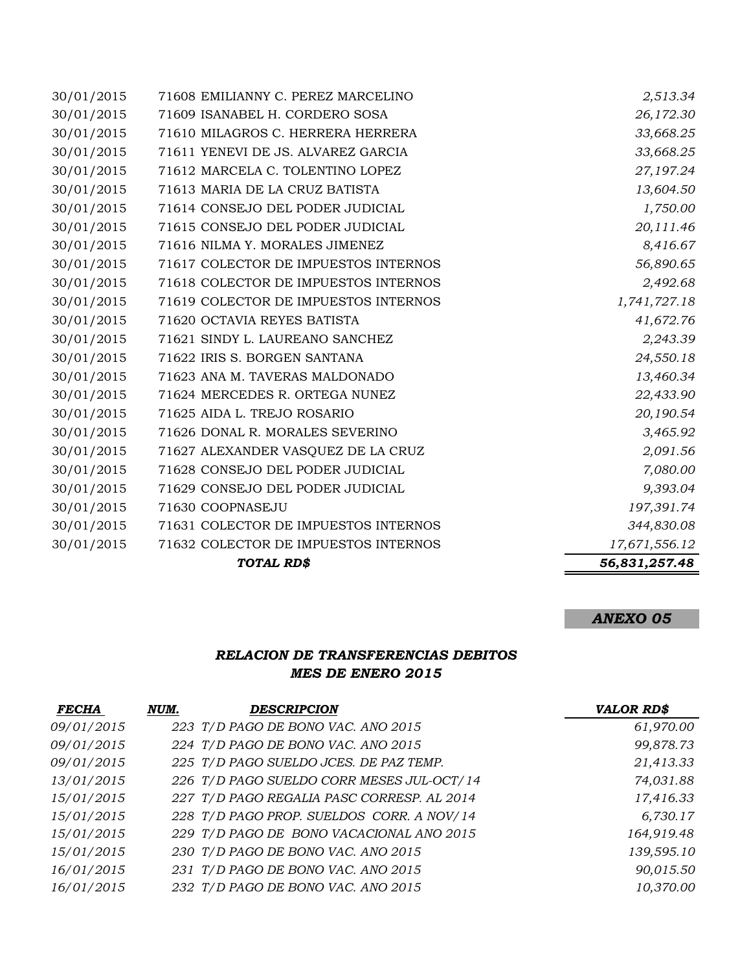|            | TOTAL RD\$                           | 56,831,257.48 |
|------------|--------------------------------------|---------------|
| 30/01/2015 | 71632 COLECTOR DE IMPUESTOS INTERNOS | 17,671,556.12 |
| 30/01/2015 | 71631 COLECTOR DE IMPUESTOS INTERNOS | 344,830.08    |
| 30/01/2015 | 71630 COOPNASEJU                     | 197,391.74    |
| 30/01/2015 | 71629 CONSEJO DEL PODER JUDICIAL     | 9,393.04      |
| 30/01/2015 | 71628 CONSEJO DEL PODER JUDICIAL     | 7,080.00      |
| 30/01/2015 | 71627 ALEXANDER VASQUEZ DE LA CRUZ   | 2,091.56      |
| 30/01/2015 | 71626 DONAL R. MORALES SEVERINO      | 3,465.92      |
| 30/01/2015 | 71625 AIDA L. TREJO ROSARIO          | 20,190.54     |
| 30/01/2015 | 71624 MERCEDES R. ORTEGA NUNEZ       | 22,433.90     |
| 30/01/2015 | 71623 ANA M. TAVERAS MALDONADO       | 13,460.34     |
| 30/01/2015 | 71622 IRIS S. BORGEN SANTANA         | 24,550.18     |
| 30/01/2015 | 71621 SINDY L. LAUREANO SANCHEZ      | 2,243.39      |
| 30/01/2015 | 71620 OCTAVIA REYES BATISTA          | 41,672.76     |
| 30/01/2015 | 71619 COLECTOR DE IMPUESTOS INTERNOS | 1,741,727.18  |
| 30/01/2015 | 71618 COLECTOR DE IMPUESTOS INTERNOS | 2,492.68      |
| 30/01/2015 | 71617 COLECTOR DE IMPUESTOS INTERNOS | 56,890.65     |
| 30/01/2015 | 71616 NILMA Y. MORALES JIMENEZ       | 8,416.67      |
| 30/01/2015 | 71615 CONSEJO DEL PODER JUDICIAL     | 20,111.46     |
| 30/01/2015 | 71614 CONSEJO DEL PODER JUDICIAL     | 1,750.00      |
| 30/01/2015 | 71613 MARIA DE LA CRUZ BATISTA       | 13,604.50     |
| 30/01/2015 | 71612 MARCELA C. TOLENTINO LOPEZ     | 27,197.24     |
| 30/01/2015 | 71611 YENEVI DE JS. ALVAREZ GARCIA   | 33,668.25     |
| 30/01/2015 | 71610 MILAGROS C. HERRERA HERRERA    | 33,668.25     |
| 30/01/2015 | 71609 ISANABEL H. CORDERO SOSA       | 26,172.30     |
| 30/01/2015 | 71608 EMILIANNY C. PEREZ MARCELINO   | 2,513.34      |

# *ANEXO 05*

### *RELACION DE TRANSFERENCIAS DEBITOS MES DE ENERO 2015*

| <b>FECHA</b> | NUM. | <b>DESCRIPCION</b>                         | <b>VALOR RD\$</b> |
|--------------|------|--------------------------------------------|-------------------|
| 09/01/2015   |      | 223 T/D PAGO DE BONO VAC. ANO 2015         | 61,970.00         |
| 09/01/2015   |      | 224 T/D PAGO DE BONO VAC. ANO 2015         | 99,878.73         |
| 09/01/2015   |      | 225 T/D PAGO SUELDO JCES. DE PAZ TEMP.     | 21,413.33         |
| 13/01/2015   |      | 226 T/D PAGO SUELDO CORR MESES JUL-OCT/14  | 74,031.88         |
| 15/01/2015   |      | 227 T/D PAGO REGALIA PASC CORRESP. AL 2014 | 17,416.33         |
| 15/01/2015   |      | 228 T/D PAGO PROP. SUELDOS CORR. A NOV/14  | 6,730.17          |
| 15/01/2015   |      | 229 T/D PAGO DE BONO VACACIONAL ANO 2015   | 164,919.48        |
| 15/01/2015   |      | 230 T/D PAGO DE BONO VAC. ANO 2015         | 139,595.10        |
| 16/01/2015   |      | 231 T/D PAGO DE BONO VAC. ANO 2015         | 90,015.50         |
| 16/01/2015   |      | 232 T/D PAGO DE BONO VAC. ANO 2015         | 10,370.00         |